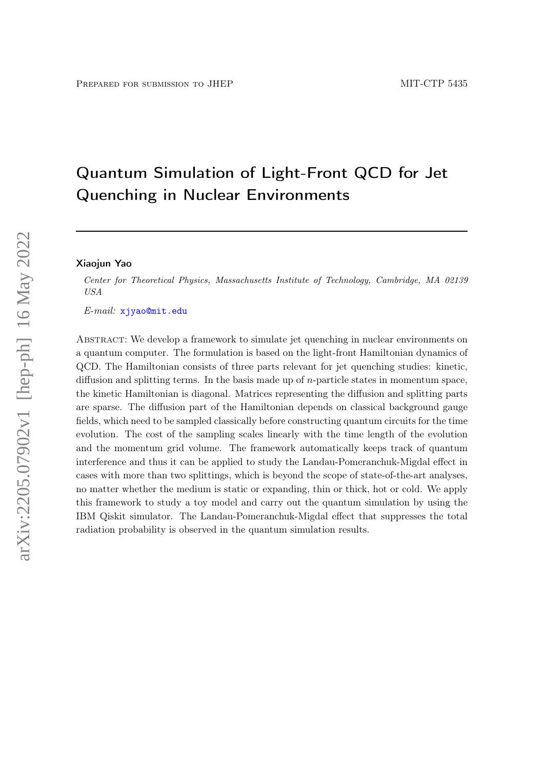# Quantum Simulation of Light-Front QCD for Jet Quenching in Nuclear Environments

#### Xiaojun Yao

Center for Theoretical Physics, Massachusetts Institute of Technology, Cambridge, MA 02139 USA

E-mail: [xjyao@mit.edu](mailto:xjyao@mit.edu)

Abstract: We develop a framework to simulate jet quenching in nuclear environments on a quantum computer. The formulation is based on the light-front Hamiltonian dynamics of QCD. The Hamiltonian consists of three parts relevant for jet quenching studies: kinetic, diffusion and splitting terms. In the basis made up of  $n$ -particle states in momentum space, the kinetic Hamiltonian is diagonal. Matrices representing the diffusion and splitting parts are sparse. The diffusion part of the Hamiltonian depends on classical background gauge fields, which need to be sampled classically before constructing quantum circuits for the time evolution. The cost of the sampling scales linearly with the time length of the evolution and the momentum grid volume. The framework automatically keeps track of quantum interference and thus it can be applied to study the Landau-Pomeranchuk-Migdal effect in cases with more than two splittings, which is beyond the scope of state-of-the-art analyses, no matter whether the medium is static or expanding, thin or thick, hot or cold. We apply this framework to study a toy model and carry out the quantum simulation by using the IBM Qiskit simulator. The Landau-Pomeranchuk-Migdal effect that suppresses the total radiation probability is observed in the quantum simulation results.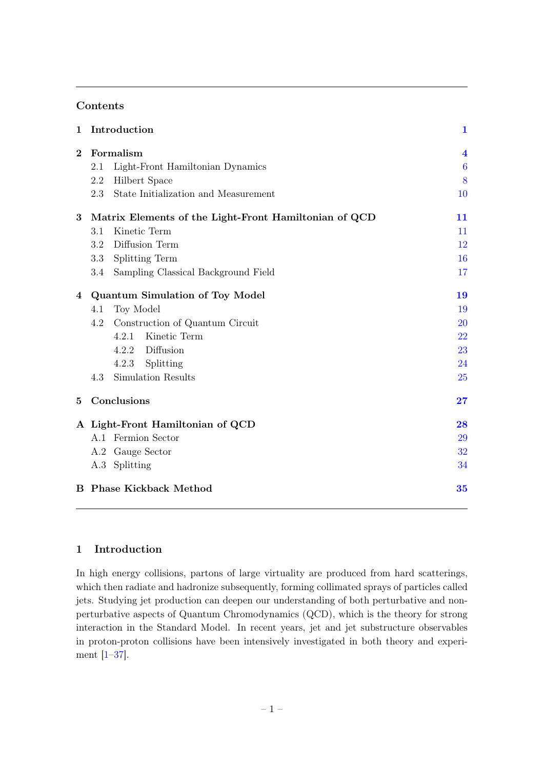## Contents

| 1        | Introduction                                          | $\mathbf{1}$            |
|----------|-------------------------------------------------------|-------------------------|
| $\bf{2}$ | Formalism                                             | $\overline{\mathbf{4}}$ |
|          | Light-Front Hamiltonian Dynamics<br>2.1               | $\boldsymbol{6}$        |
|          | 2.2<br><b>Hilbert Space</b>                           | 8                       |
|          | State Initialization and Measurement<br>2.3           | 10                      |
| 3        | Matrix Elements of the Light-Front Hamiltonian of QCD | 11                      |
|          | Kinetic Term<br>3.1                                   | 11                      |
|          | Diffusion Term<br>3.2                                 | 12                      |
|          | 3.3<br><b>Splitting Term</b>                          | 16                      |
|          | Sampling Classical Background Field<br>3.4            | 17                      |
| 4        | <b>Quantum Simulation of Toy Model</b>                | 19                      |
|          | Toy Model<br>4.1                                      | 19                      |
|          | Construction of Quantum Circuit<br>4.2                | <b>20</b>               |
|          | Kinetic Term<br>4.2.1                                 | 22                      |
|          | Diffusion<br>4.2.2                                    | 23                      |
|          | Splitting<br>4.2.3                                    | 24                      |
|          | Simulation Results<br>4.3                             | 25                      |
| 5        | Conclusions                                           | 27                      |
|          | A Light-Front Hamiltonian of QCD                      | 28                      |
|          | A.1 Fermion Sector                                    | 29                      |
|          | A.2 Gauge Sector                                      | 32                      |
|          | A.3 Splitting                                         | 34                      |
|          | <b>B</b> Phase Kickback Method                        | 35                      |

# <span id="page-1-0"></span>1 Introduction

In high energy collisions, partons of large virtuality are produced from hard scatterings, which then radiate and hadronize subsequently, forming collimated sprays of particles called jets. Studying jet production can deepen our understanding of both perturbative and nonperturbative aspects of Quantum Chromodynamics (QCD), which is the theory for strong interaction in the Standard Model. In recent years, jet and jet substructure observables in proton-proton collisions have been intensively investigated in both theory and experiment [\[1–](#page-36-0)[37\]](#page-38-0).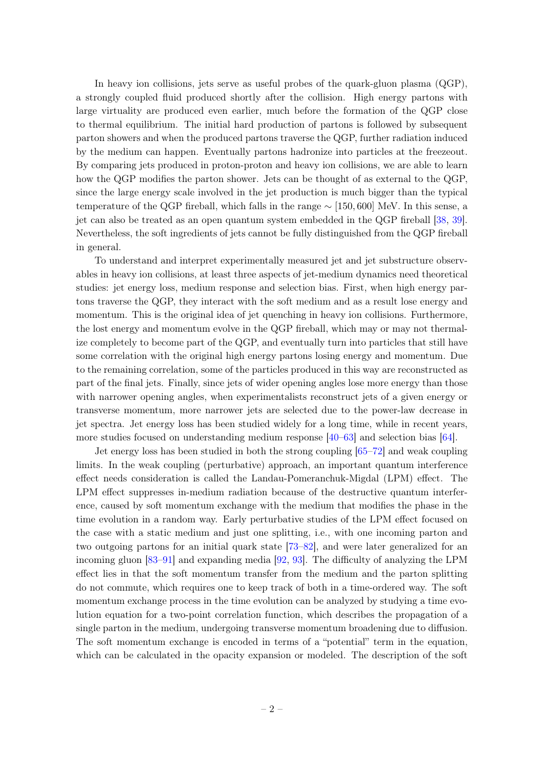In heavy ion collisions, jets serve as useful probes of the quark-gluon plasma (QGP), a strongly coupled fluid produced shortly after the collision. High energy partons with large virtuality are produced even earlier, much before the formation of the QGP close to thermal equilibrium. The initial hard production of partons is followed by subsequent parton showers and when the produced partons traverse the QGP, further radiation induced by the medium can happen. Eventually partons hadronize into particles at the freezeout. By comparing jets produced in proton-proton and heavy ion collisions, we are able to learn how the QGP modifies the parton shower. Jets can be thought of as external to the QGP, since the large energy scale involved in the jet production is much bigger than the typical temperature of the QGP fireball, which falls in the range  $\sim$  [150, 600] MeV. In this sense, a jet can also be treated as an open quantum system embedded in the QGP fireball [\[38,](#page-38-1) [39\]](#page-38-2). Nevertheless, the soft ingredients of jets cannot be fully distinguished from the QGP fireball in general.

To understand and interpret experimentally measured jet and jet substructure observables in heavy ion collisions, at least three aspects of jet-medium dynamics need theoretical studies: jet energy loss, medium response and selection bias. First, when high energy partons traverse the QGP, they interact with the soft medium and as a result lose energy and momentum. This is the original idea of jet quenching in heavy ion collisions. Furthermore, the lost energy and momentum evolve in the QGP fireball, which may or may not thermalize completely to become part of the QGP, and eventually turn into particles that still have some correlation with the original high energy partons losing energy and momentum. Due to the remaining correlation, some of the particles produced in this way are reconstructed as part of the final jets. Finally, since jets of wider opening angles lose more energy than those with narrower opening angles, when experimentalists reconstruct jets of a given energy or transverse momentum, more narrower jets are selected due to the power-law decrease in jet spectra. Jet energy loss has been studied widely for a long time, while in recent years, more studies focused on understanding medium response [\[40–](#page-38-3)[63\]](#page-39-0) and selection bias [\[64\]](#page-39-1).

Jet energy loss has been studied in both the strong coupling [\[65–](#page-39-2)[72\]](#page-40-0) and weak coupling limits. In the weak coupling (perturbative) approach, an important quantum interference effect needs consideration is called the Landau-Pomeranchuk-Migdal (LPM) effect. The LPM effect suppresses in-medium radiation because of the destructive quantum interference, caused by soft momentum exchange with the medium that modifies the phase in the time evolution in a random way. Early perturbative studies of the LPM effect focused on the case with a static medium and just one splitting, i.e., with one incoming parton and two outgoing partons for an initial quark state [\[73–](#page-40-1)[82\]](#page-40-2), and were later generalized for an incoming gluon [\[83–](#page-40-3)[91\]](#page-41-0) and expanding media [\[92,](#page-41-1) [93\]](#page-41-2). The difficulty of analyzing the LPM effect lies in that the soft momentum transfer from the medium and the parton splitting do not commute, which requires one to keep track of both in a time-ordered way. The soft momentum exchange process in the time evolution can be analyzed by studying a time evolution equation for a two-point correlation function, which describes the propagation of a single parton in the medium, undergoing transverse momentum broadening due to diffusion. The soft momentum exchange is encoded in terms of a "potential" term in the equation, which can be calculated in the opacity expansion or modeled. The description of the soft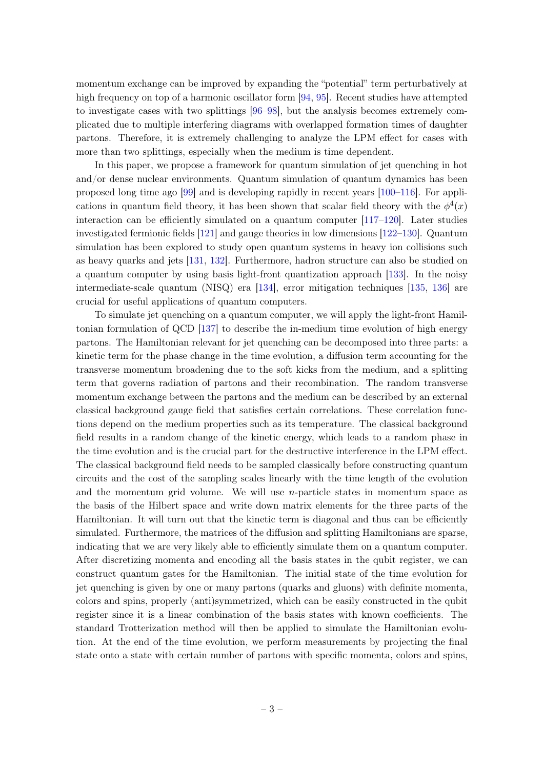momentum exchange can be improved by expanding the "potential" term perturbatively at high frequency on top of a harmonic oscillator form [\[94,](#page-41-3) [95\]](#page-41-4). Recent studies have attempted to investigate cases with two splittings [\[96–](#page-41-5)[98\]](#page-41-6), but the analysis becomes extremely complicated due to multiple interfering diagrams with overlapped formation times of daughter partons. Therefore, it is extremely challenging to analyze the LPM effect for cases with more than two splittings, especially when the medium is time dependent.

In this paper, we propose a framework for quantum simulation of jet quenching in hot and/or dense nuclear environments. Quantum simulation of quantum dynamics has been proposed long time ago [\[99\]](#page-41-7) and is developing rapidly in recent years [\[100–](#page-41-8)[116\]](#page-42-0). For applications in quantum field theory, it has been shown that scalar field theory with the  $\phi^4(x)$ interaction can be efficiently simulated on a quantum computer  $[117–120]$  $[117–120]$ . Later studies investigated fermionic fields [\[121\]](#page-42-3) and gauge theories in low dimensions [\[122–](#page-42-4)[130\]](#page-43-0). Quantum simulation has been explored to study open quantum systems in heavy ion collisions such as heavy quarks and jets [\[131,](#page-43-1) [132\]](#page-43-2). Furthermore, hadron structure can also be studied on a quantum computer by using basis light-front quantization approach [\[133\]](#page-43-3). In the noisy intermediate-scale quantum (NISQ) era [\[134\]](#page-43-4), error mitigation techniques [\[135,](#page-43-5) [136\]](#page-43-6) are crucial for useful applications of quantum computers.

To simulate jet quenching on a quantum computer, we will apply the light-front Hamiltonian formulation of QCD [\[137\]](#page-43-7) to describe the in-medium time evolution of high energy partons. The Hamiltonian relevant for jet quenching can be decomposed into three parts: a kinetic term for the phase change in the time evolution, a diffusion term accounting for the transverse momentum broadening due to the soft kicks from the medium, and a splitting term that governs radiation of partons and their recombination. The random transverse momentum exchange between the partons and the medium can be described by an external classical background gauge field that satisfies certain correlations. These correlation functions depend on the medium properties such as its temperature. The classical background field results in a random change of the kinetic energy, which leads to a random phase in the time evolution and is the crucial part for the destructive interference in the LPM effect. The classical background field needs to be sampled classically before constructing quantum circuits and the cost of the sampling scales linearly with the time length of the evolution and the momentum grid volume. We will use  $n$ -particle states in momentum space as the basis of the Hilbert space and write down matrix elements for the three parts of the Hamiltonian. It will turn out that the kinetic term is diagonal and thus can be efficiently simulated. Furthermore, the matrices of the diffusion and splitting Hamiltonians are sparse, indicating that we are very likely able to efficiently simulate them on a quantum computer. After discretizing momenta and encoding all the basis states in the qubit register, we can construct quantum gates for the Hamiltonian. The initial state of the time evolution for jet quenching is given by one or many partons (quarks and gluons) with definite momenta, colors and spins, properly (anti)symmetrized, which can be easily constructed in the qubit register since it is a linear combination of the basis states with known coefficients. The standard Trotterization method will then be applied to simulate the Hamiltonian evolution. At the end of the time evolution, we perform measurements by projecting the final state onto a state with certain number of partons with specific momenta, colors and spins,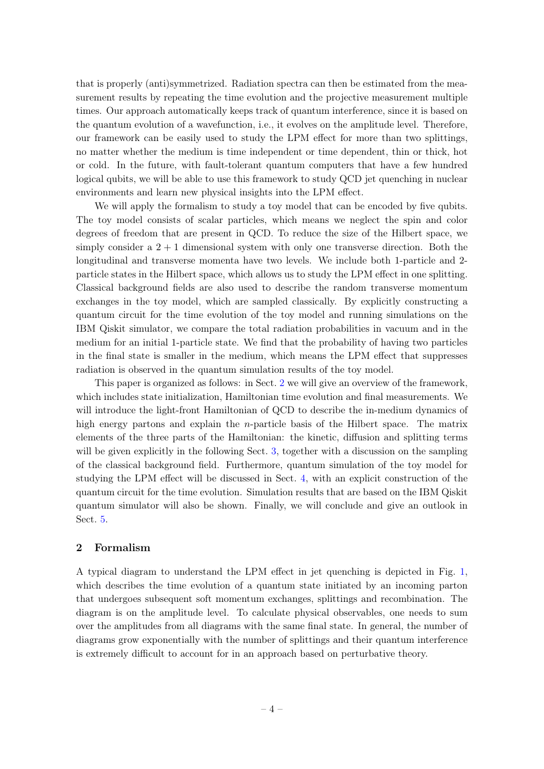that is properly (anti)symmetrized. Radiation spectra can then be estimated from the measurement results by repeating the time evolution and the projective measurement multiple times. Our approach automatically keeps track of quantum interference, since it is based on the quantum evolution of a wavefunction, i.e., it evolves on the amplitude level. Therefore, our framework can be easily used to study the LPM effect for more than two splittings, no matter whether the medium is time independent or time dependent, thin or thick, hot or cold. In the future, with fault-tolerant quantum computers that have a few hundred logical qubits, we will be able to use this framework to study QCD jet quenching in nuclear environments and learn new physical insights into the LPM effect.

We will apply the formalism to study a toy model that can be encoded by five qubits. The toy model consists of scalar particles, which means we neglect the spin and color degrees of freedom that are present in QCD. To reduce the size of the Hilbert space, we simply consider a  $2 + 1$  dimensional system with only one transverse direction. Both the longitudinal and transverse momenta have two levels. We include both 1-particle and 2 particle states in the Hilbert space, which allows us to study the LPM effect in one splitting. Classical background fields are also used to describe the random transverse momentum exchanges in the toy model, which are sampled classically. By explicitly constructing a quantum circuit for the time evolution of the toy model and running simulations on the IBM Qiskit simulator, we compare the total radiation probabilities in vacuum and in the medium for an initial 1-particle state. We find that the probability of having two particles in the final state is smaller in the medium, which means the LPM effect that suppresses radiation is observed in the quantum simulation results of the toy model.

This paper is organized as follows: in Sect. [2](#page-4-0) we will give an overview of the framework, which includes state initialization, Hamiltonian time evolution and final measurements. We will introduce the light-front Hamiltonian of QCD to describe the in-medium dynamics of high energy partons and explain the *n*-particle basis of the Hilbert space. The matrix elements of the three parts of the Hamiltonian: the kinetic, diffusion and splitting terms will be given explicitly in the following Sect. [3,](#page-11-0) together with a discussion on the sampling of the classical background field. Furthermore, quantum simulation of the toy model for studying the LPM effect will be discussed in Sect. [4,](#page-19-0) with an explicit construction of the quantum circuit for the time evolution. Simulation results that are based on the IBM Qiskit quantum simulator will also be shown. Finally, we will conclude and give an outlook in Sect. [5.](#page-27-0)

## <span id="page-4-0"></span>2 Formalism

A typical diagram to understand the LPM effect in jet quenching is depicted in Fig. [1,](#page-5-0) which describes the time evolution of a quantum state initiated by an incoming parton that undergoes subsequent soft momentum exchanges, splittings and recombination. The diagram is on the amplitude level. To calculate physical observables, one needs to sum over the amplitudes from all diagrams with the same final state. In general, the number of diagrams grow exponentially with the number of splittings and their quantum interference is extremely difficult to account for in an approach based on perturbative theory.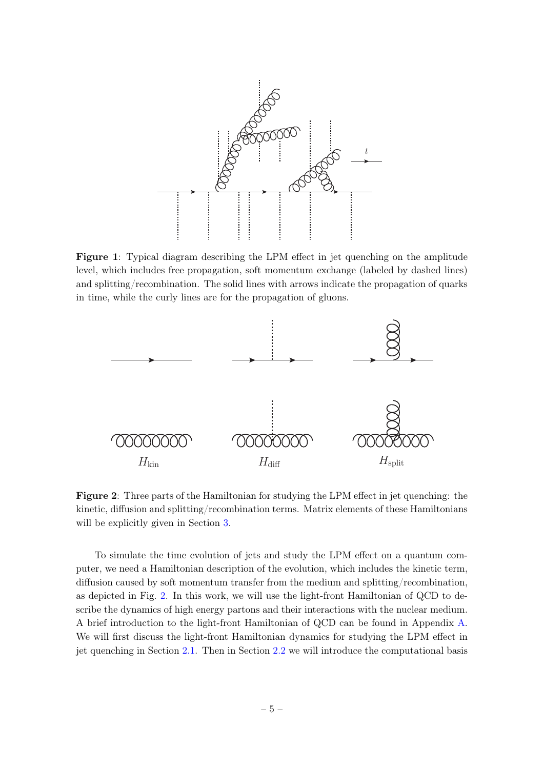<span id="page-5-0"></span>

Figure 1: Typical diagram describing the LPM effect in jet quenching on the amplitude level, which includes free propagation, soft momentum exchange (labeled by dashed lines) and splitting/recombination. The solid lines with arrows indicate the propagation of quarks in time, while the curly lines are for the propagation of gluons.

<span id="page-5-1"></span>

Figure 2: Three parts of the Hamiltonian for studying the LPM effect in jet quenching: the kinetic, diffusion and splitting/recombination terms. Matrix elements of these Hamiltonians will be explicitly given in Section [3.](#page-11-0)

To simulate the time evolution of jets and study the LPM effect on a quantum computer, we need a Hamiltonian description of the evolution, which includes the kinetic term, diffusion caused by soft momentum transfer from the medium and splitting/recombination, as depicted in Fig. [2.](#page-5-1) In this work, we will use the light-front Hamiltonian of QCD to describe the dynamics of high energy partons and their interactions with the nuclear medium. A brief introduction to the light-front Hamiltonian of QCD can be found in Appendix [A.](#page-28-0) We will first discuss the light-front Hamiltonian dynamics for studying the LPM effect in jet quenching in Section [2.1.](#page-6-0) Then in Section [2.2](#page-8-0) we will introduce the computational basis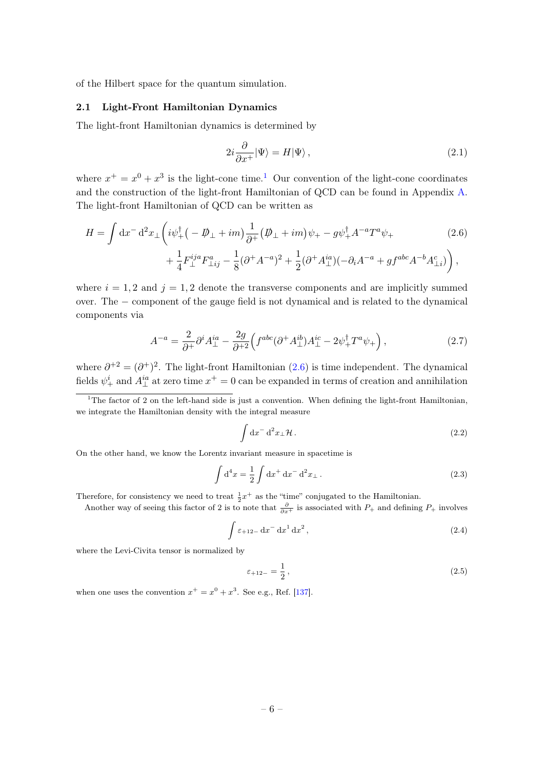of the Hilbert space for the quantum simulation.

#### <span id="page-6-0"></span>2.1 Light-Front Hamiltonian Dynamics

The light-front Hamiltonian dynamics is determined by

<span id="page-6-2"></span>
$$
2i\frac{\partial}{\partial x^+}|\Psi\rangle = H|\Psi\rangle\,,\tag{2.1}
$$

where  $x^+ = x^0 + x^3$  is the light-cone time.<sup>[1](#page-6-1)</sup> Our convention of the light-cone coordinates and the construction of the light-front Hamiltonian of QCD can be found in Appendix [A.](#page-28-0) The light-front Hamiltonian of QCD can be written as

$$
H = \int dx^{-} d^{2}x \pm \left( i\psi_{+}^{\dagger} \left( -\not{D}_{\perp} + im \right) \frac{1}{\partial^{+}} (\not{D}_{\perp} + im)\psi_{+} - g\psi_{+}^{\dagger} A^{-a} T^{a} \psi_{+} \right. \\
\left. + \frac{1}{4} F_{\perp}^{ija} F_{\perp ij}^{a} - \frac{1}{8} (\partial^{+} A^{-a})^{2} + \frac{1}{2} (\partial^{+} A^{ia}_{\perp}) (-\partial_{i} A^{-a} + gf^{abc} A^{-b} A^{c}_{\perp i}) \right),
$$
\n(2.6)

where  $i = 1, 2$  and  $j = 1, 2$  denote the transverse components and are implicitly summed over. The − component of the gauge field is not dynamical and is related to the dynamical components via

<span id="page-6-3"></span>
$$
A^{-a} = \frac{2}{\partial^+} \partial^i A^{ia}_\perp - \frac{2g}{\partial^+{}^2} \Big( f^{abc} (\partial^+ A^{ib}_\perp) A^{ic}_\perp - 2\psi_+^\dagger T^a \psi_+ \Big) , \tag{2.7}
$$

where  $\partial^{+2} = (\partial^{+})^2$ . The light-front Hamiltonian [\(2.6\)](#page-6-2) is time independent. The dynamical fields  $\psi_+^i$  and  $A_\perp^{ia}$  at zero time  $x^+=0$  can be expanded in terms of creation and annihilation

<span id="page-6-1"></span><sup>1</sup>The factor of 2 on the left-hand side is just a convention. When defining the light-front Hamiltonian, we integrate the Hamiltonian density with the integral measure

$$
\int \mathrm{d}x^- \, \mathrm{d}^2 x_\perp \mathcal{H} \,. \tag{2.2}
$$

On the other hand, we know the Lorentz invariant measure in spacetime is

$$
\int d^4x = \frac{1}{2} \int dx^+ dx^- d^2x_\perp.
$$
\n(2.3)

Therefore, for consistency we need to treat  $\frac{1}{2}x^+$  as the "time" conjugated to the Hamiltonian.

Another way of seeing this factor of 2 is to note that  $\frac{\partial}{\partial x^{+}}$  is associated with  $P_{+}$  and defining  $P_{+}$  involves

$$
\int \varepsilon_{+12-} \, dx^{-} \, dx^{1} \, dx^{2}, \tag{2.4}
$$

where the Levi-Civita tensor is normalized by

$$
\varepsilon_{+12-} = \frac{1}{2},\tag{2.5}
$$

when one uses the convention  $x^+ = x^0 + x^3$ . See e.g., Ref. [\[137\]](#page-43-7).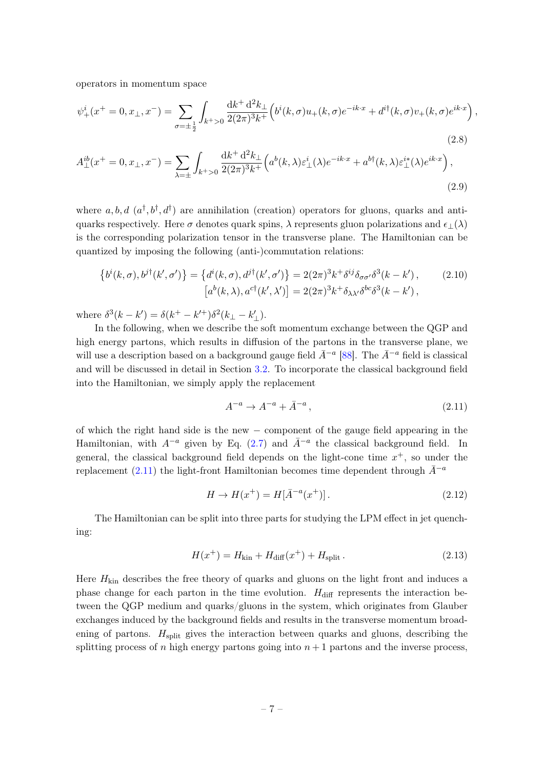operators in momentum space

$$
\psi_{+}^{i}(x^{+}=0,x_{\perp},x^{-}) = \sum_{\sigma=\pm\frac{1}{2}} \int_{k^{+}>0} \frac{dk^{+} d^{2}k_{\perp}}{2(2\pi)^{3}k^{+}} \Big(b^{i}(k,\sigma)u_{+}(k,\sigma)e^{-ik\cdot x} + d^{i\dagger}(k,\sigma)v_{+}(k,\sigma)e^{ik\cdot x}\Big),\tag{2.8}
$$

$$
A_{\perp}^{ib}(x^{+}=0,x_{\perp},x^{-}) = \sum_{\lambda=\pm} \int_{k^{+}>0} \frac{\mathrm{d}k^{+} \, \mathrm{d}^{2}k_{\perp}}{2(2\pi)^{3}k^{+}} \Big(a^{b}(k,\lambda)\varepsilon_{\perp}^{i}(\lambda)e^{-ik\cdot x} + a^{b\dagger}(k,\lambda)\varepsilon_{\perp}^{i*}(\lambda)e^{ik\cdot x}\Big),\tag{2.9}
$$

where  $a, b, d \ (a^{\dagger}, b^{\dagger}, d^{\dagger})$  are annihilation (creation) operators for gluons, quarks and antiquarks respectively. Here  $\sigma$  denotes quark spins,  $\lambda$  represents gluon polarizations and  $\epsilon_{\perp}(\lambda)$ is the corresponding polarization tensor in the transverse plane. The Hamiltonian can be quantized by imposing the following (anti-)commutation relations:

$$
\left\{b^{i}(k,\sigma),b^{j\dagger}(k',\sigma')\right\} = \left\{d^{i}(k,\sigma),d^{j\dagger}(k',\sigma')\right\} = 2(2\pi)^{3}k^{+}\delta^{ij}\delta_{\sigma\sigma'}\delta^{3}(k-k'),\qquad(2.10)
$$

$$
\left[a^{b}(k,\lambda),a^{c\dagger}(k',\lambda')\right] = 2(2\pi)^{3}k^{+}\delta_{\lambda\lambda'}\delta^{bc}\delta^{3}(k-k'),
$$

where  $\delta^3(k - k') = \delta(k^+ - k'^+) \delta^2(k_\perp - k'_\perp).$ 

In the following, when we describe the soft momentum exchange between the QGP and high energy partons, which results in diffusion of the partons in the transverse plane, we will use a description based on a background gauge field  $\bar{A}^{-a}$  [\[88\]](#page-41-9). The  $\bar{A}^{-a}$  field is classical and will be discussed in detail in Section [3.2.](#page-12-0) To incorporate the classical background field into the Hamiltonian, we simply apply the replacement

<span id="page-7-0"></span>
$$
A^{-a} \to A^{-a} + \bar{A}^{-a} \,,\tag{2.11}
$$

of which the right hand side is the new − component of the gauge field appearing in the Hamiltonian, with  $A^{-a}$  given by Eq. [\(2.7\)](#page-6-3) and  $\bar{A}^{-a}$  the classical background field. In general, the classical background field depends on the light-cone time  $x^+$ , so under the replacement [\(2.11\)](#page-7-0) the light-front Hamiltonian becomes time dependent through  $\bar{A}^{-a}$ 

$$
H \to H(x^+) = H[\bar{A}^{-a}(x^+)].
$$
\n(2.12)

The Hamiltonian can be split into three parts for studying the LPM effect in jet quenching:

$$
H(x^{+}) = H_{\text{kin}} + H_{\text{diff}}(x^{+}) + H_{\text{split}}.
$$
\n(2.13)

Here  $H_{\text{kin}}$  describes the free theory of quarks and gluons on the light front and induces a phase change for each parton in the time evolution.  $H_{\text{diff}}$  represents the interaction between the QGP medium and quarks/gluons in the system, which originates from Glauber exchanges induced by the background fields and results in the transverse momentum broadening of partons.  $H<sub>split</sub>$  gives the interaction between quarks and gluons, describing the splitting process of n high energy partons going into  $n+1$  partons and the inverse process,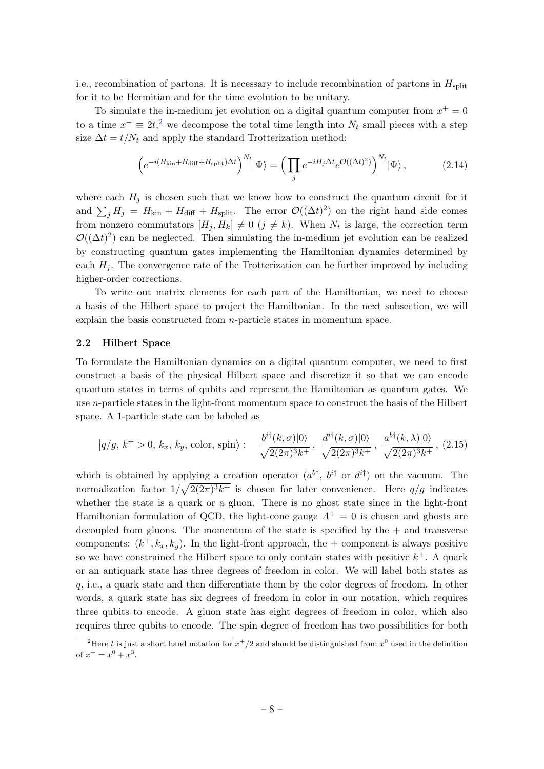i.e., recombination of partons. It is necessary to include recombination of partons in  $H_{split}$ for it to be Hermitian and for the time evolution to be unitary.

To simulate the in-medium jet evolution on a digital quantum computer from  $x^+ = 0$ to a time  $x^+ \equiv 2t^2$  $x^+ \equiv 2t^2$  $x^+ \equiv 2t^2$ , we decompose the total time length into  $N_t$  small pieces with a step size  $\Delta t = t/N_t$  and apply the standard Trotterization method:

$$
\left(e^{-i(H_{\rm kin} + H_{\rm diff} + H_{\rm split})\Delta t}\right)^{N_t} |\Psi\rangle = \left(\prod_j e^{-iH_j\Delta t} e^{\mathcal{O}((\Delta t)^2)}\right)^{N_t} |\Psi\rangle, \tag{2.14}
$$

where each  $H_i$  is chosen such that we know how to construct the quantum circuit for it and  $\sum_j H_j = H_{kin} + H_{diff} + H_{split}$ . The error  $\mathcal{O}((\Delta t)^2)$  on the right hand side comes from nonzero commutators  $[H_j, H_k] \neq 0$   $(j \neq k)$ . When  $N_t$  is large, the correction term  $\mathcal{O}((\Delta t)^2)$  can be neglected. Then simulating the in-medium jet evolution can be realized by constructing quantum gates implementing the Hamiltonian dynamics determined by each  $H_i$ . The convergence rate of the Trotterization can be further improved by including higher-order corrections.

To write out matrix elements for each part of the Hamiltonian, we need to choose a basis of the Hilbert space to project the Hamiltonian. In the next subsection, we will explain the basis constructed from  $n$ -particle states in momentum space.

#### <span id="page-8-0"></span>2.2 Hilbert Space

To formulate the Hamiltonian dynamics on a digital quantum computer, we need to first construct a basis of the physical Hilbert space and discretize it so that we can encode quantum states in terms of qubits and represent the Hamiltonian as quantum gates. We use n-particle states in the light-front momentum space to construct the basis of the Hilbert space. A 1-particle state can be labeled as

<span id="page-8-2"></span>
$$
|q/g, k^+ > 0, k_x, k_y, \text{color, spin} \rangle: \frac{b^{i\dagger}(k, \sigma)|0\rangle}{\sqrt{2(2\pi)^3 k^+}}, \frac{d^{i\dagger}(k, \sigma)|0\rangle}{\sqrt{2(2\pi)^3 k^+}}, \frac{a^{b\dagger}(k, \lambda)|0\rangle}{\sqrt{2(2\pi)^3 k^+}}, (2.15)
$$

which is obtained by applying a creation operator  $(a^{b\dagger}, b^{i\dagger} \text{ or } d^{i\dagger})$  on the vacuum. The normalization factor  $1/\sqrt{2(2\pi)^3 k^+}$  is chosen for later convenience. Here  $q/g$  indicates whether the state is a quark or a gluon. There is no ghost state since in the light-front Hamiltonian formulation of QCD, the light-cone gauge  $A^+=0$  is chosen and ghosts are decoupled from gluons. The momentum of the state is specified by the  $+$  and transverse components:  $(k^+, k_x, k_y)$ . In the light-front approach, the + component is always positive so we have constrained the Hilbert space to only contain states with positive  $k^+$ . A quark or an antiquark state has three degrees of freedom in color. We will label both states as q, i.e., a quark state and then differentiate them by the color degrees of freedom. In other words, a quark state has six degrees of freedom in color in our notation, which requires three qubits to encode. A gluon state has eight degrees of freedom in color, which also requires three qubits to encode. The spin degree of freedom has two possibilities for both

<span id="page-8-1"></span><sup>&</sup>lt;sup>2</sup>Here t is just a short hand notation for  $x^+/2$  and should be distinguished from  $x^0$  used in the definition of  $x^+ = x^0 + x^3$ .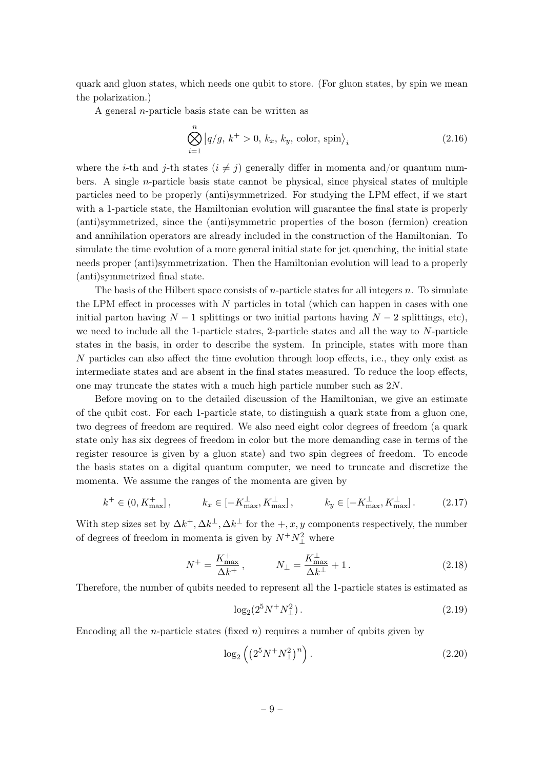quark and gluon states, which needs one qubit to store. (For gluon states, by spin we mean the polarization.)

A general n-particle basis state can be written as

$$
\bigotimes_{i=1}^{n} |q/g, k^{+} > 0, k_{x}, k_{y}, \text{color, spin}\rangle_{i}
$$
\n(2.16)

where the *i*-th and *j*-th states  $(i \neq j)$  generally differ in momenta and/or quantum numbers. A single  $n$ -particle basis state cannot be physical, since physical states of multiple particles need to be properly (anti)symmetrized. For studying the LPM effect, if we start with a 1-particle state, the Hamiltonian evolution will guarantee the final state is properly (anti)symmetrized, since the (anti)symmetric properties of the boson (fermion) creation and annihilation operators are already included in the construction of the Hamiltonian. To simulate the time evolution of a more general initial state for jet quenching, the initial state needs proper (anti)symmetrization. Then the Hamiltonian evolution will lead to a properly (anti)symmetrized final state.

The basis of the Hilbert space consists of *n*-particle states for all integers  $n$ . To simulate the LPM effect in processes with  $N$  particles in total (which can happen in cases with one initial parton having  $N-1$  splittings or two initial partons having  $N-2$  splittings, etc), we need to include all the 1-particle states, 2-particle states and all the way to  $N$ -particle states in the basis, in order to describe the system. In principle, states with more than N particles can also affect the time evolution through loop effects, i.e., they only exist as intermediate states and are absent in the final states measured. To reduce the loop effects, one may truncate the states with a much high particle number such as 2N.

Before moving on to the detailed discussion of the Hamiltonian, we give an estimate of the qubit cost. For each 1-particle state, to distinguish a quark state from a gluon one, two degrees of freedom are required. We also need eight color degrees of freedom (a quark state only has six degrees of freedom in color but the more demanding case in terms of the register resource is given by a gluon state) and two spin degrees of freedom. To encode the basis states on a digital quantum computer, we need to truncate and discretize the momenta. We assume the ranges of the momenta are given by

$$
k^{+} \in (0, K_{\max}^{+}], \qquad k_{x} \in [-K_{\max}^{\perp}, K_{\max}^{\perp}], \qquad k_{y} \in [-K_{\max}^{\perp}, K_{\max}^{\perp}]. \tag{2.17}
$$

With step sizes set by  $\Delta k^+$ ,  $\Delta k^{\perp}$ ,  $\Delta k^{\perp}$  for the  $+, x, y$  components respectively, the number of degrees of freedom in momenta is given by  $N^+N_\perp^2$  where

$$
N^{+} = \frac{K_{\text{max}}^{+}}{\Delta k^{+}}, \qquad N_{\perp} = \frac{K_{\text{max}}^{\perp}}{\Delta k^{\perp}} + 1. \tag{2.18}
$$

Therefore, the number of qubits needed to represent all the 1-particle states is estimated as

$$
\log_2(2^5 N^+ N_\perp^2). \tag{2.19}
$$

Encoding all the *n*-particle states (fixed *n*) requires a number of qubits given by

$$
\log_2\left(\left(2^5N^+N_\perp^2\right)^n\right). \tag{2.20}
$$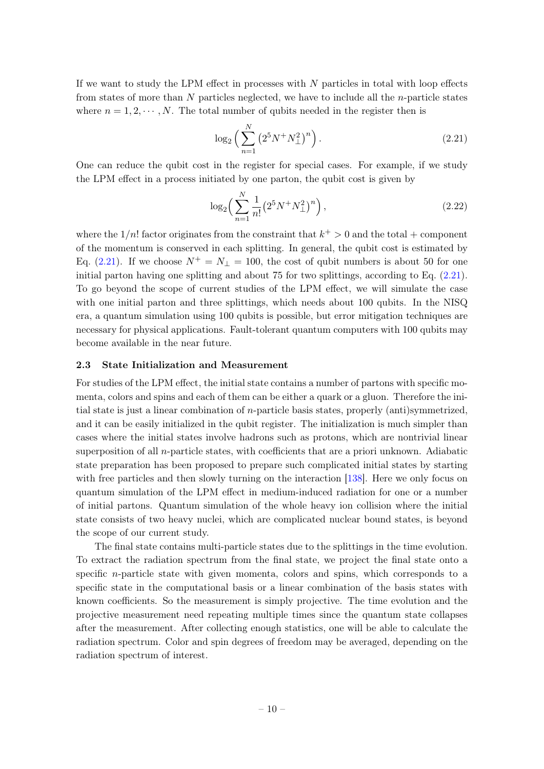If we want to study the LPM effect in processes with  $N$  particles in total with loop effects from states of more than  $N$  particles neglected, we have to include all the  $n$ -particle states where  $n = 1, 2, \dots, N$ . The total number of qubits needed in the register then is

<span id="page-10-1"></span>
$$
\log_2\left(\sum_{n=1}^N \left(2^5 N^+ N_\perp^2\right)^n\right). \tag{2.21}
$$

One can reduce the qubit cost in the register for special cases. For example, if we study the LPM effect in a process initiated by one parton, the qubit cost is given by

$$
\log_2\left(\sum_{n=1}^N \frac{1}{n!} \left(2^5 N^+ N_\perp^2\right)^n\right),\tag{2.22}
$$

where the  $1/n!$  factor originates from the constraint that  $k^+ > 0$  and the total + component of the momentum is conserved in each splitting. In general, the qubit cost is estimated by Eq. [\(2.21\)](#page-10-1). If we choose  $N^+ = N_{\perp} = 100$ , the cost of qubit numbers is about 50 for one initial parton having one splitting and about 75 for two splittings, according to Eq. [\(2.21\)](#page-10-1). To go beyond the scope of current studies of the LPM effect, we will simulate the case with one initial parton and three splittings, which needs about 100 qubits. In the NISQ era, a quantum simulation using 100 qubits is possible, but error mitigation techniques are necessary for physical applications. Fault-tolerant quantum computers with 100 qubits may become available in the near future.

## <span id="page-10-0"></span>2.3 State Initialization and Measurement

For studies of the LPM effect, the initial state contains a number of partons with specific momenta, colors and spins and each of them can be either a quark or a gluon. Therefore the initial state is just a linear combination of n-particle basis states, properly (anti)symmetrized, and it can be easily initialized in the qubit register. The initialization is much simpler than cases where the initial states involve hadrons such as protons, which are nontrivial linear superposition of all  $n$ -particle states, with coefficients that are a priori unknown. Adiabatic state preparation has been proposed to prepare such complicated initial states by starting with free particles and then slowly turning on the interaction [\[138\]](#page-43-8). Here we only focus on quantum simulation of the LPM effect in medium-induced radiation for one or a number of initial partons. Quantum simulation of the whole heavy ion collision where the initial state consists of two heavy nuclei, which are complicated nuclear bound states, is beyond the scope of our current study.

The final state contains multi-particle states due to the splittings in the time evolution. To extract the radiation spectrum from the final state, we project the final state onto a specific n-particle state with given momenta, colors and spins, which corresponds to a specific state in the computational basis or a linear combination of the basis states with known coefficients. So the measurement is simply projective. The time evolution and the projective measurement need repeating multiple times since the quantum state collapses after the measurement. After collecting enough statistics, one will be able to calculate the radiation spectrum. Color and spin degrees of freedom may be averaged, depending on the radiation spectrum of interest.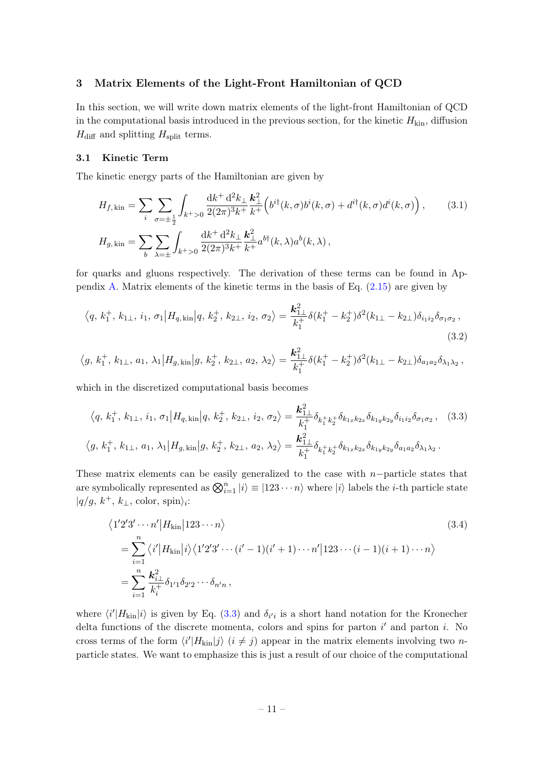#### <span id="page-11-0"></span>3 Matrix Elements of the Light-Front Hamiltonian of QCD

In this section, we will write down matrix elements of the light-front Hamiltonian of QCD in the computational basis introduced in the previous section, for the kinetic  $H_{\text{kin}}$ , diffusion  $H_{\text{diff}}$  and splitting  $H_{\text{split}}$  terms.

#### <span id="page-11-1"></span>3.1 Kinetic Term

The kinetic energy parts of the Hamiltonian are given by

$$
H_{f,\text{kin}} = \sum_{i} \sum_{\sigma=\pm\frac{1}{2}} \int_{k+\geq 0} \frac{dk^{+} d^{2}k_{\perp}}{2(2\pi)^{3}k^{+}} \frac{k_{\perp}^{2}}{k^{+}} \Big(b^{i\dagger}(k,\sigma)b^{i}(k,\sigma) + d^{i\dagger}(k,\sigma)d^{i}(k,\sigma)\Big), \qquad (3.1)
$$

$$
H_{g,\text{kin}} = \sum_{b} \sum_{\lambda=\pm} \int_{k+\geq 0} \frac{dk^{+} d^{2}k_{\perp}}{2(2\pi)^{3}k^{+}} \frac{k_{\perp}^{2}}{k^{+}} a^{b\dagger}(k,\lambda)a^{b}(k,\lambda),
$$

for quarks and gluons respectively. The derivation of these terms can be found in Ap-pendix [A.](#page-28-0) Matrix elements of the kinetic terms in the basis of Eq.  $(2.15)$  are given by

$$
\langle q, k_1^+, k_{1\perp}, i_1, \sigma_1 | H_{q, \text{kin}} | q, k_2^+, k_{2\perp}, i_2, \sigma_2 \rangle = \frac{k_{1\perp}^2}{k_1^+} \delta(k_1^+ - k_2^+) \delta^2(k_{1\perp} - k_{2\perp}) \delta_{i_1 i_2} \delta_{\sigma_1 \sigma_2},
$$
\n(3.2)

$$
\left\langle g, k_1^+, k_{1\perp}, a_1, \lambda_1 \Big| H_{g, \text{kin}} \Big| g, k_2^+, k_{2\perp}, a_2, \lambda_2 \right\rangle = \frac{k_{1\perp}^2}{k_1^+} \delta(k_1^+ - k_2^+) \delta^2(k_{1\perp} - k_{2\perp}) \delta_{a_1 a_2} \delta_{\lambda_1 \lambda_2} \,,
$$

which in the discretized computational basis becomes

$$
\langle q, k_1^+, k_{1\perp}, i_1, \sigma_1 | H_{q, \text{kin}} | q, k_2^+, k_{2\perp}, i_2, \sigma_2 \rangle = \frac{k_{1\perp}^2}{k_1^+} \delta_{k_1^+ k_2^+} \delta_{k_{1x} k_{2x}} \delta_{k_{1y} k_{2y}} \delta_{i_1 i_2} \delta_{\sigma_1 \sigma_2}, \quad (3.3)
$$
  

$$
\langle g, k_1^+, k_{1\perp}, a_1, \lambda_1 | H_{g, \text{kin}} | g, k_2^+, k_{2\perp}, a_2, \lambda_2 \rangle = \frac{k_{1\perp}^2}{k_1^+} \delta_{k_1^+ k_2^+} \delta_{k_{1x} k_{2x}} \delta_{k_{1y} k_{2y}} \delta_{a_1 a_2} \delta_{\lambda_1 \lambda_2}.
$$

These matrix elements can be easily generalized to the case with  $n$ −particle states that are symbolically represented as  $\bigotimes_{i=1}^{n} |i\rangle \equiv |123 \cdots n\rangle$  where  $|i\rangle$  labels the *i*-th particle state  $|q/g, k^+, k_\perp, \text{color, spin}\rangle_i$ :

<span id="page-11-2"></span>
$$
\langle 1'2'3' \cdots n' | H_{\text{kin}} | 123 \cdots n \rangle
$$
\n
$$
= \sum_{i=1}^{n} \langle i' | H_{\text{kin}} | i \rangle \langle 1'2'3' \cdots (i'-1)(i'+1) \cdots n' | 123 \cdots (i-1)(i+1) \cdots n \rangle
$$
\n
$$
= \sum_{i=1}^{n} \frac{k_{i\perp}^{2}}{k_{i}^{+}} \delta_{1'1} \delta_{2'2} \cdots \delta_{n'n},
$$
\n(3.4)

where  $\langle i'|H_{\rm kin}|i\rangle$  is given by Eq. [\(3.3\)](#page-11-2) and  $\delta_{i'i}$  is a short hand notation for the Kronecher delta functions of the discrete momenta, colors and spins for parton  $i'$  and parton i. No cross terms of the form  $\langle i'|H_{\text{kin}}|j\rangle$   $(i \neq j)$  appear in the matrix elements involving two nparticle states. We want to emphasize this is just a result of our choice of the computational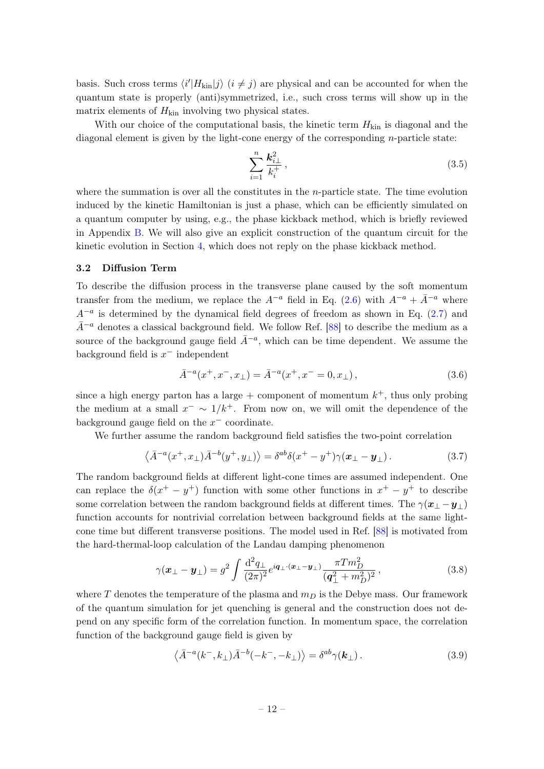basis. Such cross terms  $\langle i'|H_{\rm kin}|j\rangle$   $(i \neq j)$  are physical and can be accounted for when the quantum state is properly (anti)symmetrized, i.e., such cross terms will show up in the matrix elements of  $H_{\text{kin}}$  involving two physical states.

With our choice of the computational basis, the kinetic term  $H_{kin}$  is diagonal and the diagonal element is given by the light-cone energy of the corresponding n-particle state:

$$
\sum_{i=1}^{n} \frac{\mathbf{k}_{i\perp}^2}{k_i^+},\tag{3.5}
$$

where the summation is over all the constitutes in the n-particle state. The time evolution induced by the kinetic Hamiltonian is just a phase, which can be efficiently simulated on a quantum computer by using, e.g., the phase kickback method, which is briefly reviewed in Appendix [B.](#page-35-0) We will also give an explicit construction of the quantum circuit for the kinetic evolution in Section [4,](#page-19-0) which does not reply on the phase kickback method.

#### <span id="page-12-0"></span>3.2 Diffusion Term

To describe the diffusion process in the transverse plane caused by the soft momentum transfer from the medium, we replace the  $A^{-a}$  field in Eq. [\(2.6\)](#page-6-2) with  $A^{-a} + \bar{A}^{-a}$  where  $A^{-a}$  is determined by the dynamical field degrees of freedom as shown in Eq. [\(2.7\)](#page-6-3) and  $\bar{A}^{-a}$  denotes a classical background field. We follow Ref. [\[88\]](#page-41-9) to describe the medium as a source of the background gauge field  $\bar{A}^{-a}$ , which can be time dependent. We assume the background field is  $x^-$  independent

$$
\bar{A}^{-a}(x^+, x^-, x_\perp) = \bar{A}^{-a}(x^+, x^- = 0, x_\perp), \qquad (3.6)
$$

since a high energy parton has a large  $+$  component of momentum  $k^+$ , thus only probing the medium at a small  $x^{-} \sim 1/k^{+}$ . From now on, we will omit the dependence of the background gauge field on the  $x^-$  coordinate.

We further assume the random background field satisfies the two-point correlation

$$
\langle \bar{A}^{-a}(x^+, x_\perp) \bar{A}^{-b}(y^+, y_\perp) \rangle = \delta^{ab} \delta(x^+ - y^+) \gamma(x_\perp - y_\perp). \tag{3.7}
$$

The random background fields at different light-cone times are assumed independent. One can replace the  $\delta(x^+ - y^+)$  function with some other functions in  $x^+ - y^+$  to describe some correlation between the random background fields at different times. The  $\gamma(x_\perp - y_\perp)$ function accounts for nontrivial correlation between background fields at the same lightcone time but different transverse positions. The model used in Ref. [\[88\]](#page-41-9) is motivated from the hard-thermal-loop calculation of the Landau damping phenomenon

$$
\gamma(\boldsymbol{x}_{\perp} - \boldsymbol{y}_{\perp}) = g^2 \int \frac{\mathrm{d}^2 q_{\perp}}{(2\pi)^2} e^{i \boldsymbol{q}_{\perp} \cdot (\boldsymbol{x}_{\perp} - \boldsymbol{y}_{\perp})} \frac{\pi T m_D^2}{(\boldsymbol{q}_{\perp}^2 + m_D^2)^2}, \qquad (3.8)
$$

where T denotes the temperature of the plasma and  $m<sub>D</sub>$  is the Debye mass. Our framework of the quantum simulation for jet quenching is general and the construction does not depend on any specific form of the correlation function. In momentum space, the correlation function of the background gauge field is given by

$$
\langle \bar{A}^{-a}(k^-,k_\perp)\bar{A}^{-b}(-k^-,-k_\perp)\rangle = \delta^{ab}\gamma(\mathbf{k}_\perp).
$$
 (3.9)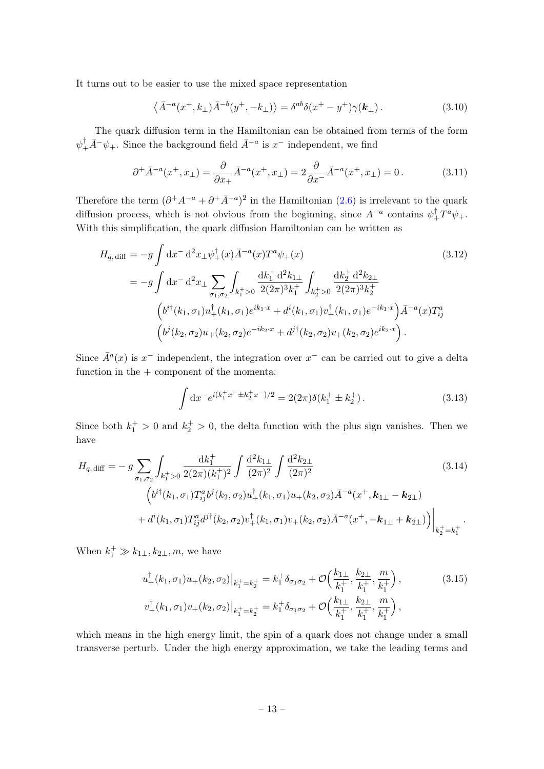It turns out to be easier to use the mixed space representation

<span id="page-13-1"></span>
$$
\langle \bar{A}^{-a}(x^+,k_\perp)\bar{A}^{-b}(y^+,-k_\perp)\rangle = \delta^{ab}\delta(x^+-y^+)\gamma(\mathbf{k}_\perp). \tag{3.10}
$$

The quark diffusion term in the Hamiltonian can be obtained from terms of the form  $\psi_+^{\dagger} \bar{A}^- \psi_+$ . Since the background field  $\bar{A}^{-a}$  is  $x^-$  independent, we find

$$
\partial^+ \bar{A}^{-a}(x^+, x_\perp) = \frac{\partial}{\partial x_+} \bar{A}^{-a}(x^+, x_\perp) = 2 \frac{\partial}{\partial x_-} \bar{A}^{-a}(x^+, x_\perp) = 0. \tag{3.11}
$$

Therefore the term  $(\partial^+ A^{-a} + \partial^+ \bar{A}^{-a})^2$  in the Hamiltonian  $(2.6)$  is irrelevant to the quark diffusion process, which is not obvious from the beginning, since  $A^{-a}$  contains  $\psi_+^{\dagger}T^a\psi_+$ . With this simplification, the quark diffusion Hamiltonian can be written as

$$
H_{q, \text{diff}} = -g \int \mathrm{d}x^{-} \mathrm{d}^{2}x_{\perp} \psi_{+}^{\dagger}(x) \bar{A}^{-a}(x) T^{a} \psi_{+}(x)
$$
\n
$$
= -g \int \mathrm{d}x^{-} \mathrm{d}^{2}x_{\perp} \sum_{\sigma_{1}, \sigma_{2}} \int_{k_{1}^{+} > 0} \frac{\mathrm{d}k_{1}^{+} \mathrm{d}^{2}k_{1\perp}}{2(2\pi)^{3}k_{1}^{+}} \int_{k_{2}^{+} > 0} \frac{\mathrm{d}k_{2}^{+} \mathrm{d}^{2}k_{2\perp}}{2(2\pi)^{3}k_{2}^{+}}
$$
\n
$$
\left(b^{i\dagger}(k_{1}, \sigma_{1}) u_{+}^{\dagger}(k_{1}, \sigma_{1}) e^{ik_{1} \cdot x} + d^{i}(k_{1}, \sigma_{1}) v_{+}^{\dagger}(k_{1}, \sigma_{1}) e^{-ik_{1} \cdot x}\right) \bar{A}^{-a}(x) T_{ij}^{a}
$$
\n
$$
\left(b^{j}(k_{2}, \sigma_{2}) u_{+}(k_{2}, \sigma_{2}) e^{-ik_{2} \cdot x} + d^{j\dagger}(k_{2}, \sigma_{2}) v_{+}(k_{2}, \sigma_{2}) e^{ik_{2} \cdot x}\right).
$$
\n(3.12)

Since  $\bar{A}^a(x)$  is  $x^-$  independent, the integration over  $x^-$  can be carried out to give a delta function in the  $+$  component of the momenta:

<span id="page-13-0"></span>
$$
\int dx^- e^{i(k_1^+ x^- \pm k_2^+ x^-)/2} = 2(2\pi)\delta(k_1^+ \pm k_2^+).
$$
\n(3.13)

Since both  $k_1^+ > 0$  and  $k_2^+ > 0$ , the delta function with the plus sign vanishes. Then we have

$$
H_{q, \text{diff}} = -g \sum_{\sigma_1, \sigma_2} \int_{k_1^+ > 0} \frac{dk_1^+}{2(2\pi)(k_1^+)^2} \int \frac{d^2 k_{1\perp}}{(2\pi)^2} \int \frac{d^2 k_{2\perp}}{(2\pi)^2} \tag{3.14}
$$

$$
\left(b^{i\dagger}(k_1, \sigma_1) T_{ij}^a b^j(k_2, \sigma_2) u_+^{\dagger}(k_1, \sigma_1) u_+(k_2, \sigma_2) \bar{A}^{-a}(x^+, k_{1\perp} - k_{2\perp})\right. \\
\left. + d^i(k_1, \sigma_1) T_{ij}^a d^{j\dagger}(k_2, \sigma_2) v_+^{\dagger}(k_1, \sigma_1) v_+(k_2, \sigma_2) \bar{A}^{-a}(x^+, -k_{1\perp} + k_{2\perp})\right)\Big|_{k_2^+ = k_1^+}.
$$

When  $k_1^+ \gg k_{1\perp}, k_{2\perp}, m$ , we have

$$
u_{+}^{\dagger}(k_{1},\sigma_{1})u_{+}(k_{2},\sigma_{2})\big|_{k_{1}^{+}=k_{2}^{+}} = k_{1}^{+}\delta_{\sigma_{1}\sigma_{2}} + \mathcal{O}\Big(\frac{k_{1\perp}}{k_{1}^{+}},\frac{k_{2\perp}}{k_{1}^{+}},\frac{m}{k_{1}^{+}}\Big),
$$
\n
$$
v_{+}^{\dagger}(k_{1},\sigma_{1})v_{+}(k_{2},\sigma_{2})\big|_{k_{1}^{+}=k_{2}^{+}} = k_{1}^{+}\delta_{\sigma_{1}\sigma_{2}} + \mathcal{O}\Big(\frac{k_{1\perp}}{k_{1}^{+}},\frac{k_{2\perp}}{k_{1}^{+}},\frac{m}{k_{1}^{+}}\Big),
$$
\n(3.15)

which means in the high energy limit, the spin of a quark does not change under a small transverse perturb. Under the high energy approximation, we take the leading terms and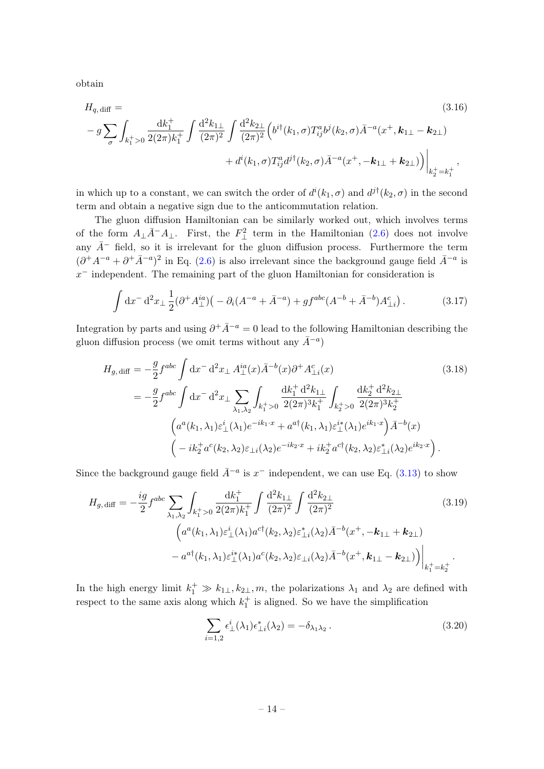obtain

<span id="page-14-0"></span>
$$
H_{q, \text{diff}} = (3.16)
$$
  

$$
- g \sum_{\sigma} \int_{k_1^+ > 0} \frac{dk_1^+}{2(2\pi)k_1^+} \int \frac{d^2k_{1\perp}}{(2\pi)^2} \int \frac{d^2k_{2\perp}}{(2\pi)^2} \left( b^{i\dagger}(k_1, \sigma) T_{ij}^a b^j(k_2, \sigma) \bar{A}^{-a}(x^+, \mathbf{k}_{1\perp} - \mathbf{k}_{2\perp}) \right. \\
\left. + d^i(k_1, \sigma) T_{ij}^a d^{j\dagger}(k_2, \sigma) \bar{A}^{-a}(x^+, -\mathbf{k}_{1\perp} + \mathbf{k}_{2\perp}) \right) \Big|_{k_2^+ = k_1^+},
$$
\n(3.16)

in which up to a constant, we can switch the order of  $d^{i}(k_1, \sigma)$  and  $d^{j\dagger}(k_2, \sigma)$  in the second term and obtain a negative sign due to the anticommutation relation.

The gluon diffusion Hamiltonian can be similarly worked out, which involves terms of the form  $A_{\perp} \bar{A}^- A_{\perp}$ . First, the  $F_{\perp}^2$  term in the Hamiltonian [\(2.6\)](#page-6-2) does not involve any  $\bar{A}^-$  field, so it is irrelevant for the gluon diffusion process. Furthermore the term  $(\partial^+ A^{-a} + \partial^+ \bar{A}^{-a})^2$  in Eq. [\(2.6\)](#page-6-2) is also irrelevant since the background gauge field  $\bar{A}^{-a}$  is  $x<sup>-</sup>$  independent. The remaining part of the gluon Hamiltonian for consideration is

$$
\int dx^{-} d^{2}x \perp \frac{1}{2} (\partial^{+}A_{\perp}^{ia}) \left( -\partial_{i} (A^{-a} + \bar{A}^{-a}) + gf^{abc} (A^{-b} + \bar{A}^{-b}) A_{\perp i}^{c} \right). \tag{3.17}
$$

Integration by parts and using  $\partial^+ \bar{A}^{-a} = 0$  lead to the following Hamiltonian describing the gluon diffusion process (we omit terms without any  $\bar{A}^{-a}$ )

$$
H_{g, \text{diff}} = -\frac{g}{2} f^{abc} \int \mathrm{d}x^- \, \mathrm{d}^2 x_\perp A^{\text{ia}}_\perp(x) \bar{A}^{-b}(x) \partial^+ A^c_{\perp i}(x) \tag{3.18}
$$
\n
$$
= -\frac{g}{2} f^{abc} \int \mathrm{d}x^- \, \mathrm{d}^2 x_\perp \sum_{\lambda_1, \lambda_2} \int_{k_1^+ > 0} \frac{\mathrm{d}k_1^+ \, \mathrm{d}^2 k_{1\perp}}{2(2\pi)^3 k_1^+} \int_{k_2^+ > 0} \frac{\mathrm{d}k_2^+ \, \mathrm{d}^2 k_{2\perp}}{2(2\pi)^3 k_2^+} \left( a^a(k_1, \lambda_1) \varepsilon_\perp^i(\lambda_1) e^{-ik_1 \cdot x} + a^{a\dagger}(k_1, \lambda_1) \varepsilon_\perp^{i*}(\lambda_1) e^{ik_1 \cdot x} \right) \bar{A}^{-b}(x) \left( -ik_2^+ a^c(k_2, \lambda_2) \varepsilon_{\perp i}(\lambda_2) e^{-ik_2 \cdot x} + ik_2^+ a^{c\dagger}(k_2, \lambda_2) \varepsilon_{\perp i}^*(\lambda_2) e^{ik_2 \cdot x} \right).
$$
\n
$$
(3.18)
$$

Since the background gauge field  $\bar{A}^{-a}$  is  $x^-$  independent, we can use Eq. [\(3.13\)](#page-13-0) to show

$$
H_{g, \text{diff}} = -\frac{ig}{2} f^{abc} \sum_{\lambda_1, \lambda_2} \int_{k_1^+ > 0} \frac{\mathrm{d}k_1^+}{2(2\pi)k_1^+} \int \frac{\mathrm{d}^2 k_{1\perp}}{(2\pi)^2} \int \frac{\mathrm{d}^2 k_{2\perp}}{(2\pi)^2} \qquad (3.19)
$$

$$
\left( a^a(k_1, \lambda_1) \varepsilon_\perp^i (\lambda_1) a^{c\dagger}(k_2, \lambda_2) \varepsilon_{\perp i}^*(\lambda_2) \bar{A}^{-b}(x^+, -\mathbf{k}_{1\perp} + \mathbf{k}_{2\perp}) \right. \\ \left. - a^{a\dagger}(k_1, \lambda_1) \varepsilon_\perp^{i*}(\lambda_1) a^c(k_2, \lambda_2) \varepsilon_{\perp i}(\lambda_2) \bar{A}^{-b}(x^+, \mathbf{k}_{1\perp} - \mathbf{k}_{2\perp}) \right) \Big|_{k_1^+ = k_2^+} .
$$

In the high energy limit  $k_1^+ \gg k_1 \pounds$ ,  $k_2 \pounds$ , m, the polarizations  $\lambda_1$  and  $\lambda_2$  are defined with respect to the same axis along which  $k_1^+$  is aligned. So we have the simplification

$$
\sum_{i=1,2} \epsilon^i_\perp(\lambda_1) \epsilon^*_{\perp i}(\lambda_2) = -\delta_{\lambda_1 \lambda_2} \,. \tag{3.20}
$$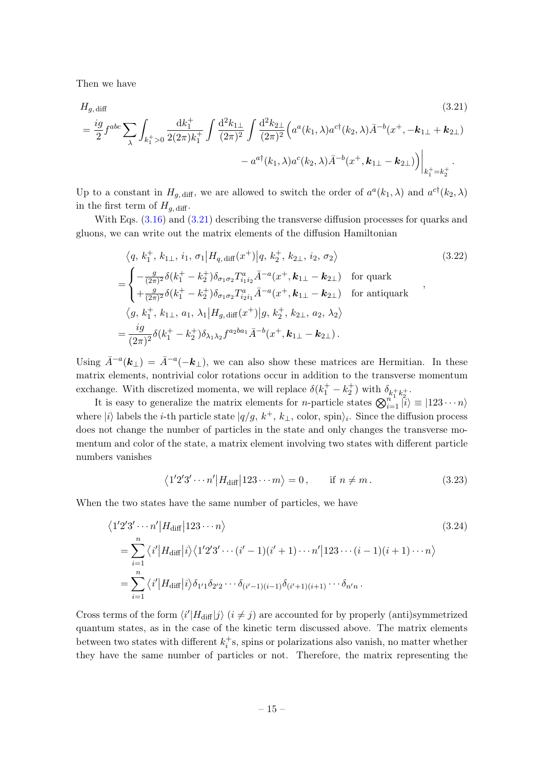Then we have

 $H_{g, \text{diff}}$  (3.21)

<span id="page-15-0"></span>
$$
= \frac{ig}{2} f^{abc} \sum_{\lambda} \int_{k_1^+ > 0} \frac{dk_1^+}{2(2\pi)k_1^+} \int \frac{d^2 k_{1\perp}}{(2\pi)^2} \int \frac{d^2 k_{2\perp}}{(2\pi)^2} \Big( a^a(k_1, \lambda) a^{c\dagger}(k_2, \lambda) \bar{A}^{-b}(x^+, -k_{1\perp} + k_{2\perp}) - a^{a\dagger}(k_1, \lambda) a^c(k_2, \lambda) \bar{A}^{-b}(x^+, k_{1\perp} - k_{2\perp}) \Big) \Big|_{k_1^+ = k_2^+}.
$$

Up to a constant in  $H_{g,\text{diff}}$ , we are allowed to switch the order of  $a^a(k_1,\lambda)$  and  $a^{c\dagger}(k_2,\lambda)$ in the first term of  $H_{q, \text{diff}}$ .

With Eqs.  $(3.16)$  and  $(3.21)$  describing the transverse diffusion processes for quarks and gluons, we can write out the matrix elements of the diffusion Hamiltonian

$$
\langle q, k_{1}^{+}, k_{1\perp}, i_{1}, \sigma_{1} | H_{q, \text{diff}}(x^{+}) | q, k_{2}^{+}, k_{2\perp}, i_{2}, \sigma_{2} \rangle
$$
\n
$$
= \begin{cases}\n-\frac{g}{(2\pi)^{2}} \delta(k_{1}^{+} - k_{2}^{+}) \delta_{\sigma_{1}\sigma_{2}} T_{i_{1}i_{2}}^{a} \bar{A}^{-a}(x^{+}, \mathbf{k}_{1\perp} - \mathbf{k}_{2\perp}) & \text{for quark} \\
+\frac{g}{(2\pi)^{2}} \delta(k_{1}^{+} - k_{2}^{+}) \delta_{\sigma_{1}\sigma_{2}} T_{i_{2}i_{1}}^{a} \bar{A}^{-a}(x^{+}, \mathbf{k}_{1\perp} - \mathbf{k}_{2\perp}) & \text{for antiquark} \n\end{cases}
$$
\n
$$
\langle q, k_{1}^{+}, k_{1\perp}, a_{1}, \lambda_{1} | H_{g, \text{diff}}(x^{+}) | g, k_{2}^{+}, k_{2\perp}, a_{2}, \lambda_{2} \rangle
$$
\n
$$
= \frac{ig}{(2\pi)^{2}} \delta(k_{1}^{+} - k_{2}^{+}) \delta_{\lambda_{1}\lambda_{2}} f^{a_{2}b a_{1}} \bar{A}^{-b}(x^{+}, \mathbf{k}_{1\perp} - \mathbf{k}_{2\perp}).
$$
\n(3.22)

Using  $\bar{A}^{-a}(\mathbf{k}_{\perp}) = \bar{A}^{-a}(-\mathbf{k}_{\perp})$ , we can also show these matrices are Hermitian. In these matrix elements, nontrivial color rotations occur in addition to the transverse momentum exchange. With discretized momenta, we will replace  $\delta(k_1^+ - k_2^+)$  with  $\delta_{k_1^+ k_2^+}$ .

It is easy to generalize the matrix elements for *n*-particle states  $\bigotimes_{i=1}^{n_1} \overline{\ket{i}} \equiv |123 \cdots n\rangle$ where  $|i\rangle$  labels the *i*-th particle state  $|q/g, k^+, k_\perp, \text{ color}, \text{spin}\rangle_i$ . Since the diffusion process does not change the number of particles in the state and only changes the transverse momentum and color of the state, a matrix element involving two states with different particle numbers vanishes

$$
\langle 1'2'3' \cdots n' | H_{\text{diff}} | 123 \cdots m \rangle = 0, \quad \text{if } n \neq m. \tag{3.23}
$$

When the two states have the same number of particles, we have

$$
\langle 1'2'3' \cdots n' | H_{\text{diff}} | 123 \cdots n \rangle
$$
\n
$$
= \sum_{i=1}^{n} \langle i' | H_{\text{diff}} | i \rangle \langle 1'2'3' \cdots (i'-1)(i'+1) \cdots n' | 123 \cdots (i-1)(i+1) \cdots n \rangle
$$
\n
$$
= \sum_{i=1}^{n} \langle i' | H_{\text{diff}} | i \rangle \delta_{1'1} \delta_{2'2} \cdots \delta_{(i'-1)(i-1)} \delta_{(i'+1)(i+1)} \cdots \delta_{n'n}.
$$
\n(3.24)

Cross terms of the form  $\langle i'|H_{\text{diff}}|j\rangle$   $(i \neq j)$  are accounted for by properly (anti)symmetrized quantum states, as in the case of the kinetic term discussed above. The matrix elements between two states with different  $k_i^+$ s, spins or polarizations also vanish, no matter whether they have the same number of particles or not. Therefore, the matrix representing the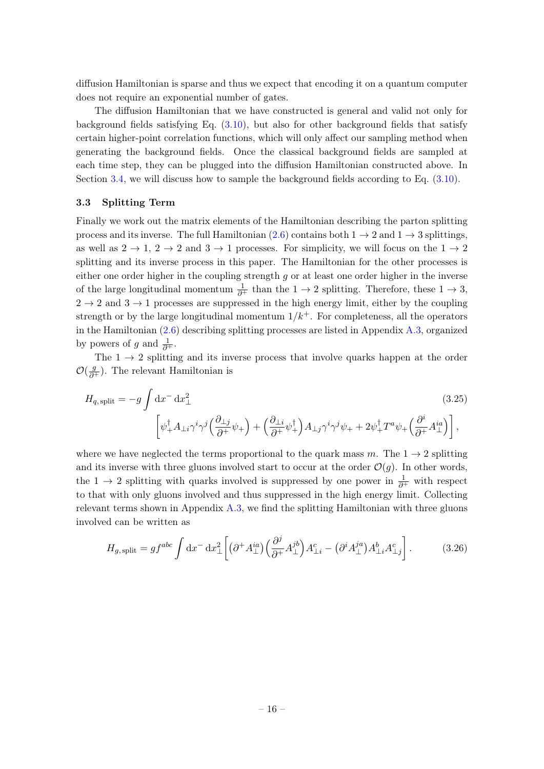diffusion Hamiltonian is sparse and thus we expect that encoding it on a quantum computer does not require an exponential number of gates.

The diffusion Hamiltonian that we have constructed is general and valid not only for background fields satisfying Eq. [\(3.10\)](#page-13-1), but also for other background fields that satisfy certain higher-point correlation functions, which will only affect our sampling method when generating the background fields. Once the classical background fields are sampled at each time step, they can be plugged into the diffusion Hamiltonian constructed above. In Section [3.4,](#page-17-0) we will discuss how to sample the background fields according to Eq. [\(3.10\)](#page-13-1).

#### <span id="page-16-0"></span>3.3 Splitting Term

Finally we work out the matrix elements of the Hamiltonian describing the parton splitting process and its inverse. The full Hamiltonian [\(2.6\)](#page-6-2) contains both  $1 \rightarrow 2$  and  $1 \rightarrow 3$  splittings, as well as  $2 \rightarrow 1$ ,  $2 \rightarrow 2$  and  $3 \rightarrow 1$  processes. For simplicity, we will focus on the  $1 \rightarrow 2$ splitting and its inverse process in this paper. The Hamiltonian for the other processes is either one order higher in the coupling strength q or at least one order higher in the inverse of the large longitudinal momentum  $\frac{1}{\partial^+}$  than the  $1 \to 2$  splitting. Therefore, these  $1 \to 3$ ,  $2 \rightarrow 2$  and  $3 \rightarrow 1$  processes are suppressed in the high energy limit, either by the coupling strength or by the large longitudinal momentum  $1/k^+$ . For completeness, all the operators in the Hamiltonian [\(2.6\)](#page-6-2) describing splitting processes are listed in Appendix [A.3,](#page-34-0) organized by powers of g and  $\frac{1}{\partial^+}$ .

The  $1 \rightarrow 2$  splitting and its inverse process that involve quarks happen at the order  $\mathcal{O}(\frac{g}{\partial^+})$ . The relevant Hamiltonian is

$$
H_{q,\,\text{split}} = -g \int \mathrm{d}x^- \, \mathrm{d}x^2_{\perp} \tag{3.25}
$$
\n
$$
\left[ \psi_+^\dagger A_{\perp i} \gamma^i \gamma^j \left( \frac{\partial_{\perp j}}{\partial^+} \psi_+ \right) + \left( \frac{\partial_{\perp i}}{\partial^+} \psi_+^\dagger \right) A_{\perp j} \gamma^i \gamma^j \psi_+ + 2 \psi_+^\dagger T^a \psi_+ \left( \frac{\partial^i}{\partial^+} A_{\perp}^{ia} \right) \right],
$$

where we have neglected the terms proportional to the quark mass m. The  $1 \rightarrow 2$  splitting and its inverse with three gluons involved start to occur at the order  $\mathcal{O}(g)$ . In other words, the 1  $\rightarrow$  2 splitting with quarks involved is suppressed by one power in  $\frac{1}{\partial^+}$  with respect to that with only gluons involved and thus suppressed in the high energy limit. Collecting relevant terms shown in Appendix [A.3,](#page-34-0) we find the splitting Hamiltonian with three gluons involved can be written as

$$
H_{g,\,\text{split}} = gf^{abc} \int \mathrm{d}x^- \,\mathrm{d}x_\perp^2 \left[ \left( \partial^+ A_\perp^{ia} \right) \left( \frac{\partial^j}{\partial^+} A_\perp^{jb} \right) A_{\perp i}^c - \left( \partial^i A_\perp^{ja} \right) A_{\perp i}^b A_{\perp j}^c \right]. \tag{3.26}
$$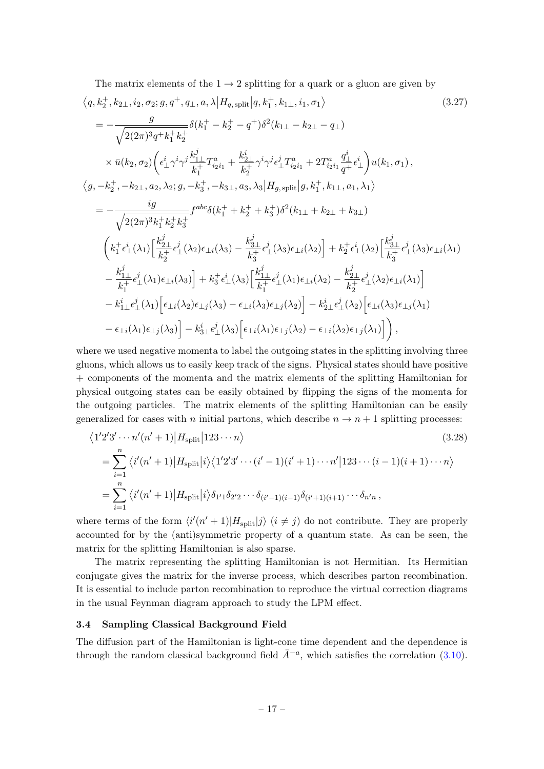The matrix elements of the  $1 \rightarrow 2$  splitting for a quark or a gluon are given by

$$
\langle q, k_{2}^{+}, k_{2\perp}, i_{2}, \sigma_{2}; g, q^{+}, q_{\perp}, a, \lambda | H_{q, \text{split}} | q, k_{1}^{+}, k_{1\perp}, i_{1}, \sigma_{1} \rangle \qquad (3.27)
$$
\n
$$
= -\frac{g}{\sqrt{2(2\pi)^{3}q^{+}k_{1}^{+}k_{2}^{+}}} \delta(k_{1}^{+} - k_{2}^{+} - q^{+}) \delta^{2}(k_{1\perp} - k_{2\perp} - q_{\perp}) \qquad (3.27)
$$
\n
$$
\times \bar{u}(k_{2}, \sigma_{2}) \left( \epsilon_{\perp}^{i} \gamma^{i} \gamma^{j} \frac{k_{1\perp}^{j}}{k_{1}^{+}} T_{i_{2}i_{1}}^{a} + \frac{k_{2\perp}^{i}}{k_{2}^{+}} \gamma^{i} \gamma^{j} \epsilon_{\perp}^{j} T_{i_{2}i_{1}}^{a} + 2T_{i_{2}i_{1}}^{a} \frac{q_{\perp}^{i}}{q^{+}} \epsilon_{\perp}^{i} \right) u(k_{1}, \sigma_{1}),
$$
\n
$$
\langle g, -k_{2}^{+}, -k_{2\perp}, a_{2}, \lambda_{2}; g, -k_{3}^{+}, -k_{3\perp}, a_{3}, \lambda_{3} | H_{g, \text{split}} | g, k_{1}^{+}, k_{1\perp}, a_{1}, \lambda_{1} \rangle
$$
\n
$$
= -\frac{ig}{\sqrt{2(2\pi)^{3}k_{1}^{+}k_{2}^{+}k_{3}^{+}}} f^{abc} \delta(k_{1}^{+} + k_{2}^{+} + k_{3}^{+}) \delta^{2}(k_{1\perp} + k_{2\perp} + k_{3\perp})
$$
\n
$$
\left( k_{1}^{+} \epsilon_{\perp}^{i}(\lambda_{1}) \left[ \frac{k_{2\perp}^{j}}{k_{2}^{+}} \epsilon_{\perp}^{i}(\lambda_{2}) \epsilon_{\perp i}(\lambda_{3}) - \frac{k_{3\perp}^{j}}{k_{3}^{+}} \epsilon_{\perp}^{i}(\lambda_{3}) \epsilon_{\perp i}(\lambda_{2}) \right] + k_{2}^{+} \epsilon_{\perp}^{i}(\lambda_{2}) \left[ \frac{k
$$

where we used negative momenta to label the outgoing states in the splitting involving three gluons, which allows us to easily keep track of the signs. Physical states should have positive + components of the momenta and the matrix elements of the splitting Hamiltonian for physical outgoing states can be easily obtained by flipping the signs of the momenta for the outgoing particles. The matrix elements of the splitting Hamiltonian can be easily generalized for cases with n initial partons, which describe  $n \to n+1$  splitting processes:

$$
\langle 1'2'3' \cdots n'(n'+1) | H_{split} | 123 \cdots n \rangle
$$
\n
$$
= \sum_{i=1}^{n} \langle i'(n'+1) | H_{split} | i \rangle \langle 1'2'3' \cdots (i'-1)(i'+1) \cdots n' | 123 \cdots (i-1)(i+1) \cdots n \rangle
$$
\n
$$
= \sum_{i=1}^{n} \langle i'(n'+1) | H_{split} | i \rangle \delta_{1'1} \delta_{2'2} \cdots \delta_{(i'-1)(i-1)} \delta_{(i'+1)(i+1)} \cdots \delta_{n'n},
$$
\n(3.28)

where terms of the form  $\langle i'(n'+1)|H_{split}|j\rangle$   $(i \neq j)$  do not contribute. They are properly accounted for by the (anti)symmetric property of a quantum state. As can be seen, the matrix for the splitting Hamiltonian is also sparse.

The matrix representing the splitting Hamiltonian is not Hermitian. Its Hermitian conjugate gives the matrix for the inverse process, which describes parton recombination. It is essential to include parton recombination to reproduce the virtual correction diagrams in the usual Feynman diagram approach to study the LPM effect.

## <span id="page-17-0"></span>3.4 Sampling Classical Background Field

The diffusion part of the Hamiltonian is light-cone time dependent and the dependence is through the random classical background field  $\bar{A}^{-a}$ , which satisfies the correlation [\(3.10\)](#page-13-1).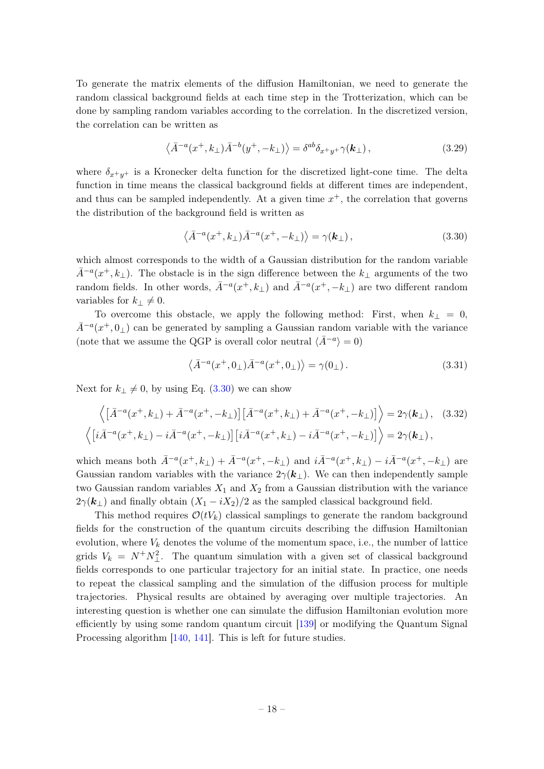To generate the matrix elements of the diffusion Hamiltonian, we need to generate the random classical background fields at each time step in the Trotterization, which can be done by sampling random variables according to the correlation. In the discretized version, the correlation can be written as

$$
\langle \bar{A}^{-a}(x^+,k_\perp)\bar{A}^{-b}(y^+,-k_\perp)\rangle = \delta^{ab}\delta_{x^+y^+}\gamma(\mathbf{k}_\perp)\,,\tag{3.29}
$$

where  $\delta_{x^+y^+}$  is a Kronecker delta function for the discretized light-cone time. The delta function in time means the classical background fields at different times are independent, and thus can be sampled independently. At a given time  $x^+$ , the correlation that governs the distribution of the background field is written as

<span id="page-18-0"></span>
$$
\langle \bar{A}^{-a}(x^+,k_\perp)\bar{A}^{-a}(x^+,-k_\perp)\rangle = \gamma(\mathbf{k}_\perp),\tag{3.30}
$$

which almost corresponds to the width of a Gaussian distribution for the random variable  $\bar{A}^{-a}(x^+, k_\perp)$ . The obstacle is in the sign difference between the  $k_\perp$  arguments of the two random fields. In other words,  $\bar{A}^{-a}(x^+, k_\perp)$  and  $\bar{A}^{-a}(x^+, -k_\perp)$  are two different random variables for  $k_{\perp} \neq 0$ .

To overcome this obstacle, we apply the following method: First, when  $k_{\perp} = 0$ ,  $\bar{A}^{-a}(x^+,0_\perp)$  can be generated by sampling a Gaussian random variable with the variance (note that we assume the QGP is overall color neutral  $\langle \bar{A}^{-a} \rangle = 0$ )

$$
\langle \bar{A}^{-a}(x^+, 0_\perp) \bar{A}^{-a}(x^+, 0_\perp) \rangle = \gamma(0_\perp). \tag{3.31}
$$

Next for  $k_{\perp} \neq 0$ , by using Eq. [\(3.30\)](#page-18-0) we can show

$$
\left\langle \left[ \bar{A}^{-a}(x^+,k_\perp) + \bar{A}^{-a}(x^+, -k_\perp) \right] \left[ \bar{A}^{-a}(x^+, k_\perp) + \bar{A}^{-a}(x^+, -k_\perp) \right] \right\rangle = 2\gamma(\mathbf{k}_\perp), \quad (3.32)
$$
  

$$
\left\langle \left[ i\bar{A}^{-a}(x^+, k_\perp) - i\bar{A}^{-a}(x^+, -k_\perp) \right] \left[ i\bar{A}^{-a}(x^+, k_\perp) - i\bar{A}^{-a}(x^+, -k_\perp) \right] \right\rangle = 2\gamma(\mathbf{k}_\perp),
$$

which means both  $\bar{A}^{-a}(x^+, k_\perp) + \bar{A}^{-a}(x^+, -k_\perp)$  and  $i\bar{A}^{-a}(x^+, k_\perp) - i\bar{A}^{-a}(x^+, -k_\perp)$  are Gaussian random variables with the variance  $2\gamma(\mathbf{k}_\perp)$ . We can then independently sample two Gaussian random variables  $X_1$  and  $X_2$  from a Gaussian distribution with the variance  $2\gamma(\mathbf{k}_{\perp})$  and finally obtain  $(X_1 - iX_2)/2$  as the sampled classical background field.

This method requires  $\mathcal{O}(tV_k)$  classical samplings to generate the random background fields for the construction of the quantum circuits describing the diffusion Hamiltonian evolution, where  $V_k$  denotes the volume of the momentum space, i.e., the number of lattice grids  $V_k = N^+ N^2_{\perp}$ . The quantum simulation with a given set of classical background fields corresponds to one particular trajectory for an initial state. In practice, one needs to repeat the classical sampling and the simulation of the diffusion process for multiple trajectories. Physical results are obtained by averaging over multiple trajectories. An interesting question is whether one can simulate the diffusion Hamiltonian evolution more efficiently by using some random quantum circuit [\[139\]](#page-43-9) or modifying the Quantum Signal Processing algorithm [\[140,](#page-44-0) [141\]](#page-44-1). This is left for future studies.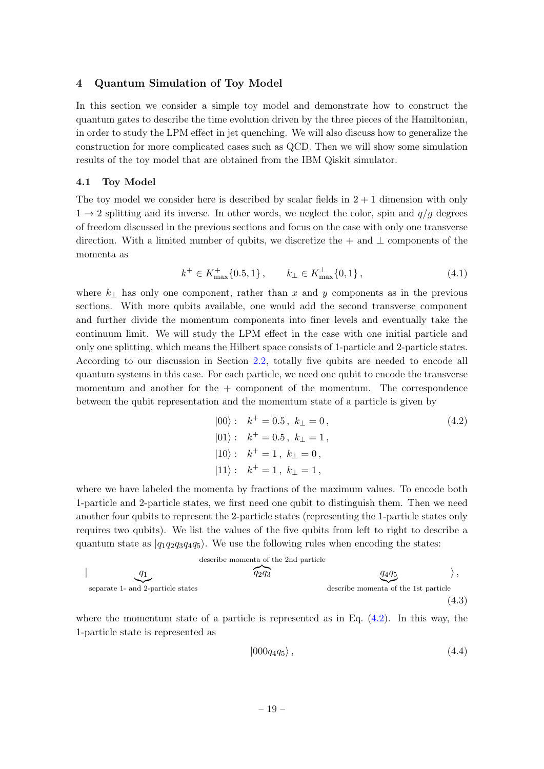## <span id="page-19-0"></span>4 Quantum Simulation of Toy Model

In this section we consider a simple toy model and demonstrate how to construct the quantum gates to describe the time evolution driven by the three pieces of the Hamiltonian, in order to study the LPM effect in jet quenching. We will also discuss how to generalize the construction for more complicated cases such as QCD. Then we will show some simulation results of the toy model that are obtained from the IBM Qiskit simulator.

#### <span id="page-19-1"></span>4.1 Toy Model

The toy model we consider here is described by scalar fields in  $2 + 1$  dimension with only  $1 \rightarrow 2$  splitting and its inverse. In other words, we neglect the color, spin and  $q/q$  degrees of freedom discussed in the previous sections and focus on the case with only one transverse direction. With a limited number of qubits, we discretize the + and  $\perp$  components of the momenta as

$$
k^{+} \in K_{\max}^{+} \{0.5, 1\} , \qquad k_{\perp} \in K_{\max}^{\perp} \{0, 1\} , \tag{4.1}
$$

where  $k_{\perp}$  has only one component, rather than x and y components as in the previous sections. With more qubits available, one would add the second transverse component and further divide the momentum components into finer levels and eventually take the continuum limit. We will study the LPM effect in the case with one initial particle and only one splitting, which means the Hilbert space consists of 1-particle and 2-particle states. According to our discussion in Section [2.2,](#page-8-0) totally five qubits are needed to encode all quantum systems in this case. For each particle, we need one qubit to encode the transverse momentum and another for the  $+$  component of the momentum. The correspondence between the qubit representation and the momentum state of a particle is given by

<span id="page-19-2"></span>
$$
|00\rangle: \t k^+ = 0.5, \t k_{\perp} = 0,
$$
  
\n
$$
|01\rangle: \t k^+ = 0.5, \t k_{\perp} = 1,
$$
  
\n
$$
|10\rangle: \t k^+ = 1, \t k_{\perp} = 0,
$$
  
\n
$$
|11\rangle: \t k^+ = 1, \t k_{\perp} = 1,
$$
 (4.2)

where we have labeled the momenta by fractions of the maximum values. To encode both 1-particle and 2-particle states, we first need one qubit to distinguish them. Then we need another four qubits to represent the 2-particle states (representing the 1-particle states only requires two qubits). We list the values of the five qubits from left to right to describe a quantum state as  $|q_1q_2q_3q_4q_5\rangle$ . We use the following rules when encoding the states:

describe momenta of the 2nd particle  
\n
$$
q_1
$$
  
\nseparate 1- and 2-particle states  
\n $q_2q_3$   
\ndescribe momenta of the 1st particle  
\n $(4.3)$ 

where the momentum state of a particle is represented as in Eq.  $(4.2)$ . In this way, the 1-particle state is represented as

<span id="page-19-4"></span><span id="page-19-3"></span>
$$
|000q_4q_5\rangle, \t\t(4.4)
$$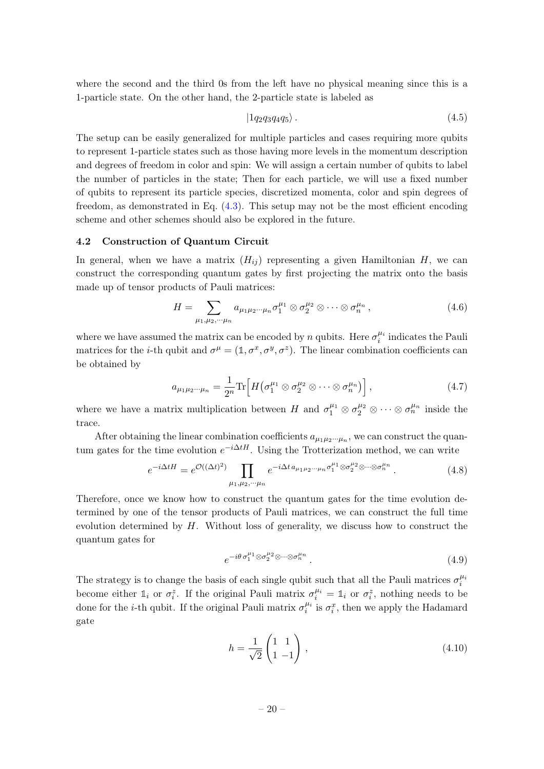where the second and the third 0s from the left have no physical meaning since this is a 1-particle state. On the other hand, the 2-particle state is labeled as

<span id="page-20-1"></span>
$$
|1q_2q_3q_4q_5\rangle. \t\t(4.5)
$$

The setup can be easily generalized for multiple particles and cases requiring more qubits to represent 1-particle states such as those having more levels in the momentum description and degrees of freedom in color and spin: We will assign a certain number of qubits to label the number of particles in the state; Then for each particle, we will use a fixed number of qubits to represent its particle species, discretized momenta, color and spin degrees of freedom, as demonstrated in Eq. [\(4.3\)](#page-19-3). This setup may not be the most efficient encoding scheme and other schemes should also be explored in the future.

#### <span id="page-20-0"></span>4.2 Construction of Quantum Circuit

In general, when we have a matrix  $(H_{ij})$  representing a given Hamiltonian H, we can construct the corresponding quantum gates by first projecting the matrix onto the basis made up of tensor products of Pauli matrices:

$$
H = \sum_{\mu_1, \mu_2, \cdots \mu_n} a_{\mu_1 \mu_2 \cdots \mu_n} \sigma_1^{\mu_1} \otimes \sigma_2^{\mu_2} \otimes \cdots \otimes \sigma_n^{\mu_n}, \qquad (4.6)
$$

where we have assumed the matrix can be encoded by n qubits. Here  $\sigma_i^{\mu_i}$  indicates the Pauli matrices for the *i*-th qubit and  $\sigma^{\mu} = (1, \sigma^x, \sigma^y, \sigma^z)$ . The linear combination coefficients can be obtained by

$$
a_{\mu_1\mu_2\cdots\mu_n} = \frac{1}{2^n} \text{Tr}\Big[ H\big(\sigma_1^{\mu_1} \otimes \sigma_2^{\mu_2} \otimes \cdots \otimes \sigma_n^{\mu_n}\big) \Big],\tag{4.7}
$$

where we have a matrix multiplication between H and  $\sigma_1^{\mu_1} \otimes \sigma_2^{\mu_2} \otimes \cdots \otimes \sigma_n^{\mu_n}$  inside the trace.

After obtaining the linear combination coefficients  $a_{\mu_1\mu_2\cdots\mu_n}$ , we can construct the quantum gates for the time evolution  $e^{-i\Delta tH}$ . Using the Trotterization method, we can write

$$
e^{-i\Delta tH} = e^{\mathcal{O}((\Delta t)^2)} \prod_{\mu_1,\mu_2,\cdots,\mu_n} e^{-i\Delta t a_{\mu_1\mu_2\cdots\mu_n}\sigma_1^{\mu_1} \otimes \sigma_2^{\mu_2} \otimes \cdots \otimes \sigma_n^{\mu_n}}.
$$
 (4.8)

Therefore, once we know how to construct the quantum gates for the time evolution determined by one of the tensor products of Pauli matrices, we can construct the full time evolution determined by  $H$ . Without loss of generality, we discuss how to construct the quantum gates for

$$
e^{-i\theta \sigma_1^{\mu_1} \otimes \sigma_2^{\mu_2} \otimes \cdots \otimes \sigma_n^{\mu_n}}.
$$
\n
$$
(4.9)
$$

The strategy is to change the basis of each single qubit such that all the Pauli matrices  $\sigma_i^{\mu_i}$ become either  $\mathbb{1}_i$  or  $\sigma_i^z$ . If the original Pauli matrix  $\sigma_i^{\mu_i} = \mathbb{1}_i$  or  $\sigma_i^z$ , nothing needs to be done for the *i*-th qubit. If the original Pauli matrix  $\sigma_i^{\mu_i}$  is  $\sigma_i^x$ , then we apply the Hadamard gate

$$
h = \frac{1}{\sqrt{2}} \begin{pmatrix} 1 & 1 \\ 1 & -1 \end{pmatrix},\tag{4.10}
$$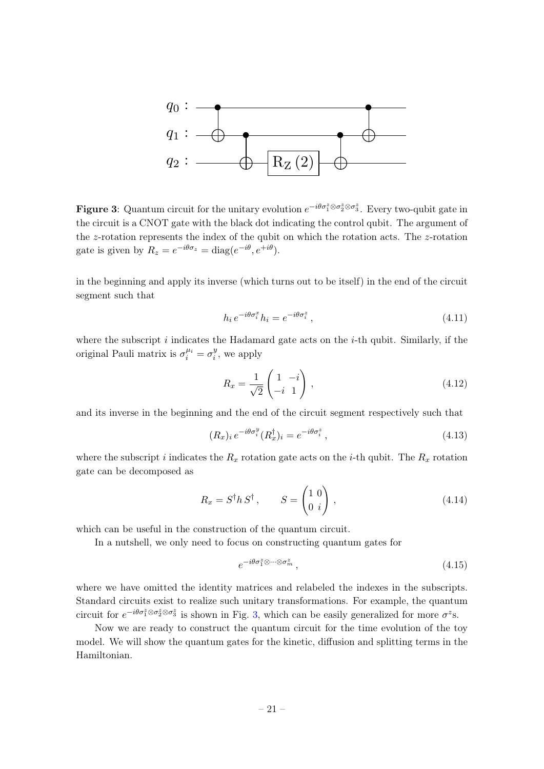<span id="page-21-0"></span>

**Figure 3:** Quantum circuit for the unitary evolution  $e^{-i\theta\sigma_1^z\otimes\sigma_2^z\otimes\sigma_3^z}$ . Every two-qubit gate in the circuit is a CNOT gate with the black dot indicating the control qubit. The argument of the z-rotation represents the index of the qubit on which the rotation acts. The z-rotation gate is given by  $R_z = e^{-i\theta \sigma_z} = \text{diag}(e^{-i\theta}, e^{+i\theta}).$ 

in the beginning and apply its inverse (which turns out to be itself) in the end of the circuit segment such that

$$
h_i e^{-i\theta \sigma_i^x} h_i = e^{-i\theta \sigma_i^z} , \qquad (4.11)
$$

where the subscript  $i$  indicates the Hadamard gate acts on the  $i$ -th qubit. Similarly, if the original Pauli matrix is  $\sigma_i^{\mu_i} = \sigma_i^y$  $i<sub>i</sub>$ , we apply

$$
R_x = \frac{1}{\sqrt{2}} \begin{pmatrix} 1 & -i \\ -i & 1 \end{pmatrix},\tag{4.12}
$$

and its inverse in the beginning and the end of the circuit segment respectively such that

$$
(R_x)_i e^{-i\theta \sigma_i^y} (R_x^{\dagger})_i = e^{-i\theta \sigma_i^z} , \qquad (4.13)
$$

where the subscript i indicates the  $R_x$  rotation gate acts on the *i*-th qubit. The  $R_x$  rotation gate can be decomposed as

$$
R_x = S^{\dagger} h S^{\dagger}, \qquad S = \begin{pmatrix} 1 & 0 \\ 0 & i \end{pmatrix}, \tag{4.14}
$$

which can be useful in the construction of the quantum circuit.

In a nutshell, we only need to focus on constructing quantum gates for

$$
e^{-i\theta \sigma_1^z \otimes \cdots \otimes \sigma_m^z},\tag{4.15}
$$

where we have omitted the identity matrices and relabeled the indexes in the subscripts. Standard circuits exist to realize such unitary transformations. For example, the quantum circuit for  $e^{-i\theta\sigma_1^z\otimes\sigma_2^z\otimes\sigma_3^z}$  is shown in Fig. [3,](#page-21-0) which can be easily generalized for more  $\sigma^z$ s.

Now we are ready to construct the quantum circuit for the time evolution of the toy model. We will show the quantum gates for the kinetic, diffusion and splitting terms in the Hamiltonian.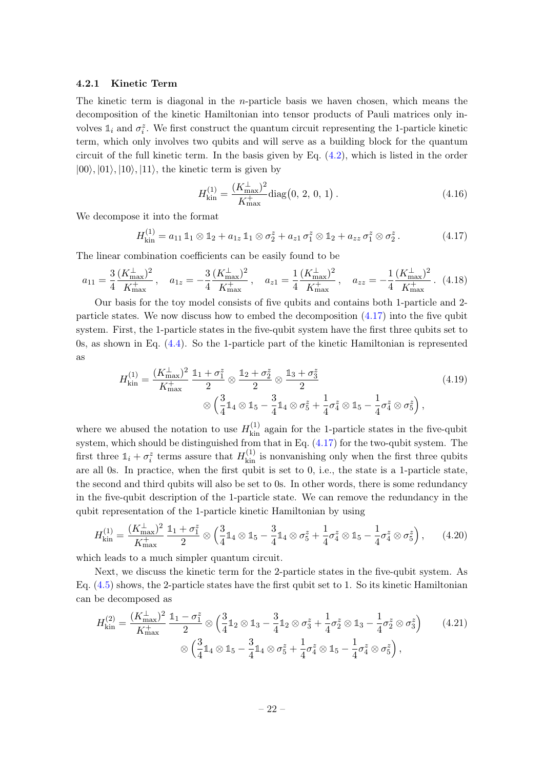### <span id="page-22-0"></span>4.2.1 Kinetic Term

The kinetic term is diagonal in the *n*-particle basis we haven chosen, which means the decomposition of the kinetic Hamiltonian into tensor products of Pauli matrices only involves  $\mathbb{1}_i$  and  $\sigma_i^z$ . We first construct the quantum circuit representing the 1-particle kinetic term, which only involves two qubits and will serve as a building block for the quantum circuit of the full kinetic term. In the basis given by Eq.  $(4.2)$ , which is listed in the order  $|00\rangle, |01\rangle, |10\rangle, |11\rangle,$  the kinetic term is given by

$$
H_{\text{kin}}^{(1)} = \frac{(K_{\text{max}}^{\perp})^2}{K_{\text{max}}^{\perp}} \text{diag}\big(0, 2, 0, 1\big) \,. \tag{4.16}
$$

We decompose it into the format

<span id="page-22-1"></span>
$$
H_{\text{kin}}^{(1)} = a_{11} \, \mathbb{1}_1 \otimes \mathbb{1}_2 + a_{1z} \, \mathbb{1}_1 \otimes \sigma_2^z + a_{z1} \, \sigma_1^z \otimes \mathbb{1}_2 + a_{zz} \, \sigma_1^z \otimes \sigma_2^z. \tag{4.17}
$$

The linear combination coefficients can be easily found to be

$$
a_{11} = \frac{3}{4} \frac{(K_{\text{max}}^{\perp})^2}{K_{\text{max}}^{\perp}}, \quad a_{1z} = -\frac{3}{4} \frac{(K_{\text{max}}^{\perp})^2}{K_{\text{max}}^{\perp}}, \quad a_{z1} = \frac{1}{4} \frac{(K_{\text{max}}^{\perp})^2}{K_{\text{max}}^{\perp}}, \quad a_{zz} = -\frac{1}{4} \frac{(K_{\text{max}}^{\perp})^2}{K_{\text{max}}^{\perp}}.
$$
 (4.18)

Our basis for the toy model consists of five qubits and contains both 1-particle and 2 particle states. We now discuss how to embed the decomposition [\(4.17\)](#page-22-1) into the five qubit system. First, the 1-particle states in the five-qubit system have the first three qubits set to 0s, as shown in Eq. [\(4.4\)](#page-19-4). So the 1-particle part of the kinetic Hamiltonian is represented as

$$
H_{\text{kin}}^{(1)} = \frac{(K_{\text{max}}^{\perp})^2}{K_{\text{max}}^+} \frac{\mathbb{1}_1 + \sigma_1^z}{2} \otimes \frac{\mathbb{1}_2 + \sigma_2^z}{2} \otimes \frac{\mathbb{1}_3 + \sigma_3^z}{2} \qquad (4.19)
$$
  
 
$$
\otimes \left(\frac{3}{4}\mathbb{1}_4 \otimes \mathbb{1}_5 - \frac{3}{4}\mathbb{1}_4 \otimes \sigma_5^z + \frac{1}{4}\sigma_4^z \otimes \mathbb{1}_5 - \frac{1}{4}\sigma_4^z \otimes \sigma_5^z\right),
$$

where we abused the notation to use  $H_{\text{kin}}^{(1)}$  again for the 1-particle states in the five-qubit system, which should be distinguished from that in Eq. [\(4.17\)](#page-22-1) for the two-qubit system. The first three  $\mathbb{1}_i + \sigma_i^z$  terms assure that  $H_{\text{kin}}^{(1)}$  is nonvanishing only when the first three qubits are all 0s. In practice, when the first qubit is set to 0, i.e., the state is a 1-particle state, the second and third qubits will also be set to 0s. In other words, there is some redundancy in the five-qubit description of the 1-particle state. We can remove the redundancy in the qubit representation of the 1-particle kinetic Hamiltonian by using

$$
H_{\text{kin}}^{(1)} = \frac{(K_{\text{max}}^{\perp})^2}{K_{\text{max}}^+} \frac{\mathbb{1}_1 + \sigma_1^z}{2} \otimes \left(\frac{3}{4}\mathbb{1}_4 \otimes \mathbb{1}_5 - \frac{3}{4}\mathbb{1}_4 \otimes \sigma_5^z + \frac{1}{4}\sigma_4^z \otimes \mathbb{1}_5 - \frac{1}{4}\sigma_4^z \otimes \sigma_5^z\right), \qquad (4.20)
$$

which leads to a much simpler quantum circuit.

Next, we discuss the kinetic term for the 2-particle states in the five-qubit system. As Eq. [\(4.5\)](#page-20-1) shows, the 2-particle states have the first qubit set to 1. So its kinetic Hamiltonian can be decomposed as

$$
H_{\text{kin}}^{(2)} = \frac{(K_{\text{max}}^{\perp})^2}{K_{\text{max}}^+} \frac{\mathbb{1}_1 - \sigma_1^z}{2} \otimes \left(\frac{3}{4}\mathbb{1}_2 \otimes \mathbb{1}_3 - \frac{3}{4}\mathbb{1}_2 \otimes \sigma_3^z + \frac{1}{4}\sigma_2^z \otimes \mathbb{1}_3 - \frac{1}{4}\sigma_2^z \otimes \sigma_3^z\right) \tag{4.21}
$$

$$
\otimes \left(\frac{3}{4}\mathbb{1}_4 \otimes \mathbb{1}_5 - \frac{3}{4}\mathbb{1}_4 \otimes \sigma_5^z + \frac{1}{4}\sigma_4^z \otimes \mathbb{1}_5 - \frac{1}{4}\sigma_4^z \otimes \sigma_5^z\right),
$$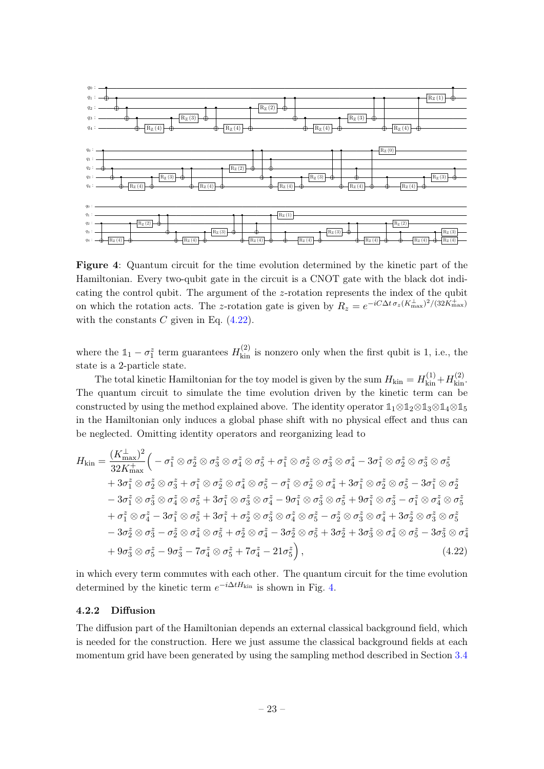<span id="page-23-2"></span>

Figure 4: Quantum circuit for the time evolution determined by the kinetic part of the Hamiltonian. Every two-qubit gate in the circuit is a CNOT gate with the black dot indicating the control qubit. The argument of the  $z$ -rotation represents the index of the qubit on which the rotation acts. The z-rotation gate is given by  $R_z = e^{-iC\Delta t \sigma_z (K_{\text{max}}^{\perp})^2/(32K_{\text{max}}^{\perp})^2}$ with the constants  $C$  given in Eq.  $(4.22)$ .

where the  $1\!\!1 - \sigma_1^z$  term guarantees  $H_{\text{kin}}^{(2)}$  is nonzero only when the first qubit is 1, i.e., the state is a 2-particle state.

The total kinetic Hamiltonian for the toy model is given by the sum  $H_{\text{kin}} = H_{\text{kin}}^{(1)} + H_{\text{kin}}^{(2)}$ . The quantum circuit to simulate the time evolution driven by the kinetic term can be constructed by using the method explained above. The identity operator **1**1⊗**1**2⊗**1**3⊗**1**4⊗**1**<sup>5</sup> in the Hamiltonian only induces a global phase shift with no physical effect and thus can be neglected. Omitting identity operators and reorganizing lead to

$$
H_{\text{kin}} = \frac{(K_{\text{max}}^{\perp})^2}{32K_{\text{max}}^{\perp}} \Big(-\sigma_1^z \otimes \sigma_2^z \otimes \sigma_3^z \otimes \sigma_4^z \otimes \sigma_5^z + \sigma_1^z \otimes \sigma_2^z \otimes \sigma_3^z \otimes \sigma_4^z - 3\sigma_1^z \otimes \sigma_2^z \otimes \sigma_3^z \otimes \sigma_5^z + 3\sigma_1^z \otimes \sigma_2^z \otimes \sigma_3^z + \sigma_1^z \otimes \sigma_2^z \otimes \sigma_4^z \otimes \sigma_5^z - \sigma_1^z \otimes \sigma_2^z \otimes \sigma_4^z + 3\sigma_1^z \otimes \sigma_2^z \otimes \sigma_5^z - 3\sigma_1^z \otimes \sigma_2^z - 3\sigma_1^z \otimes \sigma_3^z \otimes \sigma_4^z \otimes \sigma_5^z + 3\sigma_1^z \otimes \sigma_3^z \otimes \sigma_4^z - 9\sigma_1^z \otimes \sigma_3^z \otimes \sigma_5^z + 9\sigma_1^z \otimes \sigma_3^z - \sigma_1^z \otimes \sigma_4^z \otimes \sigma_5^z + \sigma_1^z \otimes \sigma_4^z - 3\sigma_1^z \otimes \sigma_5^z + 3\sigma_1^z + \sigma_2^z \otimes \sigma_3^z \otimes \sigma_4^z \otimes \sigma_5^z - \sigma_2^z \otimes \sigma_3^z \otimes \sigma_4^z + 3\sigma_2^z \otimes \sigma_3^z \otimes \sigma_5^z - 3\sigma_2^z \otimes \sigma_3^z - \sigma_2^z \otimes \sigma_4^z \otimes \sigma_5^z + \sigma_2^z \otimes \sigma_4^z - 3\sigma_2^z \otimes \sigma_5^z + 3\sigma_2^z + 3\sigma_3^z \otimes \sigma_4^z \otimes \sigma_5^z - 3\sigma_3^z \otimes \sigma_4^z + 9\sigma_3^z \otimes \sigma_5^z - 9\sigma_3^z - 7\sigma_4^z \otimes \sigma_5^z + 7\sigma_4^z - 21\sigma_5^z \Big), \qquad
$$

<span id="page-23-1"></span>in which every term commutes with each other. The quantum circuit for the time evolution determined by the kinetic term  $e^{-i\Delta t H_{\text{kin}}}$  is shown in Fig. [4.](#page-23-2)

#### <span id="page-23-0"></span>4.2.2 Diffusion

The diffusion part of the Hamiltonian depends an external classical background field, which is needed for the construction. Here we just assume the classical background fields at each momentum grid have been generated by using the sampling method described in Section [3.4](#page-17-0)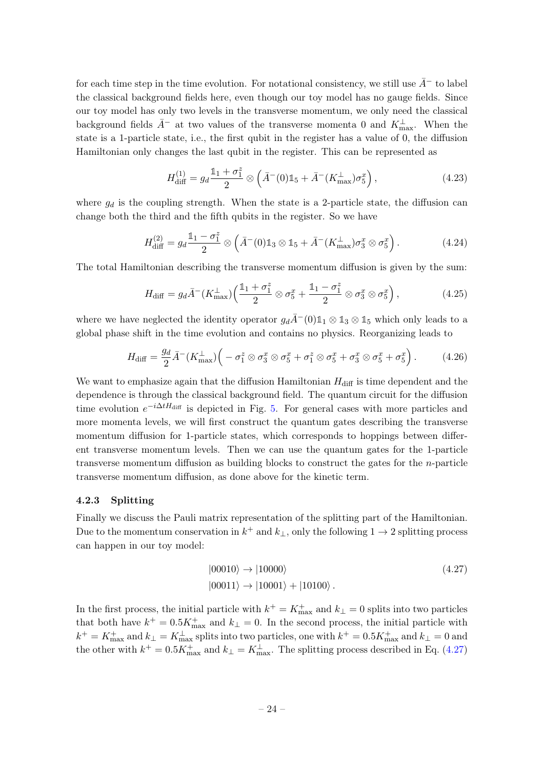for each time step in the time evolution. For notational consistency, we still use  $\bar{A}^-$  to label the classical background fields here, even though our toy model has no gauge fields. Since our toy model has only two levels in the transverse momentum, we only need the classical background fields  $\bar{A}^-$  at two values of the transverse momenta 0 and  $K_{\text{max}}^{\perp}$ . When the state is a 1-particle state, i.e., the first qubit in the register has a value of 0, the diffusion Hamiltonian only changes the last qubit in the register. This can be represented as

$$
H_{\text{diff}}^{(1)} = g_d \frac{\mathbb{1}_1 + \sigma_1^z}{2} \otimes \left( \bar{A}^-(0)\mathbb{1}_5 + \bar{A}^-(K_{\text{max}}^\perp)\sigma_5^x \right),\tag{4.23}
$$

where  $g_d$  is the coupling strength. When the state is a 2-particle state, the diffusion can change both the third and the fifth qubits in the register. So we have

$$
H_{\text{diff}}^{(2)} = g_d \frac{\mathbb{1}_1 - \sigma_1^2}{2} \otimes \left( \bar{A}^-(0) \mathbb{1}_3 \otimes \mathbb{1}_5 + \bar{A}^-(K_{\text{max}}^\perp) \sigma_3^x \otimes \sigma_5^x \right). \tag{4.24}
$$

The total Hamiltonian describing the transverse momentum diffusion is given by the sum:

$$
H_{\text{diff}} = g_d \bar{A}^-(K_{\text{max}}^\perp) \left( \frac{\mathbb{1}_1 + \sigma_1^z}{2} \otimes \sigma_5^x + \frac{\mathbb{1}_1 - \sigma_1^z}{2} \otimes \sigma_3^x \otimes \sigma_5^x \right),\tag{4.25}
$$

where we have neglected the identity operator  $g_d\bar{A}^-(0)1_1 \otimes 1_3 \otimes 1_5$  which only leads to a global phase shift in the time evolution and contains no physics. Reorganizing leads to

$$
H_{\text{diff}} = \frac{g_d}{2} \bar{A}^-(K_{\text{max}}^\perp) \Big( -\sigma_1^z \otimes \sigma_3^x \otimes \sigma_5^x + \sigma_1^z \otimes \sigma_5^x + \sigma_3^x \otimes \sigma_5^x + \sigma_5^x \Big). \tag{4.26}
$$

We want to emphasize again that the diffusion Hamiltonian  $H_{\text{diff}}$  is time dependent and the dependence is through the classical background field. The quantum circuit for the diffusion time evolution  $e^{-i\Delta t H_{\text{diff}}}$  is depicted in Fig. [5.](#page-25-1) For general cases with more particles and more momenta levels, we will first construct the quantum gates describing the transverse momentum diffusion for 1-particle states, which corresponds to hoppings between different transverse momentum levels. Then we can use the quantum gates for the 1-particle transverse momentum diffusion as building blocks to construct the gates for the n-particle transverse momentum diffusion, as done above for the kinetic term.

#### <span id="page-24-0"></span>4.2.3 Splitting

Finally we discuss the Pauli matrix representation of the splitting part of the Hamiltonian. Due to the momentum conservation in  $k^+$  and  $k_{\perp}$ , only the following  $1 \to 2$  splitting process can happen in our toy model:

<span id="page-24-1"></span>
$$
|00010\rangle \rightarrow |10000\rangle
$$
\n
$$
|00011\rangle \rightarrow |10001\rangle + |10100\rangle.
$$
\n(4.27)

In the first process, the initial particle with  $k^+ = K_{\text{max}}^+$  and  $k_{\perp} = 0$  splits into two particles that both have  $k^+ = 0.5K_{\text{max}}^+$  and  $k_{\perp} = 0$ . In the second process, the initial particle with  $k^+ = K^+_{\max}$  and  $k_\perp = K^\perp_{\max}$  splits into two particles, one with  $k^+ = 0.5 K^+_{\max}$  and  $k_\perp = 0$  and the other with  $k^+ = 0.5K_{\text{max}}^+$  and  $k_\perp = K_{\text{max}}^{\perp}$ . The splitting process described in Eq. [\(4.27\)](#page-24-1)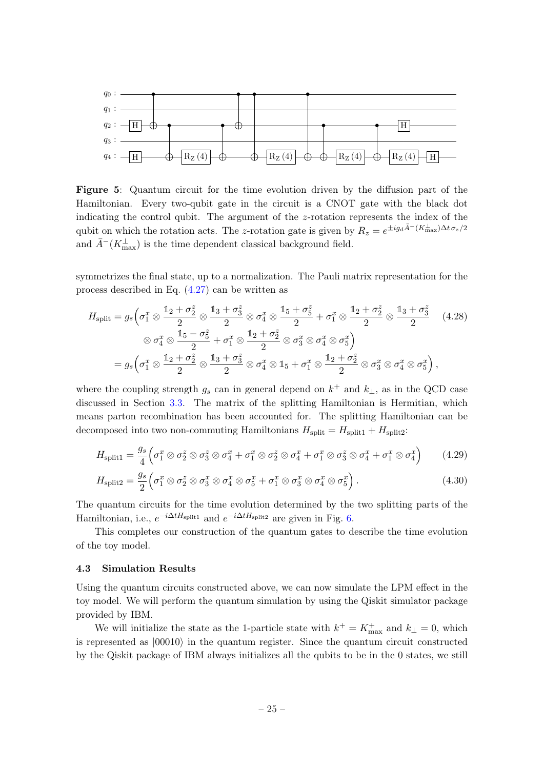<span id="page-25-1"></span>

Figure 5: Quantum circuit for the time evolution driven by the diffusion part of the Hamiltonian. Every two-qubit gate in the circuit is a CNOT gate with the black dot indicating the control qubit. The argument of the z-rotation represents the index of the qubit on which the rotation acts. The z-rotation gate is given by  $R_z = e^{\pm ig_d \bar{A}^-(K_{\text{max}}^\perp) \Delta t \sigma_z/2}$ and  $\bar{A}^{-}(K_{\text{max}}^{\perp})$  is the time dependent classical background field.

symmetrizes the final state, up to a normalization. The Pauli matrix representation for the process described in Eq. [\(4.27\)](#page-24-1) can be written as

$$
H_{split} = g_s \Big( \sigma_1^x \otimes \frac{\mathbb{1}_2 + \sigma_2^z}{2} \otimes \frac{\mathbb{1}_3 + \sigma_3^z}{2} \otimes \sigma_4^x \otimes \frac{\mathbb{1}_5 + \sigma_5^z}{2} + \sigma_1^x \otimes \frac{\mathbb{1}_2 + \sigma_2^z}{2} \otimes \frac{\mathbb{1}_3 + \sigma_3^z}{2} \quad (4.28)
$$
  

$$
\otimes \sigma_4^x \otimes \frac{\mathbb{1}_5 - \sigma_5^z}{2} + \sigma_1^x \otimes \frac{\mathbb{1}_2 + \sigma_2^z}{2} \otimes \sigma_3^x \otimes \sigma_4^x \otimes \sigma_5^x \Big)
$$
  

$$
= g_s \Big( \sigma_1^x \otimes \frac{\mathbb{1}_2 + \sigma_2^z}{2} \otimes \frac{\mathbb{1}_3 + \sigma_3^z}{2} \otimes \sigma_4^x \otimes \mathbb{1}_5 + \sigma_1^x \otimes \frac{\mathbb{1}_2 + \sigma_2^z}{2} \otimes \sigma_3^x \otimes \sigma_4^x \otimes \sigma_5^x \Big),
$$

where the coupling strength  $g_s$  can in general depend on  $k^+$  and  $k_{\perp}$ , as in the QCD case discussed in Section [3.3.](#page-16-0) The matrix of the splitting Hamiltonian is Hermitian, which means parton recombination has been accounted for. The splitting Hamiltonian can be decomposed into two non-commuting Hamiltonians  $H_{split} = H_{split1} + H_{split2}$ :

$$
H_{\text{split1}} = \frac{g_s}{4} \left( \sigma_1^x \otimes \sigma_2^z \otimes \sigma_3^z \otimes \sigma_4^x + \sigma_1^x \otimes \sigma_2^z \otimes \sigma_4^x + \sigma_1^x \otimes \sigma_3^z \otimes \sigma_4^x + \sigma_1^x \otimes \sigma_4^x \right) \tag{4.29}
$$

$$
H_{\text{split2}} = \frac{g_s}{2} \left( \sigma_1^x \otimes \sigma_2^z \otimes \sigma_3^x \otimes \sigma_4^x \otimes \sigma_5^x + \sigma_1^x \otimes \sigma_3^x \otimes \sigma_4^x \otimes \sigma_5^x \right).
$$
 (4.30)

The quantum circuits for the time evolution determined by the two splitting parts of the Hamiltonian, i.e.,  $e^{-i\Delta t H_{\text{split}}}$  and  $e^{-i\Delta t H_{\text{split}}}$  are given in Fig. [6.](#page-26-0)

This completes our construction of the quantum gates to describe the time evolution of the toy model.

#### <span id="page-25-0"></span>4.3 Simulation Results

Using the quantum circuits constructed above, we can now simulate the LPM effect in the toy model. We will perform the quantum simulation by using the Qiskit simulator package provided by IBM.

We will initialize the state as the 1-particle state with  $k^+ = K^+_{\text{max}}$  and  $k_{\perp} = 0$ , which is represented as  $|00010\rangle$  in the quantum register. Since the quantum circuit constructed by the Qiskit package of IBM always initializes all the qubits to be in the 0 states, we still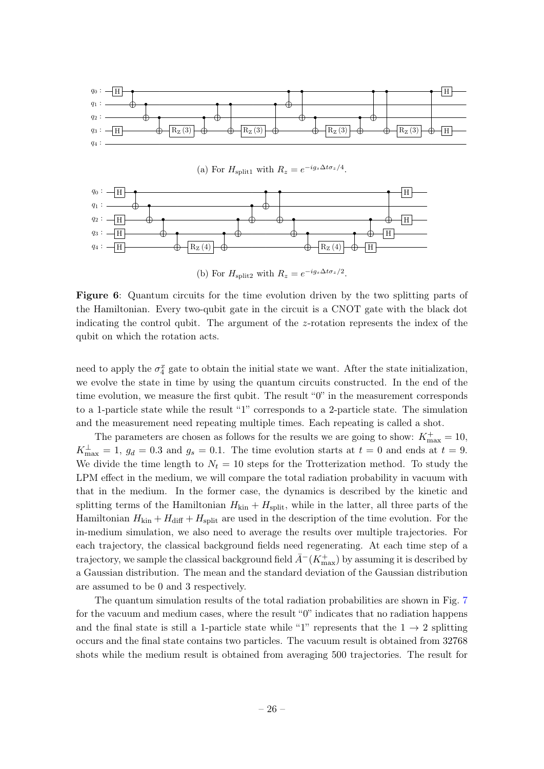<span id="page-26-0"></span>

(a) For  $H_{\text{split1}}$  with  $R_z = e^{-ig_s\Delta t \sigma_z/4}$ .



(b) For  $H_{\text{split2}}$  with  $R_z = e^{-ig_s\Delta t \sigma_z/2}$ .

Figure 6: Quantum circuits for the time evolution driven by the two splitting parts of the Hamiltonian. Every two-qubit gate in the circuit is a CNOT gate with the black dot indicating the control qubit. The argument of the z-rotation represents the index of the qubit on which the rotation acts.

need to apply the  $\sigma_4^x$  gate to obtain the initial state we want. After the state initialization, we evolve the state in time by using the quantum circuits constructed. In the end of the time evolution, we measure the first qubit. The result "0" in the measurement corresponds to a 1-particle state while the result "1" corresponds to a 2-particle state. The simulation and the measurement need repeating multiple times. Each repeating is called a shot.

The parameters are chosen as follows for the results we are going to show:  $K_{\text{max}}^+ = 10$ ,  $K_{\text{max}}^{\perp} = 1, g_d = 0.3$  and  $g_s = 0.1$ . The time evolution starts at  $t = 0$  and ends at  $t = 9$ . We divide the time length to  $N_t = 10$  steps for the Trotterization method. To study the LPM effect in the medium, we will compare the total radiation probability in vacuum with that in the medium. In the former case, the dynamics is described by the kinetic and splitting terms of the Hamiltonian  $H_{kin} + H_{split}$ , while in the latter, all three parts of the Hamiltonian  $H_{kin} + H_{diff} + H_{split}$  are used in the description of the time evolution. For the in-medium simulation, we also need to average the results over multiple trajectories. For each trajectory, the classical background fields need regenerating. At each time step of a trajectory, we sample the classical background field  $\bar{A}^{-}(K^{+}_{\rm max})$  by assuming it is described by a Gaussian distribution. The mean and the standard deviation of the Gaussian distribution are assumed to be 0 and 3 respectively.

The quantum simulation results of the total radiation probabilities are shown in Fig. [7](#page-27-1) for the vacuum and medium cases, where the result "0" indicates that no radiation happens and the final state is still a 1-particle state while "1" represents that the  $1 \rightarrow 2$  splitting occurs and the final state contains two particles. The vacuum result is obtained from 32768 shots while the medium result is obtained from averaging 500 trajectories. The result for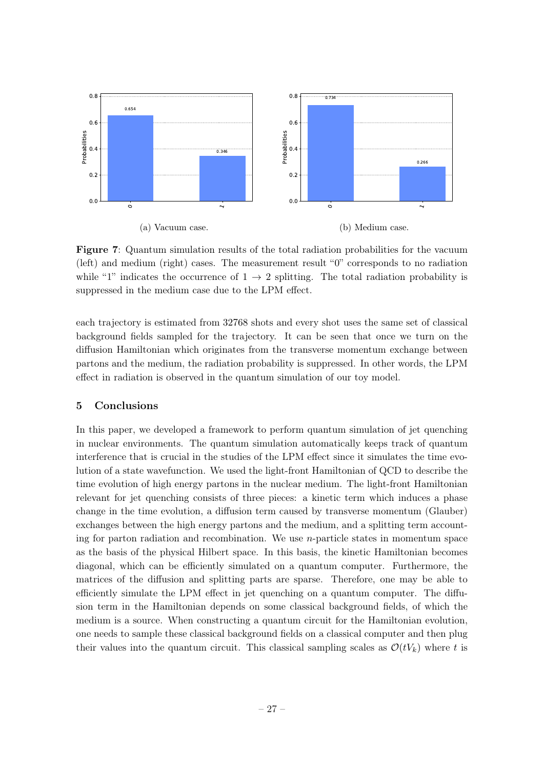<span id="page-27-1"></span>

Figure 7: Quantum simulation results of the total radiation probabilities for the vacuum (left) and medium (right) cases. The measurement result "0" corresponds to no radiation while "1" indicates the occurrence of  $1 \rightarrow 2$  splitting. The total radiation probability is suppressed in the medium case due to the LPM effect.

each trajectory is estimated from 32768 shots and every shot uses the same set of classical background fields sampled for the trajectory. It can be seen that once we turn on the diffusion Hamiltonian which originates from the transverse momentum exchange between partons and the medium, the radiation probability is suppressed. In other words, the LPM effect in radiation is observed in the quantum simulation of our toy model.

## <span id="page-27-0"></span>5 Conclusions

In this paper, we developed a framework to perform quantum simulation of jet quenching in nuclear environments. The quantum simulation automatically keeps track of quantum interference that is crucial in the studies of the LPM effect since it simulates the time evolution of a state wavefunction. We used the light-front Hamiltonian of QCD to describe the time evolution of high energy partons in the nuclear medium. The light-front Hamiltonian relevant for jet quenching consists of three pieces: a kinetic term which induces a phase change in the time evolution, a diffusion term caused by transverse momentum (Glauber) exchanges between the high energy partons and the medium, and a splitting term accounting for parton radiation and recombination. We use  $n$ -particle states in momentum space as the basis of the physical Hilbert space. In this basis, the kinetic Hamiltonian becomes diagonal, which can be efficiently simulated on a quantum computer. Furthermore, the matrices of the diffusion and splitting parts are sparse. Therefore, one may be able to efficiently simulate the LPM effect in jet quenching on a quantum computer. The diffusion term in the Hamiltonian depends on some classical background fields, of which the medium is a source. When constructing a quantum circuit for the Hamiltonian evolution, one needs to sample these classical background fields on a classical computer and then plug their values into the quantum circuit. This classical sampling scales as  $\mathcal{O}(tV_k)$  where t is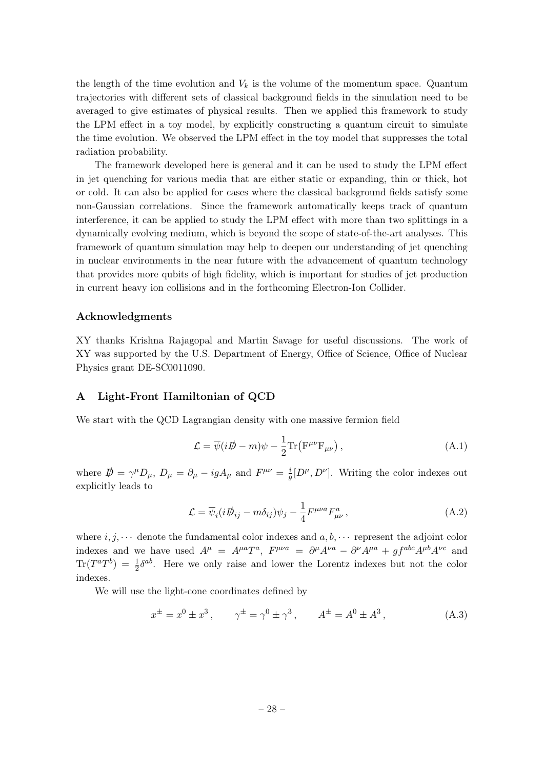the length of the time evolution and  $V_k$  is the volume of the momentum space. Quantum trajectories with different sets of classical background fields in the simulation need to be averaged to give estimates of physical results. Then we applied this framework to study the LPM effect in a toy model, by explicitly constructing a quantum circuit to simulate the time evolution. We observed the LPM effect in the toy model that suppresses the total radiation probability.

The framework developed here is general and it can be used to study the LPM effect in jet quenching for various media that are either static or expanding, thin or thick, hot or cold. It can also be applied for cases where the classical background fields satisfy some non-Gaussian correlations. Since the framework automatically keeps track of quantum interference, it can be applied to study the LPM effect with more than two splittings in a dynamically evolving medium, which is beyond the scope of state-of-the-art analyses. This framework of quantum simulation may help to deepen our understanding of jet quenching in nuclear environments in the near future with the advancement of quantum technology that provides more qubits of high fidelity, which is important for studies of jet production in current heavy ion collisions and in the forthcoming Electron-Ion Collider.

## Acknowledgments

XY thanks Krishna Rajagopal and Martin Savage for useful discussions. The work of XY was supported by the U.S. Department of Energy, Office of Science, Office of Nuclear Physics grant DE-SC0011090.

#### <span id="page-28-0"></span>A Light-Front Hamiltonian of QCD

We start with the QCD Lagrangian density with one massive fermion field

$$
\mathcal{L} = \overline{\psi}(i\rlap{/}D - m)\psi - \frac{1}{2}\text{Tr}\left(\mathbf{F}^{\mu\nu}\mathbf{F}_{\mu\nu}\right),\tag{A.1}
$$

where  $\vec{p} = \gamma^{\mu} D_{\mu}$ ,  $D_{\mu} = \partial_{\mu} - igA_{\mu}$  and  $F^{\mu\nu} = \frac{i}{g}$  $\frac{i}{g}[D^{\mu}, D^{\nu}]$ . Writing the color indexes out explicitly leads to

$$
\mathcal{L} = \overline{\psi}_i (i\mathcal{D}_{ij} - m\delta_{ij})\psi_j - \frac{1}{4}F^{\mu\nu a}F^a_{\mu\nu}, \qquad (A.2)
$$

where  $i, j, \dots$  denote the fundamental color indexes and  $a, b, \dots$  represent the adjoint color indexes and we have used  $A^{\mu} = A^{\mu a}T^{a}$ ,  $F^{\mu\nu a} = \partial^{\mu}A^{\nu a} - \partial^{\nu}A^{\mu a} + gf^{abc}A^{\mu b}A^{\nu c}$  and  $\text{Tr}(T^a T^b) = \frac{1}{2} \delta^{ab}$ . Here we only raise and lower the Lorentz indexes but not the color indexes.

We will use the light-cone coordinates defined by

$$
x^{\pm} = x^0 \pm x^3
$$
,  $\gamma^{\pm} = \gamma^0 \pm \gamma^3$ ,  $A^{\pm} = A^0 \pm A^3$ , (A.3)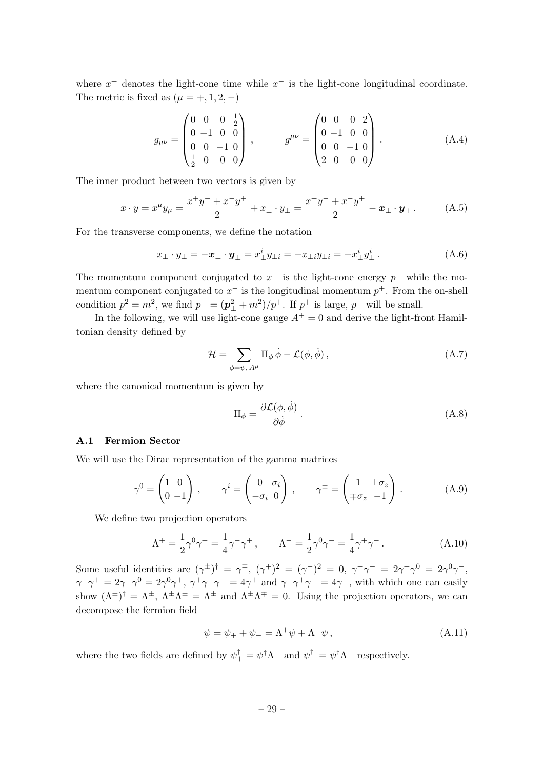where  $x^+$  denotes the light-cone time while  $x^-$  is the light-cone longitudinal coordinate. The metric is fixed as  $(\mu = +, 1, 2, -)$ 

$$
g_{\mu\nu} = \begin{pmatrix} 0 & 0 & 0 & \frac{1}{2} \\ 0 & -1 & 0 & 0 \\ 0 & 0 & -1 & 0 \\ \frac{1}{2} & 0 & 0 & 0 \end{pmatrix}, \qquad g^{\mu\nu} = \begin{pmatrix} 0 & 0 & 0 & 2 \\ 0 & -1 & 0 & 0 \\ 0 & 0 & -1 & 0 \\ 2 & 0 & 0 & 0 \end{pmatrix} . \tag{A.4}
$$

The inner product between two vectors is given by

$$
x \cdot y = x^{\mu} y_{\mu} = \frac{x^+ y^- + x^- y^+}{2} + x_{\perp} \cdot y_{\perp} = \frac{x^+ y^- + x^- y^+}{2} - x_{\perp} \cdot y_{\perp}.
$$
 (A.5)

For the transverse components, we define the notation

$$
x_{\perp} \cdot y_{\perp} = -x_{\perp} \cdot y_{\perp} = x_{\perp}^{i} y_{\perp i} = -x_{\perp i} y_{\perp i} = -x_{\perp}^{i} y_{\perp}^{i}.
$$
 (A.6)

The momentum component conjugated to  $x^+$  is the light-cone energy  $p^-$  while the momentum component conjugated to  $x^-$  is the longitudinal momentum  $p^+$ . From the on-shell condition  $p^2 = m^2$ , we find  $p^- = (p_\perp^2 + m^2)/p^+$ . If  $p^+$  is large,  $p^-$  will be small.

In the following, we will use light-cone gauge  $A^+ = 0$  and derive the light-front Hamiltonian density defined by

$$
\mathcal{H} = \sum_{\phi=\psi,\,A^{\mu}} \Pi_{\phi} \,\dot{\phi} - \mathcal{L}(\phi,\dot{\phi})\,,\tag{A.7}
$$

where the canonical momentum is given by

$$
\Pi_{\phi} = \frac{\partial \mathcal{L}(\phi, \dot{\phi})}{\partial \dot{\phi}}.
$$
\n(A.8)

#### <span id="page-29-0"></span>A.1 Fermion Sector

We will use the Dirac representation of the gamma matrices

$$
\gamma^0 = \begin{pmatrix} 1 & 0 \\ 0 & -1 \end{pmatrix}, \qquad \gamma^i = \begin{pmatrix} 0 & \sigma_i \\ -\sigma_i & 0 \end{pmatrix}, \qquad \gamma^{\pm} = \begin{pmatrix} 1 & \pm \sigma_z \\ \mp \sigma_z & -1 \end{pmatrix}.
$$
 (A.9)

We define two projection operators

$$
\Lambda^{+} = \frac{1}{2}\gamma^{0}\gamma^{+} = \frac{1}{4}\gamma^{-}\gamma^{+}, \qquad \Lambda^{-} = \frac{1}{2}\gamma^{0}\gamma^{-} = \frac{1}{4}\gamma^{+}\gamma^{-}. \tag{A.10}
$$

Some useful identities are  $(\gamma^{\pm})^{\dagger} = \gamma^{\mp}$ ,  $(\gamma^{\pm})^2 = (\gamma^-)^2 = 0$ ,  $\gamma^{\pm} \gamma^- = 2\gamma^{\pm} \gamma^0 = 2\gamma^0 \gamma^-$ ,  $\gamma^-\gamma^+ = 2\gamma^-\gamma^0 = 2\gamma^0\gamma^+, \gamma^+\gamma^-\gamma^+ = 4\gamma^+$  and  $\gamma^-\gamma^+\gamma^- = 4\gamma^-,$  with which one can easily show  $({\Lambda}^{\pm})^{\dagger} = {\Lambda}^{\pm}$ ,  ${\Lambda}^{\pm} {\Lambda}^{\pm} = {\Lambda}^{\pm}$  and  ${\Lambda}^{\pm} {\Lambda}^{\mp} = 0$ . Using the projection operators, we can decompose the fermion field

$$
\psi = \psi_+ + \psi_- = \Lambda^+ \psi + \Lambda^- \psi , \qquad (A.11)
$$

where the two fields are defined by  $\psi_+^{\dagger} = \psi^{\dagger} \Lambda^+$  and  $\psi_-^{\dagger} = \psi^{\dagger} \Lambda^-$  respectively.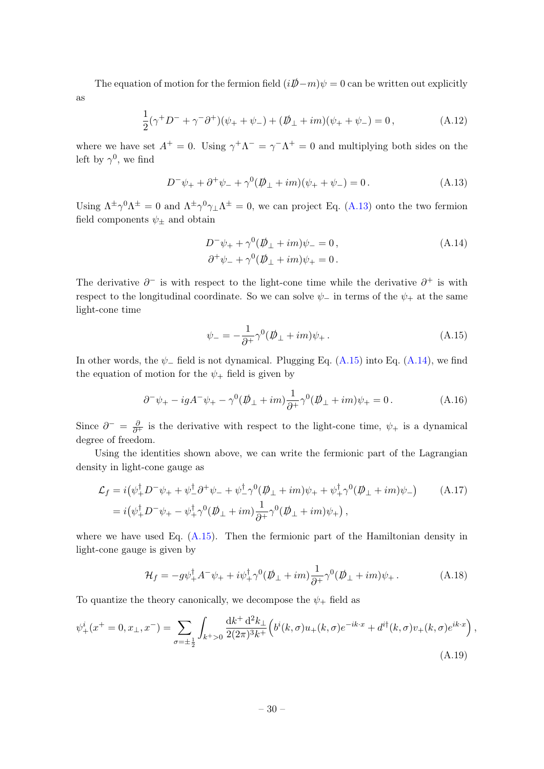The equation of motion for the fermion field  $(iD\!\!\!\!/ -m)\psi = 0$  can be written out explicitly as

$$
\frac{1}{2}(\gamma^+ D^- + \gamma^- \partial^+)(\psi_+ + \psi_-) + (\not{D}_\perp + im)(\psi_+ + \psi_-) = 0, \tag{A.12}
$$

where we have set  $A^+ = 0$ . Using  $\gamma^+ \Lambda^- = \gamma^- \Lambda^+ = 0$  and multiplying both sides on the left by  $\gamma^0$ , we find

<span id="page-30-0"></span>
$$
D^{-}\psi_{+} + \partial^{+}\psi_{-} + \gamma^{0}(\psi_{+} + im)(\psi_{+} + \psi_{-}) = 0.
$$
 (A.13)

Using  $\Lambda^{\pm}\gamma^{0}\Lambda^{\pm}=0$  and  $\Lambda^{\pm}\gamma^{0}\gamma_{\perp}\Lambda^{\pm}=0$ , we can project Eq. [\(A.13\)](#page-30-0) onto the two fermion field components  $\psi_\pm$  and obtain

<span id="page-30-2"></span>
$$
D^{-}\psi_{+} + \gamma^{0}(\rlap{\,/}\psi_{+} + im)\psi_{-} = 0, \n\partial^{+}\psi_{-} + \gamma^{0}(\rlap{\,/}\psi_{+} + im)\psi_{+} = 0.
$$
\n(A.14)

The derivative  $\partial^-$  is with respect to the light-cone time while the derivative  $\partial^+$  is with respect to the longitudinal coordinate. So we can solve  $\psi_-$  in terms of the  $\psi_+$  at the same light-cone time

<span id="page-30-1"></span>
$$
\psi_- = -\frac{1}{\partial^+} \gamma^0 (\not p_\perp + im) \psi_+ \,. \tag{A.15}
$$

In other words, the  $\psi$  field is not dynamical. Plugging Eq. [\(A.15\)](#page-30-1) into Eq. [\(A.14\)](#page-30-2), we find the equation of motion for the  $\psi_+$  field is given by

$$
\partial^{-} \psi_{+} - igA^{-} \psi_{+} - \gamma^{0} (\psi_{\perp} + im) \frac{1}{\partial^{+}} \gamma^{0} (\psi_{\perp} + im) \psi_{+} = 0.
$$
 (A.16)

Since  $\partial^- = \frac{\partial}{\partial^+}$  is the derivative with respect to the light-cone time,  $\psi_+$  is a dynamical degree of freedom.

Using the identities shown above, we can write the fermionic part of the Lagrangian density in light-cone gauge as

$$
\mathcal{L}_f = i(\psi_+^{\dagger} D^- \psi_+ + \psi_-^{\dagger} \partial^+ \psi_- + \psi_-^{\dagger} \gamma^0 (\not{D}_\perp + im) \psi_+ + \psi_+^{\dagger} \gamma^0 (\not{D}_\perp + im) \psi_-)
$$
\n
$$
= i(\psi_+^{\dagger} D^- \psi_+ - \psi_+^{\dagger} \gamma^0 (\not{D}_\perp + im) \frac{1}{\partial^+} \gamma^0 (\not{D}_\perp + im) \psi_+),
$$
\n(A.17)

where we have used Eq.  $(A.15)$ . Then the fermionic part of the Hamiltonian density in light-cone gauge is given by

<span id="page-30-3"></span>
$$
\mathcal{H}_f = -g\psi_+^\dagger A^- \psi_+ + i\psi_+^\dagger \gamma^0 (\not\!\!D_\perp + im) \frac{1}{\partial^+} \gamma^0 (\not\!\!D_\perp + im) \psi_+ \,. \tag{A.18}
$$

To quantize the theory canonically, we decompose the  $\psi_+$  field as

$$
\psi_{+}^{i}(x^{+} = 0, x_{\perp}, x^{-}) = \sum_{\sigma = \pm \frac{1}{2}} \int_{k^{+} > 0} \frac{dk^{+} d^{2}k_{\perp}}{2(2\pi)^{3}k^{+}} \Big(b^{i}(k, \sigma)u_{+}(k, \sigma)e^{-ik \cdot x} + d^{i\dagger}(k, \sigma)v_{+}(k, \sigma)e^{ik \cdot x}\Big), \tag{A.19}
$$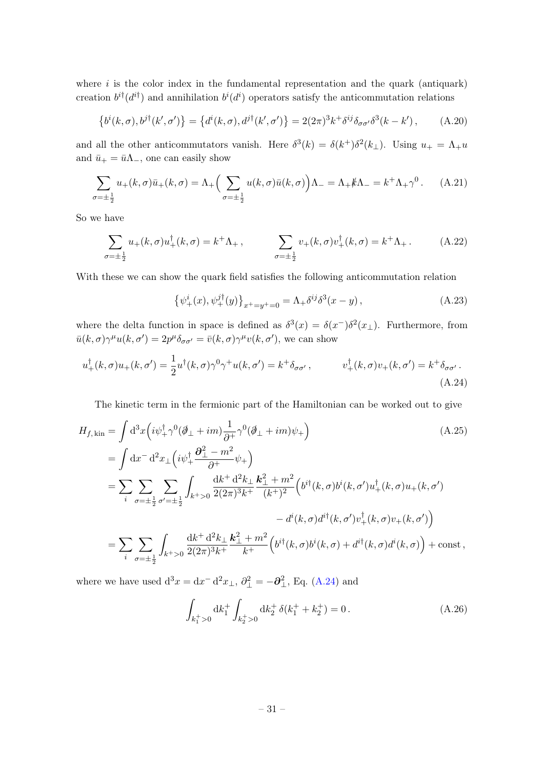where  $i$  is the color index in the fundamental representation and the quark (antiquark) creation  $b^{i\dagger}$  ( $d^{i\dagger}$ ) and annihilation  $b^{i}(d^{i})$  operators satisfy the anticommutation relations

$$
\left\{b^i(k,\sigma), b^{j\dagger}(k',\sigma')\right\} = \left\{d^i(k,\sigma), d^{j\dagger}(k',\sigma')\right\} = 2(2\pi)^3 k^+ \delta^{ij} \delta_{\sigma\sigma'} \delta^3(k-k'),\tag{A.20}
$$

and all the other anticommutators vanish. Here  $\delta^3(k) = \delta(k^+)\delta^2(k_+)$ . Using  $u_+ = \Lambda_+ u$ and  $\bar{u}_+ = \bar{u}\Lambda_-,$  one can easily show

$$
\sum_{\sigma=\pm\frac{1}{2}} u_{+}(k,\sigma)\bar{u}_{+}(k,\sigma) = \Lambda_{+}\Big(\sum_{\sigma=\pm\frac{1}{2}} u(k,\sigma)\bar{u}(k,\sigma)\Big)\Lambda_{-} = \Lambda_{+}\cancel{k}\Lambda_{-} = k^{+}\Lambda_{+}\gamma^{0}.
$$
 (A.21)

So we have

$$
\sum_{\sigma=\pm\frac{1}{2}} u_{+}(k,\sigma) u_{+}^{\dagger}(k,\sigma) = k^{+}\Lambda_{+}, \qquad \sum_{\sigma=\pm\frac{1}{2}} v_{+}(k,\sigma) v_{+}^{\dagger}(k,\sigma) = k^{+}\Lambda_{+}.
$$
 (A.22)

With these we can show the quark field satisfies the following anticommutation relation

<span id="page-31-0"></span>
$$
\{\psi_+^i(x), \psi_+^{j\dagger}(y)\}_{x^+=y^+=0} = \Lambda_+ \delta^{ij} \delta^3(x-y) , \qquad (A.23)
$$

where the delta function in space is defined as  $\delta^3(x) = \delta(x^-)\delta^2(x_\perp)$ . Furthermore, from  $\bar{u}(k,\sigma)\gamma^{\mu}u(k,\sigma')=2p^{\mu}\delta_{\sigma\sigma'}=\bar{v}(k,\sigma)\gamma^{\mu}v(k,\sigma'),$  we can show

$$
u^{\dagger}_{+}(k,\sigma)u_{+}(k,\sigma') = \frac{1}{2}u^{\dagger}(k,\sigma)\gamma^{0}\gamma^{+}u(k,\sigma') = k^{+}\delta_{\sigma\sigma'}, \qquad v^{\dagger}_{+}(k,\sigma)v_{+}(k,\sigma') = k^{+}\delta_{\sigma\sigma'}.
$$
\n(A.24)

The kinetic term in the fermionic part of the Hamiltonian can be worked out to give

$$
H_{f, \text{kin}} = \int d^{3}x \left( i\psi_{+}^{\dagger} \gamma^{0} (\partial_{\perp} + im) \frac{1}{\partial^{+}} \gamma^{0} (\partial_{\perp} + im) \psi_{+} \right)
$$
\n
$$
= \int dx^{-} d^{2}x \Big( i\psi_{+}^{\dagger} \frac{\partial_{\perp}^{2} - m^{2}}{\partial^{+}} \psi_{+} \Big)
$$
\n
$$
= \sum_{i} \sum_{\sigma=\pm\frac{1}{2}} \sum_{\sigma'=\pm\frac{1}{2}} \int_{k+s_{0}} \frac{dk^{+} d^{2}k_{\perp}}{2(2\pi)^{3}k^{+}} \frac{k_{\perp}^{2} + m^{2}}{(k^{+})^{2}} \Big( b^{i\dagger}(k,\sigma) b^{i}(k,\sigma') u_{+}^{\dagger}(k,\sigma) u_{+}(k,\sigma') - d^{i}(k,\sigma) d^{i\dagger}(k,\sigma') v_{+}^{\dagger}(k,\sigma) v_{+}(k,\sigma') \Big)
$$
\n
$$
= \sum_{i} \sum_{\sigma=\pm\frac{1}{2}} \int_{k+s_{0}} \frac{dk^{+} d^{2}k_{\perp}}{2(2\pi)^{3}k^{+}} \frac{k_{\perp}^{2} + m^{2}}{k^{+}} \Big( b^{i\dagger}(k,\sigma) b^{i}(k,\sigma) + d^{i\dagger}(k,\sigma) d^{i}(k,\sigma) \Big) + \text{const} \,,
$$
\n(A.25)

where we have used  $d^3x = dx^- d^2x_{\perp}, \partial_{\perp}^2 = -\partial_{\perp}^2$ , Eq. [\(A.24\)](#page-31-0) and

<span id="page-31-1"></span>
$$
\int_{k_1^+ > 0} \mathrm{d}k_1^+ \int_{k_2^+ > 0} \mathrm{d}k_2^+ \, \delta(k_1^+ + k_2^+) = 0 \,. \tag{A.26}
$$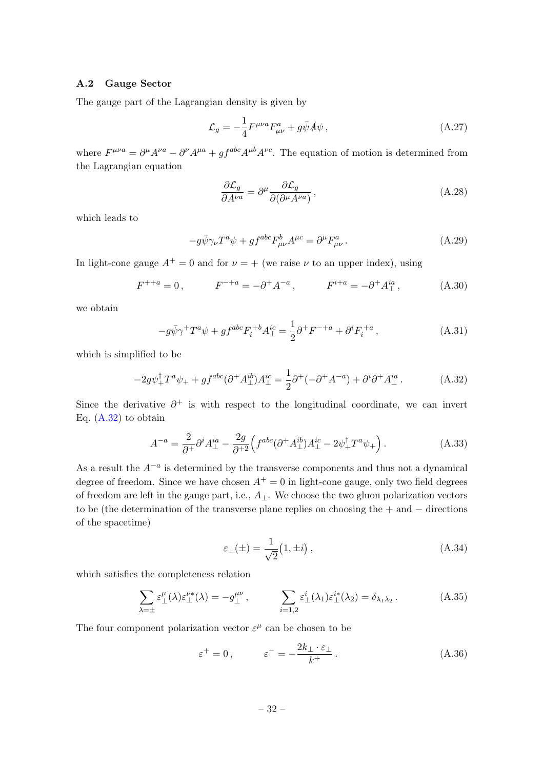#### <span id="page-32-0"></span>A.2 Gauge Sector

The gauge part of the Lagrangian density is given by

$$
\mathcal{L}_g = -\frac{1}{4} F^{\mu\nu a} F^a_{\mu\nu} + g \bar{\psi} A \psi , \qquad (A.27)
$$

where  $F^{\mu\nu a} = \partial^{\mu}A^{\nu a} - \partial^{\nu}A^{\mu a} + gf^{abc}A^{\mu b}A^{\nu c}$ . The equation of motion is determined from the Lagrangian equation

$$
\frac{\partial \mathcal{L}_g}{\partial A^{\nu a}} = \partial^{\mu} \frac{\partial \mathcal{L}_g}{\partial (\partial^{\mu} A^{\nu a})},\tag{A.28}
$$

which leads to

$$
-g\bar{\psi}\gamma_{\nu}T^{a}\psi + gf^{abc}F^{b}_{\mu\nu}A^{\mu c} = \partial^{\mu}F^{a}_{\mu\nu}.
$$
 (A.29)

In light-cone gauge  $A^+=0$  and for  $\nu=+$  (we raise  $\nu$  to an upper index), using

$$
F^{++a} = 0
$$
,  $F^{-+a} = -\partial^+ A^{-a}$ ,  $F^{i+a} = -\partial^+ A^{ia}_\perp$ , (A.30)

we obtain

$$
-g\bar{\psi}\gamma^{+}T^{a}\psi + gf^{abc}F_{i}^{+b}A_{\perp}^{ic} = \frac{1}{2}\partial^{+}F^{-+a} + \partial^{i}F_{i}^{+a}, \qquad (A.31)
$$

which is simplified to be

<span id="page-32-1"></span>
$$
-2g\psi_+^\dagger T^a\psi_+ + gf^{abc}(\partial^+ A_\perp^{ib})A_\perp^{ic} = \frac{1}{2}\partial^+(-\partial^+ A^{-a}) + \partial^i\partial^+ A_\perp^{ia}.
$$
 (A.32)

Since the derivative  $\partial^+$  is with respect to the longitudinal coordinate, we can invert Eq.  $(A.32)$  to obtain

<span id="page-32-2"></span>
$$
A^{-a} = \frac{2}{\partial^+} \partial^i A^{ia}_\perp - \frac{2g}{\partial^+{}^2} \Big( f^{abc} (\partial^+ A^{ib}_\perp) A^{ic}_\perp - 2\psi_+^\dagger T^a \psi_+ \Big) \,. \tag{A.33}
$$

As a result the  $A^{-a}$  is determined by the transverse components and thus not a dynamical degree of freedom. Since we have chosen  $A^+=0$  in light-cone gauge, only two field degrees of freedom are left in the gauge part, i.e.,  $A_{\perp}$ . We choose the two gluon polarization vectors to be (the determination of the transverse plane replies on choosing the + and − directions of the spacetime)

$$
\varepsilon_{\perp}(\pm) = \frac{1}{\sqrt{2}} (1, \pm i), \qquad (A.34)
$$

which satisfies the completeness relation

$$
\sum_{\lambda=\pm} \varepsilon_{\perp}^{\mu}(\lambda) \varepsilon_{\perp}^{\nu*}(\lambda) = -g_{\perp}^{\mu\nu}, \qquad \sum_{i=1,2} \varepsilon_{\perp}^{i}(\lambda_{1}) \varepsilon_{\perp}^{i*}(\lambda_{2}) = \delta_{\lambda_{1}\lambda_{2}}.
$$
 (A.35)

The four component polarization vector  $\varepsilon^{\mu}$  can be chosen to be

$$
\varepsilon^+ = 0, \qquad \varepsilon^- = -\frac{2k_\perp \cdot \varepsilon_\perp}{k^+} \,. \tag{A.36}
$$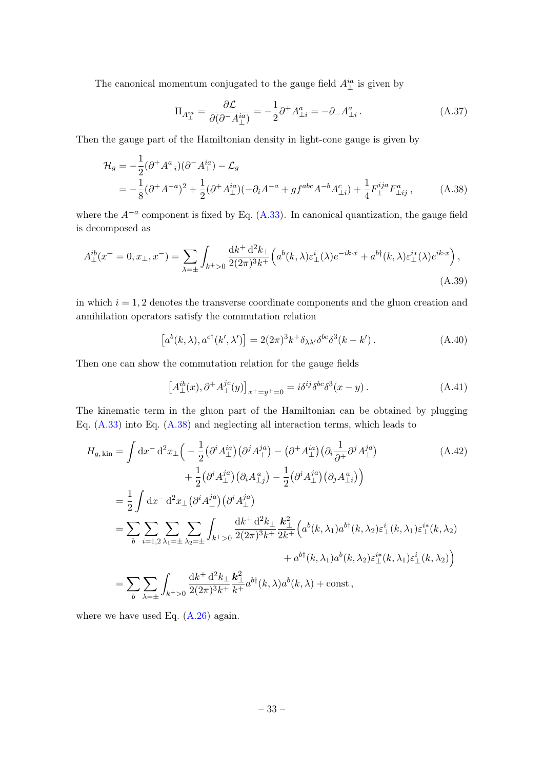The canonical momentum conjugated to the gauge field  $A_{\perp}^{ia}$  is given by

<span id="page-33-0"></span>
$$
\Pi_{A_{\perp}^{ia}} = \frac{\partial \mathcal{L}}{\partial (\partial^{\neg} A_{\perp}^{ia})} = -\frac{1}{2} \partial^{\perp} A_{\perp i}^{a} = -\partial_{\perp} A_{\perp i}^{a} \,. \tag{A.37}
$$

Then the gauge part of the Hamiltonian density in light-cone gauge is given by

$$
\mathcal{H}_g = -\frac{1}{2} (\partial^+ A^a_{\perp i}) (\partial^- A^{ia}_{\perp}) - \mathcal{L}_g
$$
  
=  $-\frac{1}{8} (\partial^+ A^{-a})^2 + \frac{1}{2} (\partial^+ A^{ia}_{\perp}) (-\partial_i A^{-a} + gf^{abc} A^{-b} A^c_{\perp i}) + \frac{1}{4} F^{ija}_{\perp} F^a_{\perp ij}$ , (A.38)

where the  $A^{-a}$  component is fixed by Eq.  $(A.33)$ . In canonical quantization, the gauge field is decomposed as

$$
A_{\perp}^{ib}(x^{+}=0,x_{\perp},x^{-}) = \sum_{\lambda=\pm} \int_{k^{+}>0} \frac{\mathrm{d}k^{+} \mathrm{d}^{2}k_{\perp}}{2(2\pi)^{3}k^{+}} \Big(a^{b}(k,\lambda)\varepsilon_{\perp}^{i}(\lambda)e^{-ik\cdot x} + a^{b\dagger}(k,\lambda)\varepsilon_{\perp}^{i*}(\lambda)e^{ik\cdot x}\Big),\tag{A.39}
$$

in which  $i = 1, 2$  denotes the transverse coordinate components and the gluon creation and annihilation operators satisfy the commutation relation

$$
[a^b(k,\lambda), a^{c\dagger}(k',\lambda')] = 2(2\pi)^3 k^+ \delta_{\lambda\lambda'} \delta^{bc} \delta^3(k-k'). \tag{A.40}
$$

Then one can show the commutation relation for the gauge fields

$$
\left[A_{\perp}^{ib}(x),\partial^{+}A_{\perp}^{jc}(y)\right]_{x^{+}=y^{+}=0} = i\delta^{ij}\delta^{bc}\delta^{3}(x-y). \tag{A.41}
$$

The kinematic term in the gluon part of the Hamiltonian can be obtained by plugging Eq. [\(A.33\)](#page-32-2) into Eq. [\(A.38\)](#page-33-0) and neglecting all interaction terms, which leads to

$$
H_{g,\text{kin}} = \int dx^{-} d^{2}x \pm \left( -\frac{1}{2} (\partial^{i} A_{\perp}^{ia}) (\partial^{j} A_{\perp}^{ja}) - (\partial^{+} A_{\perp}^{ia}) (\partial_{i} \frac{1}{\partial^{+}} \partial^{j} A_{\perp}^{ja}) \right) + \frac{1}{2} (\partial^{i} A_{\perp}^{ja}) (\partial_{i} A_{\perp}^{a}) - \frac{1}{2} (\partial^{i} A_{\perp}^{ja}) (\partial_{j} A_{\perp}^{a}) \right) = \frac{1}{2} \int dx^{-} d^{2}x \pm (\partial^{i} A_{\perp}^{ja}) (\partial^{i} A_{\perp}^{ja}) = \sum_{b} \sum_{i=1,2} \sum_{\lambda_{1}=\pm} \sum_{\lambda_{2}=\pm} \int_{k^{+}>0} \frac{dk^{+} d^{2}k_{\perp}}{2(2\pi)^{3}k^{+}} \frac{k_{\perp}^{2}}{2k^{+}} \left( a^{b}(k,\lambda_{1}) a^{b\dagger}(k,\lambda_{2}) \varepsilon_{\perp}^{i}(k,\lambda_{1}) \varepsilon_{\perp}^{i}(k,\lambda_{2}) \right) + a^{b\dagger}(k,\lambda_{1}) a^{b}(k,\lambda_{2}) \varepsilon_{\perp}^{i*}(k,\lambda_{1}) \varepsilon_{\perp}^{i}(k,\lambda_{2}) \right) = \sum_{b} \sum_{\lambda_{=}\pm} \int_{k^{+}>0} \frac{dk^{+} d^{2}k_{\perp}}{2(2\pi)^{3}k^{+}} \frac{k_{\perp}^{2}}{k^{+}} a^{b\dagger}(k,\lambda) a^{b}(k,\lambda) + \text{const} ,
$$

where we have used Eq.  $(A.26)$  again.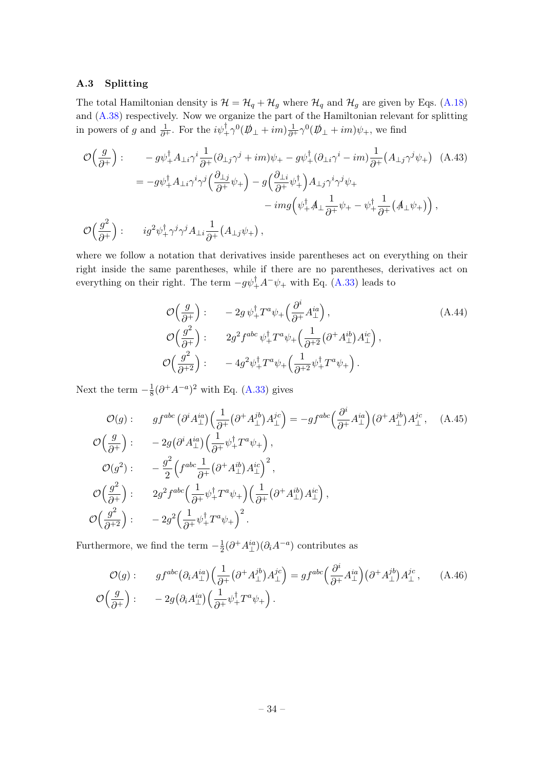## <span id="page-34-0"></span>A.3 Splitting

The total Hamiltonian density is  $\mathcal{H} = \mathcal{H}_q + \mathcal{H}_g$  where  $\mathcal{H}_q$  and  $\mathcal{H}_g$  are given by Eqs. [\(A.18\)](#page-30-3) and [\(A.38\)](#page-33-0) respectively. Now we organize the part of the Hamiltonian relevant for splitting in powers of g and  $\frac{1}{\partial^+}$ . For the  $i\psi_+^{\dagger} \gamma^0 (\not{D}_\perp + im) \frac{1}{\partial^+} \gamma^0 (\not{D}_\perp + im) \psi_+$ , we find

$$
\mathcal{O}\left(\frac{g}{\partial^{+}}\right): \qquad -g\psi_{+}^{\dagger}A_{\perp i}\gamma^{i}\frac{1}{\partial^{+}}(\partial_{\perp j}\gamma^{j}+im)\psi_{+}-g\psi_{+}^{\dagger}(\partial_{\perp i}\gamma^{i}-im)\frac{1}{\partial^{+}}(A_{\perp j}\gamma^{j}\psi_{+}) \quad \text{(A.43)}
$$
\n
$$
=-g\psi_{+}^{\dagger}A_{\perp i}\gamma^{i}\gamma^{j}\left(\frac{\partial_{\perp j}}{\partial^{+}}\psi_{+}\right)-g\left(\frac{\partial_{\perp i}}{\partial^{+}}\psi_{+}^{\dagger}\right)A_{\perp j}\gamma^{i}\gamma^{j}\psi_{+}
$$
\n
$$
-img\left(\psi_{+}^{\dagger}A_{\perp}\frac{1}{\partial^{+}}\psi_{+}-\psi_{+}^{\dagger}\frac{1}{\partial^{+}}(A_{\perp}\psi_{+})\right),
$$
\n
$$
\mathcal{O}\left(\frac{g^{2}}{\partial^{+}}\right): \qquad ig^{2}\psi_{+}^{\dagger}\gamma^{j}\gamma^{j}A_{\perp i}\frac{1}{\partial^{+}}(A_{\perp j}\psi_{+}),
$$

where we follow a notation that derivatives inside parentheses act on everything on their right inside the same parentheses, while if there are no parentheses, derivatives act on everything on their right. The term  $-g\psi_+^{\dagger}A^-\psi_+$  with Eq. [\(A.33\)](#page-32-2) leads to

$$
\mathcal{O}\left(\frac{g}{\partial^+}\right) : -2g\,\psi_+^\dagger T^a\psi_+\left(\frac{\partial^i}{\partial^+} A_\perp^{ia}\right),
$$
\n
$$
\mathcal{O}\left(\frac{g^2}{\partial^+}\right) : 2g^2 f^{abc}\,\psi_+^\dagger T^a\psi_+\left(\frac{1}{\partial^+2}(\partial^+ A_\perp^{ib})A_\perp^{ic}\right),
$$
\n
$$
\mathcal{O}\left(\frac{g^2}{\partial^{+2}}\right) : -4g^2\psi_+^\dagger T^a\psi_+\left(\frac{1}{\partial^+2}\psi_+^\dagger T^a\psi_+\right).
$$
\n(A.44)

Next the term  $-\frac{1}{8}$  $\frac{1}{8}(\partial^+ A^{-a})^2$  with Eq. [\(A.33\)](#page-32-2) gives

$$
\mathcal{O}(g) : \quad gf^{abc} \left( \partial^i A^{\text{in}}_{\perp} \right) \left( \frac{1}{\partial^+} \left( \partial^+ A^{\text{jb}}_{\perp} \right) A^{\text{jc}}_{\perp} \right) = -gf^{abc} \left( \frac{\partial^i}{\partial^+} A^{\text{in}}_{\perp} \right) \left( \partial^+ A^{\text{jb}}_{\perp} \right) A^{\text{jc}}_{\perp}, \quad \text{(A.45)}
$$
\n
$$
\mathcal{O}\left(\frac{g}{\partial^+}\right) : \quad -2g \left( \partial^i A^{\text{in}}_{\perp} \right) \left( \frac{1}{\partial^+} \psi_+^\dagger T^a \psi_+ \right),
$$
\n
$$
\mathcal{O}(g^2) : \quad -\frac{g^2}{2} \left( f^{abc} \frac{1}{\partial^+} \left( \partial^+ A^{\text{ib}}_{\perp} \right) A^{\text{ic}}_{\perp} \right)^2,
$$
\n
$$
\mathcal{O}\left(\frac{g^2}{\partial^+}\right) : \quad 2g^2 f^{abc} \left( \frac{1}{\partial^+} \psi_+^\dagger T^a \psi_+ \right) \left( \frac{1}{\partial^+} \left( \partial^+ A^{\text{ib}}_{\perp} \right) A^{\text{ic}}_{\perp} \right),
$$
\n
$$
\mathcal{O}\left(\frac{g^2}{\partial^{+2}}\right) : \quad -2g^2 \left( \frac{1}{\partial^+} \psi_+^\dagger T^a \psi_+ \right)^2.
$$

Furthermore, we find the term  $-\frac{1}{2}$  $\frac{1}{2}(\partial^+ A^{ia}_\perp)(\partial_i A^{-a})$  contributes as

$$
\mathcal{O}(g): \qquad gf^{abc} \left(\partial_i A_{\perp}^{ia}\right) \left(\frac{1}{\partial^+} \left(\partial^+ A_{\perp}^{jb}\right) A_{\perp}^{jc}\right) = gf^{abc} \left(\frac{\partial^i}{\partial^+} A_{\perp}^{ia}\right) \left(\partial^+ A_{\perp}^{jb}\right) A_{\perp}^{jc}, \qquad (A.46)
$$

$$
\mathcal{O}\left(\frac{g}{\partial^+}\right): \qquad -2g\left(\partial_i A_{\perp}^{ia}\right) \left(\frac{1}{\partial^+} \psi_+^\dagger T^a \psi_+\right).
$$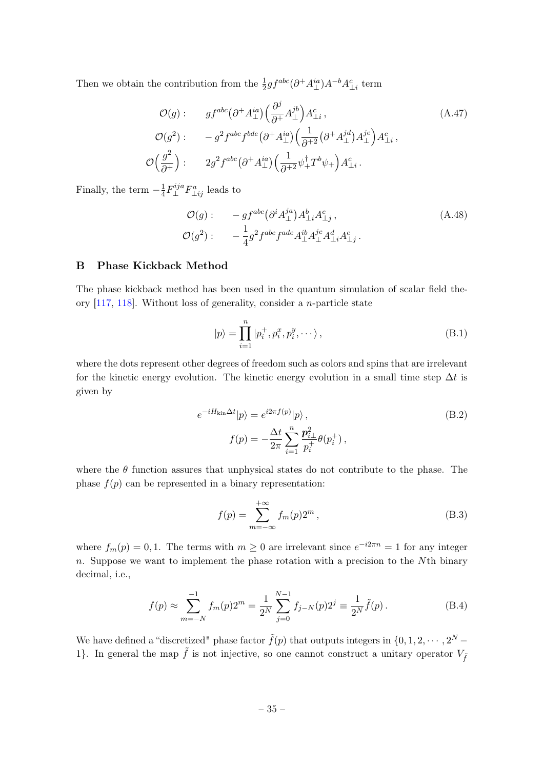Then we obtain the contribution from the  $\frac{1}{2}gf^{abc}(\partial^+ A^{ia}_{\perp})A^{-b}A^c_{\perp i}$  term

$$
\mathcal{O}(g) : \quad gf^{abc} (\partial^+ A_\perp^{ia}) \left( \frac{\partial^j}{\partial^+} A_\perp^{jb} \right) A_{\perp i}^c, \n\mathcal{O}(g^2) : \quad -g^2 f^{abc} f^{bde} (\partial^+ A_\perp^{ia}) \left( \frac{1}{\partial^+ 2} (\partial^+ A_\perp^{id}) A_\perp^{jc} \right) A_{\perp i}^c, \n\mathcal{O}\left(\frac{g^2}{\partial^+}\right) : \quad 2g^2 f^{abc} (\partial^+ A_\perp^{ia}) \left( \frac{1}{\partial^+ 2} \psi_+^\dagger T^b \psi_+ \right) A_{\perp i}^c.
$$
\n(A.47)

Finally, the term  $-\frac{1}{4}$  $\frac{1}{4}F_{\perp}^{ija}$  $\perp^{ija} F_{\perp ij}^a$  leads to

$$
\mathcal{O}(g): \qquad -gf^{abc} \left(\partial^i A_\perp^{ja}\right) A_{\perp i}^b A_{\perp j}^c ,
$$
\n
$$
\mathcal{O}(g^2): \qquad -\frac{1}{4} g^2 f^{abc} f^{ade} A_\perp^{ib} A_\perp^{jc} A_{\perp i}^d A_{\perp j}^e .
$$
\n(A.48)

## <span id="page-35-0"></span>B Phase Kickback Method

The phase kickback method has been used in the quantum simulation of scalar field theory [\[117,](#page-42-1) [118\]](#page-42-5). Without loss of generality, consider a n-particle state

$$
|p\rangle = \prod_{i=1}^{n} |p_i^+, p_i^x, p_i^y, \cdots \rangle, \qquad (B.1)
$$

where the dots represent other degrees of freedom such as colors and spins that are irrelevant for the kinetic energy evolution. The kinetic energy evolution in a small time step  $\Delta t$  is given by

$$
e^{-iH_{\text{kin}}\Delta t}|p\rangle = e^{i2\pi f(p)}|p\rangle ,
$$
\n
$$
f(p) = -\frac{\Delta t}{2\pi} \sum_{i=1}^{n} \frac{\mathbf{p}_{i\perp}^2}{p_i^+} \theta(p_i^+),
$$
\n(B.2)

where the  $\theta$  function assures that unphysical states do not contribute to the phase. The phase  $f(p)$  can be represented in a binary representation:

$$
f(p) = \sum_{m = -\infty}^{+\infty} f_m(p) 2^m,
$$
\n(B.3)

where  $f_m(p) = 0, 1$ . The terms with  $m \geq 0$  are irrelevant since  $e^{-i2\pi n} = 1$  for any integer  $n.$  Suppose we want to implement the phase rotation with a precision to the  $N<sup>th</sup>$  binary decimal, i.e.,

$$
f(p) \approx \sum_{m=-N}^{-1} f_m(p) 2^m = \frac{1}{2^N} \sum_{j=0}^{N-1} f_{j-N}(p) 2^j \equiv \frac{1}{2^N} \tilde{f}(p).
$$
 (B.4)

We have defined a "discretized" phase factor  $\tilde{f}(p)$  that outputs integers in  $\{0, 1, 2, \cdots, 2^N - \}$ 1}. In general the map  $\tilde{f}$  is not injective, so one cannot construct a unitary operator  $V_{\tilde{f}}$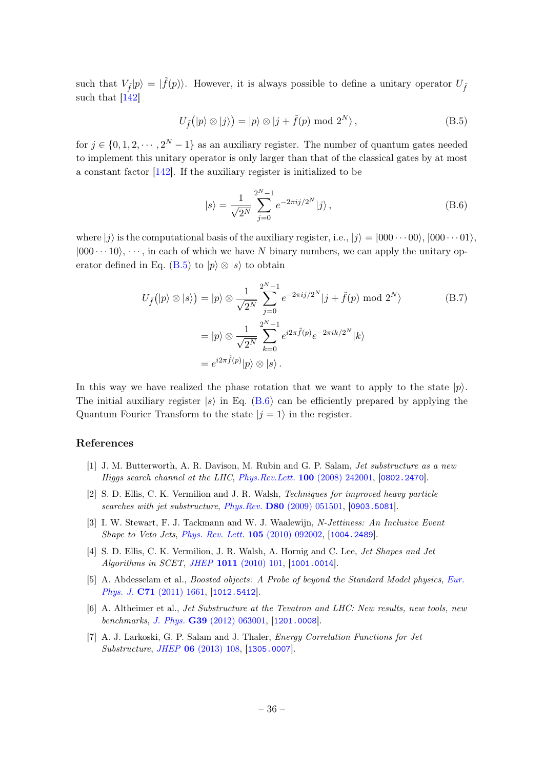such that  $V_{\tilde{f}}|p\rangle = |\tilde{f}(p)\rangle$ . However, it is always possible to define a unitary operator  $U_{\tilde{f}}$ such that [\[142\]](#page-44-2)

<span id="page-36-1"></span>
$$
U_{\tilde{f}}(|p\rangle \otimes |j\rangle) = |p\rangle \otimes |j + \tilde{f}(p) \bmod 2^N,
$$
\n(B.5)

for  $j \in \{0, 1, 2, \dots, 2^N - 1\}$  as an auxiliary register. The number of quantum gates needed to implement this unitary operator is only larger than that of the classical gates by at most a constant factor [\[142\]](#page-44-2). If the auxiliary register is initialized to be

<span id="page-36-2"></span>
$$
|s\rangle = \frac{1}{\sqrt{2^N}} \sum_{j=0}^{2^N - 1} e^{-2\pi i j/2^N} |j\rangle , \qquad (B.6)
$$

where  $|j\rangle$  is the computational basis of the auxiliary register, i.e.,  $|j\rangle = |000 \cdots 00\rangle, |000 \cdots 01\rangle$ ,  $|000 \cdots 10\rangle$ ,  $\cdots$ , in each of which we have N binary numbers, we can apply the unitary op-erator defined in Eq. [\(B.5\)](#page-36-1) to  $|p\rangle \otimes |s\rangle$  to obtain

$$
U_{\tilde{f}}(|p\rangle \otimes |s\rangle) = |p\rangle \otimes \frac{1}{\sqrt{2^N}} \sum_{j=0}^{2^N - 1} e^{-2\pi i j/2^N} |j + \tilde{f}(p) \bmod 2^N \rangle
$$
  
\n
$$
= |p\rangle \otimes \frac{1}{\sqrt{2^N}} \sum_{k=0}^{2^N - 1} e^{i2\pi \tilde{f}(p)} e^{-2\pi i k/2^N} |k\rangle
$$
  
\n
$$
= e^{i2\pi \tilde{f}(p)} |p\rangle \otimes |s\rangle.
$$
 (B.7)

In this way we have realized the phase rotation that we want to apply to the state  $|p\rangle$ . The initial auxiliary register  $|s\rangle$  in Eq. [\(B.6\)](#page-36-2) can be efficiently prepared by applying the Quantum Fourier Transform to the state  $|j = 1\rangle$  in the register.

#### References

- <span id="page-36-0"></span>[1] J. M. Butterworth, A. R. Davison, M. Rubin and G. P. Salam, Jet substructure as a new Higgs search channel at the LHC, [Phys.Rev.Lett.](http://dx.doi.org/10.1103/PhysRevLett.100.242001) 100 (2008) 242001, [[0802.2470](http://arxiv.org/abs/0802.2470)].
- [2] S. D. Ellis, C. K. Vermilion and J. R. Walsh, Techniques for improved heavy particle searches with jet substructure, Phys.Rev. D80 [\(2009\) 051501,](http://dx.doi.org/10.1103/PhysRevD.80.051501) [[0903.5081](http://arxiv.org/abs/0903.5081)].
- [3] I. W. Stewart, F. J. Tackmann and W. J. Waalewijn, N-Jettiness: An Inclusive Event Shape to Veto Jets, [Phys. Rev. Lett.](http://dx.doi.org/10.1103/PhysRevLett.105.092002) 105 (2010) 092002, [[1004.2489](http://arxiv.org/abs/1004.2489)].
- [4] S. D. Ellis, C. K. Vermilion, J. R. Walsh, A. Hornig and C. Lee, Jet Shapes and Jet Algorithms in SCET, JHEP 1011 [\(2010\) 101,](http://dx.doi.org/10.1007/JHEP11(2010)101) [[1001.0014](http://arxiv.org/abs/1001.0014)].
- [5] A. Abdesselam et al., Boosted objects: A Probe of beyond the Standard Model physics, [Eur.](http://dx.doi.org/10.1140/epjc/s10052-011-1661-y) Phys. J. **C71** [\(2011\) 1661,](http://dx.doi.org/10.1140/epjc/s10052-011-1661-y) [[1012.5412](http://arxiv.org/abs/1012.5412)].
- [6] A. Altheimer et al., Jet Substructure at the Tevatron and LHC: New results, new tools, new benchmarks, J. Phys. G39 [\(2012\) 063001,](http://dx.doi.org/10.1088/0954-3899/39/6/063001) [[1201.0008](http://arxiv.org/abs/1201.0008)].
- [7] A. J. Larkoski, G. P. Salam and J. Thaler, Energy Correlation Functions for Jet Substructure, JHEP 06 [\(2013\) 108,](http://dx.doi.org/10.1007/JHEP06(2013)108) [[1305.0007](http://arxiv.org/abs/1305.0007)].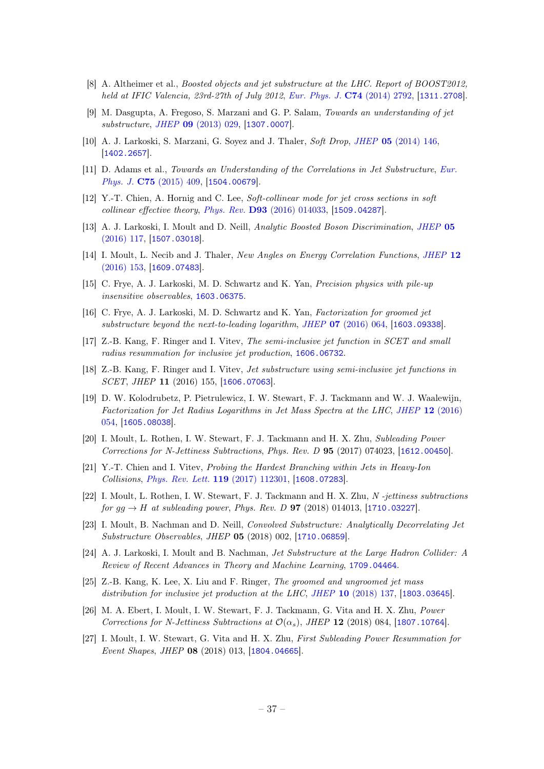- [8] A. Altheimer et al., *Boosted objects and jet substructure at the LHC. Report of BOOST2012*, held at IFIC Valencia, 23rd-27th of July 2012, [Eur. Phys. J.](http://dx.doi.org/10.1140/epjc/s10052-014-2792-8) C74 (2014) 2792, [[1311.2708](http://arxiv.org/abs/1311.2708)].
- [9] M. Dasgupta, A. Fregoso, S. Marzani and G. P. Salam, Towards an understanding of jet substructure, JHEP 09 [\(2013\) 029,](http://dx.doi.org/10.1007/JHEP09(2013)029) [[1307.0007](http://arxiv.org/abs/1307.0007)].
- [10] A. J. Larkoski, S. Marzani, G. Soyez and J. Thaler, Soft Drop, JHEP 05 [\(2014\) 146,](http://dx.doi.org/10.1007/JHEP05(2014)146) [[1402.2657](http://arxiv.org/abs/1402.2657)].
- [11] D. Adams et al., Towards an Understanding of the Correlations in Jet Substructure, [Eur.](http://dx.doi.org/10.1140/epjc/s10052-015-3587-2) Phys. J. C75 [\(2015\) 409,](http://dx.doi.org/10.1140/epjc/s10052-015-3587-2) [[1504.00679](http://arxiv.org/abs/1504.00679)].
- [12] Y.-T. Chien, A. Hornig and C. Lee, Soft-collinear mode for jet cross sections in soft collinear effective theory, Phys. Rev. D93 [\(2016\) 014033,](http://dx.doi.org/10.1103/PhysRevD.93.014033) [[1509.04287](http://arxiv.org/abs/1509.04287)].
- [13] A. J. Larkoski, I. Moult and D. Neill, Analytic Boosted Boson Discrimination, [JHEP](http://dx.doi.org/10.1007/JHEP05(2016)117) 05 [\(2016\) 117,](http://dx.doi.org/10.1007/JHEP05(2016)117) [[1507.03018](http://arxiv.org/abs/1507.03018)].
- [14] I. Moult, L. Necib and J. Thaler, New Angles on Energy Correlation Functions, [JHEP](http://dx.doi.org/10.1007/JHEP12(2016)153) 12 [\(2016\) 153,](http://dx.doi.org/10.1007/JHEP12(2016)153) [[1609.07483](http://arxiv.org/abs/1609.07483)].
- [15] C. Frye, A. J. Larkoski, M. D. Schwartz and K. Yan, Precision physics with pile-up insensitive observables, [1603.06375](http://arxiv.org/abs/1603.06375).
- [16] C. Frye, A. J. Larkoski, M. D. Schwartz and K. Yan, Factorization for groomed jet substructure beyond the next-to-leading logarithm, JHEP 07 [\(2016\) 064,](http://dx.doi.org/10.1007/JHEP07(2016)064) [[1603.09338](http://arxiv.org/abs/1603.09338)].
- [17] Z.-B. Kang, F. Ringer and I. Vitev, The semi-inclusive jet function in SCET and small radius resummation for inclusive jet production, [1606.06732](http://arxiv.org/abs/1606.06732).
- [18] Z.-B. Kang, F. Ringer and I. Vitev, Jet substructure using semi-inclusive jet functions in SCET, JHEP 11 (2016) 155, [[1606.07063](http://arxiv.org/abs/1606.07063)].
- [19] D. W. Kolodrubetz, P. Pietrulewicz, I. W. Stewart, F. J. Tackmann and W. J. Waalewijn, Factorization for Jet Radius Logarithms in Jet Mass Spectra at the LHC, JHEP 12 [\(2016\)](http://dx.doi.org/10.1007/JHEP12(2016)054) [054,](http://dx.doi.org/10.1007/JHEP12(2016)054) [[1605.08038](http://arxiv.org/abs/1605.08038)].
- [20] I. Moult, L. Rothen, I. W. Stewart, F. J. Tackmann and H. X. Zhu, Subleading Power Corrections for N-Jettiness Subtractions, Phys. Rev. D 95 (2017) 074023, [[1612.00450](http://arxiv.org/abs/1612.00450)].
- [21] Y.-T. Chien and I. Vitev, Probing the Hardest Branching within Jets in Heavy-Ion Collisions, [Phys. Rev. Lett.](http://dx.doi.org/10.1103/PhysRevLett.119.112301) 119 (2017) 112301, [[1608.07283](http://arxiv.org/abs/1608.07283)].
- [22] I. Moult, L. Rothen, I. W. Stewart, F. J. Tackmann and H. X. Zhu, N -jettiness subtractions for  $gg \to H$  at subleading power, Phys. Rev. D **97** (2018) 014013, [[1710.03227](http://arxiv.org/abs/1710.03227)].
- [23] I. Moult, B. Nachman and D. Neill, Convolved Substructure: Analytically Decorrelating Jet Substructure Observables, JHEP 05 (2018) 002, [[1710.06859](http://arxiv.org/abs/1710.06859)].
- [24] A. J. Larkoski, I. Moult and B. Nachman, Jet Substructure at the Large Hadron Collider: A Review of Recent Advances in Theory and Machine Learning, [1709.04464](http://arxiv.org/abs/1709.04464).
- [25] Z.-B. Kang, K. Lee, X. Liu and F. Ringer, The groomed and ungroomed jet mass distribution for inclusive jet production at the LHC, JHEP 10 [\(2018\) 137,](http://dx.doi.org/10.1007/JHEP10(2018)137) [[1803.03645](http://arxiv.org/abs/1803.03645)].
- [26] M. A. Ebert, I. Moult, I. W. Stewart, F. J. Tackmann, G. Vita and H. X. Zhu, Power Corrections for N-Jettiness Subtractions at  $\mathcal{O}(\alpha_s)$ , JHEP 12 (2018) 084, [[1807.10764](http://arxiv.org/abs/1807.10764)].
- [27] I. Moult, I. W. Stewart, G. Vita and H. X. Zhu, First Subleading Power Resummation for Event Shapes, JHEP 08 (2018) 013, [[1804.04665](http://arxiv.org/abs/1804.04665)].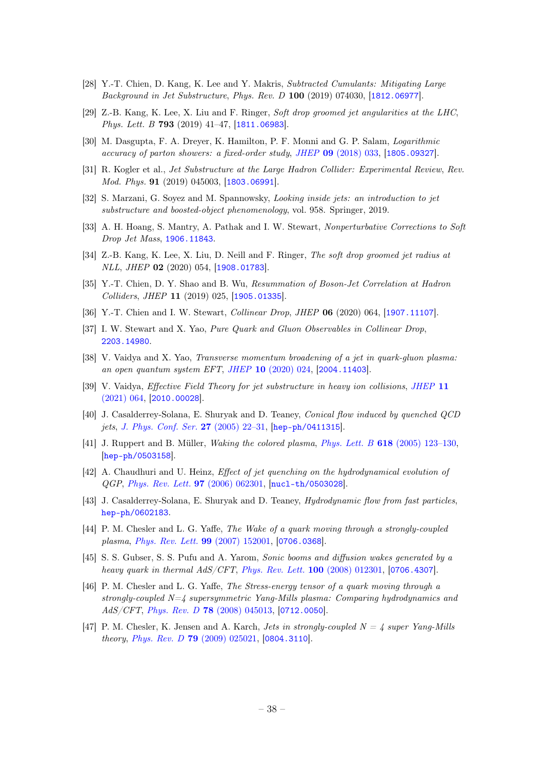- [28] Y.-T. Chien, D. Kang, K. Lee and Y. Makris, Subtracted Cumulants: Mitigating Large Background in Jet Substructure, Phys. Rev. D 100 (2019) 074030, [[1812.06977](http://arxiv.org/abs/1812.06977)].
- [29] Z.-B. Kang, K. Lee, X. Liu and F. Ringer, Soft drop groomed jet angularities at the LHC, Phys. Lett. B 793 (2019) 41-47, [[1811.06983](http://arxiv.org/abs/1811.06983)].
- [30] M. Dasgupta, F. A. Dreyer, K. Hamilton, P. F. Monni and G. P. Salam, Logarithmic accuracy of parton showers: a fixed-order study, JHEP 09 [\(2018\) 033,](http://dx.doi.org/10.1007/JHEP09(2018)033) [[1805.09327](http://arxiv.org/abs/1805.09327)].
- [31] R. Kogler et al., Jet Substructure at the Large Hadron Collider: Experimental Review, Rev. Mod. Phys. **91** (2019) 045003, [[1803.06991](http://arxiv.org/abs/1803.06991)].
- [32] S. Marzani, G. Soyez and M. Spannowsky, Looking inside jets: an introduction to jet substructure and boosted-object phenomenology, vol. 958. Springer, 2019.
- [33] A. H. Hoang, S. Mantry, A. Pathak and I. W. Stewart, Nonperturbative Corrections to Soft Drop Jet Mass, [1906.11843](http://arxiv.org/abs/1906.11843).
- [34] Z.-B. Kang, K. Lee, X. Liu, D. Neill and F. Ringer, The soft drop groomed jet radius at NLL, JHEP 02 (2020) 054, [[1908.01783](http://arxiv.org/abs/1908.01783)].
- [35] Y.-T. Chien, D. Y. Shao and B. Wu, Resummation of Boson-Jet Correlation at Hadron Colliders, JHEP 11 (2019) 025, [[1905.01335](http://arxiv.org/abs/1905.01335)].
- [36] Y.-T. Chien and I. W. Stewart, Collinear Drop, JHEP 06 (2020) 064, [[1907.11107](http://arxiv.org/abs/1907.11107)].
- <span id="page-38-0"></span>[37] I. W. Stewart and X. Yao, Pure Quark and Gluon Observables in Collinear Drop, [2203.14980](http://arxiv.org/abs/2203.14980).
- <span id="page-38-1"></span>[38] V. Vaidya and X. Yao, Transverse momentum broadening of a jet in quark-gluon plasma: an open quantum system EFT, JHEP 10 [\(2020\) 024,](http://dx.doi.org/10.1007/JHEP10(2020)024) [[2004.11403](http://arxiv.org/abs/2004.11403)].
- <span id="page-38-2"></span>[39] V. Vaidya, *Effective Field Theory for jet substructure in heavy ion collisions*, *[JHEP](http://dx.doi.org/10.1007/JHEP11(2021)064)* 11 [\(2021\) 064,](http://dx.doi.org/10.1007/JHEP11(2021)064) [[2010.00028](http://arxiv.org/abs/2010.00028)].
- <span id="page-38-3"></span>[40] J. Casalderrey-Solana, E. Shuryak and D. Teaney, Conical flow induced by quenched QCD jets, [J. Phys. Conf. Ser.](http://dx.doi.org/10.1088/1742-6596/27/1/003) 27 (2005) 22-31, [[hep-ph/0411315](http://arxiv.org/abs/hep-ph/0411315)].
- [41] J. Ruppert and B. Müller, Waking the colored plasma, Phys. Lett. B 618 [\(2005\) 123–130,](http://dx.doi.org/10.1016/j.physletb.2005.04.075) [[hep-ph/0503158](http://arxiv.org/abs/hep-ph/0503158)].
- [42] A. Chaudhuri and U. Heinz, Effect of jet quenching on the hydrodynamical evolution of QGP, [Phys. Rev. Lett.](http://dx.doi.org/10.1103/PhysRevLett.97.062301) 97 (2006) 062301, [[nucl-th/0503028](http://arxiv.org/abs/nucl-th/0503028)].
- [43] J. Casalderrey-Solana, E. Shuryak and D. Teaney, Hydrodynamic flow from fast particles, [hep-ph/0602183](http://arxiv.org/abs/hep-ph/0602183).
- [44] P. M. Chesler and L. G. Yaffe, The Wake of a quark moving through a strongly-coupled plasma, [Phys. Rev. Lett.](http://dx.doi.org/10.1103/PhysRevLett.99.152001) 99 (2007) 152001, [[0706.0368](http://arxiv.org/abs/0706.0368)].
- [45] S. S. Gubser, S. S. Pufu and A. Yarom, Sonic booms and diffusion wakes generated by a heavy quark in thermal  $AdS/CFT$ , [Phys. Rev. Lett.](http://dx.doi.org/10.1103/PhysRevLett.100.012301) 100 (2008) 012301, [[0706.4307](http://arxiv.org/abs/0706.4307)].
- [46] P. M. Chesler and L. G. Yaffe, The Stress-energy tensor of a quark moving through a strongly-coupled  $N=4$  supersymmetric Yang-Mills plasma: Comparing hydrodynamics and AdS/CFT, Phys. Rev. D 78 [\(2008\) 045013,](http://dx.doi.org/10.1103/PhysRevD.78.045013) [[0712.0050](http://arxiv.org/abs/0712.0050)].
- [47] P. M. Chesler, K. Jensen and A. Karch, *Jets in strongly-coupled N = 4 super Yang-Mills* theory, Phys. Rev. D 79 [\(2009\) 025021,](http://dx.doi.org/10.1103/PhysRevD.79.025021) [[0804.3110](http://arxiv.org/abs/0804.3110)].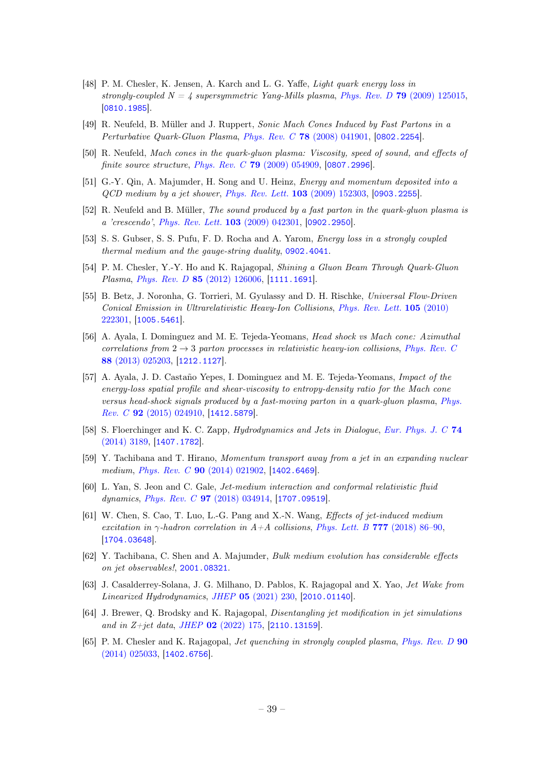- [48] P. M. Chesler, K. Jensen, A. Karch and L. G. Yaffe, Light quark energy loss in strongly-coupled  $N = 4$  supersymmetric Yang-Mills plasma, Phys. Rev. D 79 [\(2009\) 125015,](http://dx.doi.org/10.1103/PhysRevD.79.125015) [[0810.1985](http://arxiv.org/abs/0810.1985)].
- [49] R. Neufeld, B. Müller and J. Ruppert, Sonic Mach Cones Induced by Fast Partons in a Perturbative Quark-Gluon Plasma, Phys. Rev. C 78 [\(2008\) 041901,](http://dx.doi.org/10.1103/PhysRevC.78.041901) [[0802.2254](http://arxiv.org/abs/0802.2254)].
- [50] R. Neufeld, Mach cones in the quark-gluon plasma: Viscosity, speed of sound, and effects of finite source structure, Phys. Rev. C 79 [\(2009\) 054909,](http://dx.doi.org/10.1103/PhysRevC.79.054909) [[0807.2996](http://arxiv.org/abs/0807.2996)].
- [51] G.-Y. Qin, A. Majumder, H. Song and U. Heinz, Energy and momentum deposited into a QCD medium by a jet shower, [Phys. Rev. Lett.](http://dx.doi.org/10.1103/PhysRevLett.103.152303) 103 (2009) 152303, [[0903.2255](http://arxiv.org/abs/0903.2255)].
- [52] R. Neufeld and B. Müller, The sound produced by a fast parton in the quark-gluon plasma is a 'crescendo', [Phys. Rev. Lett.](http://dx.doi.org/10.1103/PhysRevLett.103.042301) 103 (2009) 042301, [[0902.2950](http://arxiv.org/abs/0902.2950)].
- [53] S. S. Gubser, S. S. Pufu, F. D. Rocha and A. Yarom, Energy loss in a strongly coupled thermal medium and the gauge-string duality, [0902.4041](http://arxiv.org/abs/0902.4041).
- [54] P. M. Chesler, Y.-Y. Ho and K. Rajagopal, Shining a Gluon Beam Through Quark-Gluon Plasma, Phys. Rev. D 85 [\(2012\) 126006,](http://dx.doi.org/10.1103/PhysRevD.85.126006) [[1111.1691](http://arxiv.org/abs/1111.1691)].
- [55] B. Betz, J. Noronha, G. Torrieri, M. Gyulassy and D. H. Rischke, Universal Flow-Driven Conical Emission in Ultrarelativistic Heavy-Ion Collisions, [Phys. Rev. Lett.](http://dx.doi.org/10.1103/PhysRevLett.105.222301) 105 (2010) [222301,](http://dx.doi.org/10.1103/PhysRevLett.105.222301) [[1005.5461](http://arxiv.org/abs/1005.5461)].
- [56] A. Ayala, I. Dominguez and M. E. Tejeda-Yeomans, Head shock vs Mach cone: Azimuthal correlations from  $2 \rightarrow 3$  parton processes in relativistic heavy-ion collisions, [Phys. Rev. C](http://dx.doi.org/10.1103/PhysRevC.88.025203) 88 [\(2013\) 025203,](http://dx.doi.org/10.1103/PhysRevC.88.025203) [[1212.1127](http://arxiv.org/abs/1212.1127)].
- [57] A. Ayala, J. D. Castaño Yepes, I. Dominguez and M. E. Tejeda-Yeomans, Impact of the energy-loss spatial profile and shear-viscosity to entropy-density ratio for the Mach cone versus head-shock signals produced by a fast-moving parton in a quark-gluon plasma, [Phys.](http://dx.doi.org/10.1103/PhysRevC.92.024910) Rev. C 92 [\(2015\) 024910,](http://dx.doi.org/10.1103/PhysRevC.92.024910) [[1412.5879](http://arxiv.org/abs/1412.5879)].
- [58] S. Floerchinger and K. C. Zapp, Hydrodynamics and Jets in Dialogue, [Eur. Phys. J. C](http://dx.doi.org/10.1140/epjc/s10052-014-3189-4) 74 [\(2014\) 3189,](http://dx.doi.org/10.1140/epjc/s10052-014-3189-4) [[1407.1782](http://arxiv.org/abs/1407.1782)].
- [59] Y. Tachibana and T. Hirano, Momentum transport away from a jet in an expanding nuclear medium, *Phys. Rev. C* **90** [\(2014\) 021902,](http://dx.doi.org/10.1103/PhysRevC.90.021902) [[1402.6469](http://arxiv.org/abs/1402.6469)].
- [60] L. Yan, S. Jeon and C. Gale, Jet-medium interaction and conformal relativistic fluid dynamics, *Phys. Rev. C* **97** [\(2018\) 034914,](http://dx.doi.org/10.1103/PhysRevC.97.034914) [[1707.09519](http://arxiv.org/abs/1707.09519)].
- [61] W. Chen, S. Cao, T. Luo, L.-G. Pang and X.-N. Wang, Effects of jet-induced medium excitation in  $\gamma$ -hadron correlation in A+A collisions, [Phys. Lett. B](http://dx.doi.org/10.1016/j.physletb.2017.12.015) 777 (2018) 86–90, [[1704.03648](http://arxiv.org/abs/1704.03648)].
- [62] Y. Tachibana, C. Shen and A. Majumder, Bulk medium evolution has considerable effects on jet observables!, [2001.08321](http://arxiv.org/abs/2001.08321).
- <span id="page-39-0"></span>[63] J. Casalderrey-Solana, J. G. Milhano, D. Pablos, K. Rajagopal and X. Yao, Jet Wake from Linearized Hydrodynamics, JHEP 05 [\(2021\) 230,](http://dx.doi.org/10.1007/JHEP05(2021)230) [[2010.01140](http://arxiv.org/abs/2010.01140)].
- <span id="page-39-1"></span>[64] J. Brewer, Q. Brodsky and K. Rajagopal, Disentangling jet modification in jet simulations and in Z+jet data, JHEP  $02$  [\(2022\) 175,](http://dx.doi.org/10.1007/JHEP02(2022)175) [[2110.13159](http://arxiv.org/abs/2110.13159)].
- <span id="page-39-2"></span>[65] P. M. Chesler and K. Rajagopal, Jet quenching in strongly coupled plasma, [Phys. Rev. D](http://dx.doi.org/10.1103/PhysRevD.90.025033) 90 [\(2014\) 025033,](http://dx.doi.org/10.1103/PhysRevD.90.025033) [[1402.6756](http://arxiv.org/abs/1402.6756)].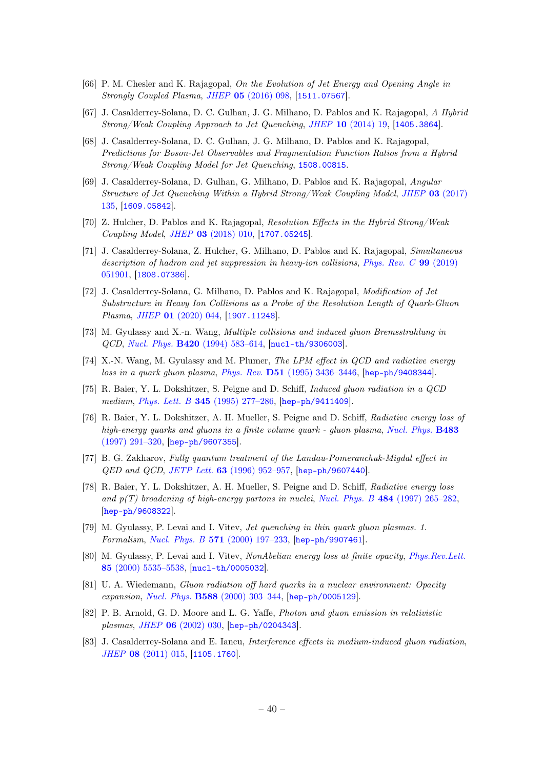- [66] P. M. Chesler and K. Rajagopal, On the Evolution of Jet Energy and Opening Angle in Strongly Coupled Plasma, JHEP 05 [\(2016\) 098,](http://dx.doi.org/10.1007/JHEP05(2016)098) [[1511.07567](http://arxiv.org/abs/1511.07567)].
- [67] J. Casalderrey-Solana, D. C. Gulhan, J. G. Milhano, D. Pablos and K. Rajagopal, A Hybrid Strong/Weak Coupling Approach to Jet Quenching, JHEP 10 [\(2014\) 19,](http://dx.doi.org/10.1007/JHEP10(2014)019) [[1405.3864](http://arxiv.org/abs/1405.3864)].
- [68] J. Casalderrey-Solana, D. C. Gulhan, J. G. Milhano, D. Pablos and K. Rajagopal, Predictions for Boson-Jet Observables and Fragmentation Function Ratios from a Hybrid Strong/Weak Coupling Model for Jet Quenching, [1508.00815](http://arxiv.org/abs/1508.00815).
- [69] J. Casalderrey-Solana, D. Gulhan, G. Milhano, D. Pablos and K. Rajagopal, Angular Structure of Jet Quenching Within a Hybrid Strong/Weak Coupling Model, JHEP 03 [\(2017\)](http://dx.doi.org/10.1007/JHEP03(2017)135) [135,](http://dx.doi.org/10.1007/JHEP03(2017)135) [[1609.05842](http://arxiv.org/abs/1609.05842)].
- [70] Z. Hulcher, D. Pablos and K. Rajagopal, Resolution Effects in the Hybrid Strong/Weak Coupling Model, JHEP 03 [\(2018\) 010,](http://dx.doi.org/10.1007/JHEP03(2018)010) [[1707.05245](http://arxiv.org/abs/1707.05245)].
- [71] J. Casalderrey-Solana, Z. Hulcher, G. Milhano, D. Pablos and K. Rajagopal, Simultaneous description of hadron and jet suppression in heavy-ion collisions, [Phys. Rev. C](http://dx.doi.org/10.1103/PhysRevC.99.051901) 99 (2019) [051901,](http://dx.doi.org/10.1103/PhysRevC.99.051901) [[1808.07386](http://arxiv.org/abs/1808.07386)].
- <span id="page-40-0"></span>[72] J. Casalderrey-Solana, G. Milhano, D. Pablos and K. Rajagopal, Modification of Jet Substructure in Heavy Ion Collisions as a Probe of the Resolution Length of Quark-Gluon Plasma, JHEP 01 [\(2020\) 044,](http://dx.doi.org/10.1007/JHEP01(2020)044) [[1907.11248](http://arxiv.org/abs/1907.11248)].
- <span id="page-40-1"></span>[73] M. Gyulassy and X.-n. Wang, Multiple collisions and induced gluon Bremsstrahlung in QCD, Nucl. Phys. B420 [\(1994\) 583–614,](http://dx.doi.org/10.1016/0550-3213(94)90079-5) [[nucl-th/9306003](http://arxiv.org/abs/nucl-th/9306003)].
- [74] X.-N. Wang, M. Gyulassy and M. Plumer, The LPM effect in QCD and radiative energy loss in a quark gluon plasma, Phys. Rev. D51 [\(1995\) 3436–3446,](http://dx.doi.org/10.1103/PhysRevD.51.3436) [[hep-ph/9408344](http://arxiv.org/abs/hep-ph/9408344)].
- [75] R. Baier, Y. L. Dokshitzer, S. Peigne and D. Schiff, Induced gluon radiation in a QCD medium, Phys. Lett. B 345 [\(1995\) 277–286,](http://dx.doi.org/10.1016/0370-2693(94)01617-L) [[hep-ph/9411409](http://arxiv.org/abs/hep-ph/9411409)].
- [76] R. Baier, Y. L. Dokshitzer, A. H. Mueller, S. Peigne and D. Schiff, Radiative energy loss of high-energy quarks and gluons in a finite volume quark - gluon plasma, [Nucl. Phys.](http://dx.doi.org/10.1016/S0550-3213(96)00553-6) **B483** [\(1997\) 291–320,](http://dx.doi.org/10.1016/S0550-3213(96)00553-6) [[hep-ph/9607355](http://arxiv.org/abs/hep-ph/9607355)].
- [77] B. G. Zakharov, Fully quantum treatment of the Landau-Pomeranchuk-Migdal effect in QED and QCD, JETP Lett. 63 [\(1996\) 952–957,](http://dx.doi.org/10.1134/1.567126) [[hep-ph/9607440](http://arxiv.org/abs/hep-ph/9607440)].
- [78] R. Baier, Y. L. Dokshitzer, A. H. Mueller, S. Peigne and D. Schiff, Radiative energy loss and  $p(T)$  broadening of high-energy partons in nuclei, Nucl. Phys. B 484 [\(1997\) 265–282,](http://dx.doi.org/10.1016/S0550-3213(96)00581-0) [[hep-ph/9608322](http://arxiv.org/abs/hep-ph/9608322)].
- [79] M. Gyulassy, P. Levai and I. Vitev, Jet quenching in thin quark gluon plasmas. 1. Formalism, Nucl. Phys. B 571 [\(2000\) 197–233,](http://dx.doi.org/10.1016/S0550-3213(99)00713-0) [[hep-ph/9907461](http://arxiv.org/abs/hep-ph/9907461)].
- [80] M. Gyulassy, P. Levai and I. Vitev, NonAbelian energy loss at finite opacity, [Phys.Rev.Lett.](http://dx.doi.org/10.1103/PhysRevLett.85.5535) 85 [\(2000\) 5535–5538,](http://dx.doi.org/10.1103/PhysRevLett.85.5535) [[nucl-th/0005032](http://arxiv.org/abs/nucl-th/0005032)].
- [81] U. A. Wiedemann, Gluon radiation off hard quarks in a nuclear environment: Opacity expansion, Nucl. Phys. B588 [\(2000\) 303–344,](http://dx.doi.org/10.1016/S0550-3213(00)00457-0) [[hep-ph/0005129](http://arxiv.org/abs/hep-ph/0005129)].
- <span id="page-40-2"></span>[82] P. B. Arnold, G. D. Moore and L. G. Yaffe, Photon and gluon emission in relativistic plasmas, JHEP 06 [\(2002\) 030,](http://dx.doi.org/10.1088/1126-6708/2002/06/030) [[hep-ph/0204343](http://arxiv.org/abs/hep-ph/0204343)].
- <span id="page-40-3"></span>[83] J. Casalderrey-Solana and E. Iancu, Interference effects in medium-induced gluon radiation, JHEP 08 [\(2011\) 015,](http://dx.doi.org/10.1007/JHEP08(2011)015) [[1105.1760](http://arxiv.org/abs/1105.1760)].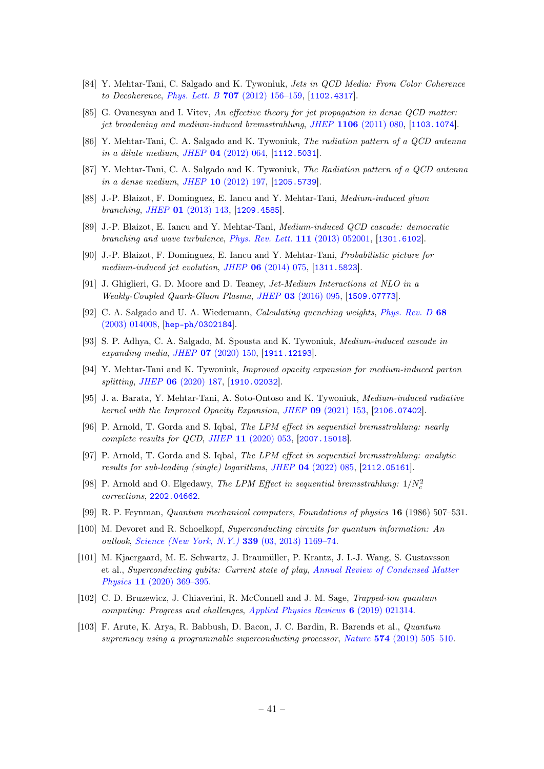- [84] Y. Mehtar-Tani, C. Salgado and K. Tywoniuk, Jets in QCD Media: From Color Coherence to Decoherence, Phys. Lett. B 707 [\(2012\) 156–159,](http://dx.doi.org/10.1016/j.physletb.2011.12.042) [[1102.4317](http://arxiv.org/abs/1102.4317)].
- [85] G. Ovanesyan and I. Vitev, An effective theory for jet propagation in dense QCD matter: jet broadening and medium-induced bremsstrahlung, JHEP 1106 [\(2011\) 080,](http://dx.doi.org/10.1007/JHEP06(2011)080) [[1103.1074](http://arxiv.org/abs/1103.1074)].
- [86] Y. Mehtar-Tani, C. A. Salgado and K. Tywoniuk, The radiation pattern of a QCD antenna in a dilute medium, JHEP 04 [\(2012\) 064,](http://dx.doi.org/10.1007/JHEP04(2012)064) [[1112.5031](http://arxiv.org/abs/1112.5031)].
- [87] Y. Mehtar-Tani, C. A. Salgado and K. Tywoniuk, The Radiation pattern of a QCD antenna in a dense medium, JHEP 10 [\(2012\) 197,](http://dx.doi.org/10.1007/JHEP10(2012)197) [[1205.5739](http://arxiv.org/abs/1205.5739)].
- <span id="page-41-9"></span>[88] J.-P. Blaizot, F. Dominguez, E. Iancu and Y. Mehtar-Tani, Medium-induced gluon branching, JHEP 01 [\(2013\) 143,](http://dx.doi.org/10.1007/JHEP01(2013)143) [[1209.4585](http://arxiv.org/abs/1209.4585)].
- [89] J.-P. Blaizot, E. Iancu and Y. Mehtar-Tani, Medium-induced QCD cascade: democratic branching and wave turbulence, [Phys. Rev. Lett.](http://dx.doi.org/10.1103/PhysRevLett.111.052001) 111 (2013) 052001, [[1301.6102](http://arxiv.org/abs/1301.6102)].
- [90] J.-P. Blaizot, F. Dominguez, E. Iancu and Y. Mehtar-Tani, Probabilistic picture for medium-induced jet evolution, JHEP 06 [\(2014\) 075,](http://dx.doi.org/10.1007/JHEP06(2014)075) [[1311.5823](http://arxiv.org/abs/1311.5823)].
- <span id="page-41-0"></span>[91] J. Ghiglieri, G. D. Moore and D. Teaney, Jet-Medium Interactions at NLO in a Weakly-Coupled Quark-Gluon Plasma, JHEP 03 [\(2016\) 095,](http://dx.doi.org/10.1007/JHEP03(2016)095) [[1509.07773](http://arxiv.org/abs/1509.07773)].
- <span id="page-41-1"></span>[92] C. A. Salgado and U. A. Wiedemann, Calculating quenching weights, [Phys. Rev. D](http://dx.doi.org/10.1103/PhysRevD.68.014008) 68 [\(2003\) 014008,](http://dx.doi.org/10.1103/PhysRevD.68.014008) [[hep-ph/0302184](http://arxiv.org/abs/hep-ph/0302184)].
- <span id="page-41-2"></span>[93] S. P. Adhya, C. A. Salgado, M. Spousta and K. Tywoniuk, Medium-induced cascade in expanding media, JHEP 07 [\(2020\) 150,](http://dx.doi.org/10.1007/JHEP07(2020)150) [[1911.12193](http://arxiv.org/abs/1911.12193)].
- <span id="page-41-3"></span>[94] Y. Mehtar-Tani and K. Tywoniuk, Improved opacity expansion for medium-induced parton splitting, JHEP 06 [\(2020\) 187,](http://dx.doi.org/10.1007/JHEP06(2020)187) [[1910.02032](http://arxiv.org/abs/1910.02032)].
- <span id="page-41-4"></span>[95] J. a. Barata, Y. Mehtar-Tani, A. Soto-Ontoso and K. Tywoniuk, Medium-induced radiative kernel with the Improved Opacity Expansion, JHEP 09 [\(2021\) 153,](http://dx.doi.org/10.1007/JHEP09(2021)153) [[2106.07402](http://arxiv.org/abs/2106.07402)].
- <span id="page-41-5"></span>[96] P. Arnold, T. Gorda and S. Iqbal, The LPM effect in sequential bremsstrahlung: nearly complete results for QCD, JHEP 11 [\(2020\) 053,](http://dx.doi.org/10.1007/JHEP11(2020)053) [[2007.15018](http://arxiv.org/abs/2007.15018)].
- [97] P. Arnold, T. Gorda and S. Iqbal, The LPM effect in sequential bremsstrahlung: analytic results for sub-leading (single) logarithms, JHEP 04 [\(2022\) 085,](http://dx.doi.org/10.1007/JHEP04(2022)085) [[2112.05161](http://arxiv.org/abs/2112.05161)].
- <span id="page-41-6"></span>[98] P. Arnold and O. Elgedawy, The LPM Effect in sequential bremsstrahlung:  $1/N_c^2$ corrections, [2202.04662](http://arxiv.org/abs/2202.04662).
- <span id="page-41-7"></span>[99] R. P. Feynman, Quantum mechanical computers, Foundations of physics 16 (1986) 507–531.
- <span id="page-41-8"></span>[100] M. Devoret and R. Schoelkopf, Superconducting circuits for quantum information: An outlook, [Science \(New York, N.Y.\)](http://dx.doi.org/10.1126/science.1231930) 339 (03, 2013) 1169–74.
- [101] M. Kjaergaard, M. E. Schwartz, J. Braumüller, P. Krantz, J. I.-J. Wang, S. Gustavsson et al., Superconducting qubits: Current state of play, [Annual Review of Condensed Matter](http://dx.doi.org/10.1146/annurev-conmatphys-031119-050605) Physics 11 [\(2020\) 369–395.](http://dx.doi.org/10.1146/annurev-conmatphys-031119-050605)
- [102] C. D. Bruzewicz, J. Chiaverini, R. McConnell and J. M. Sage, Trapped-ion quantum computing: Progress and challenges, [Applied Physics Reviews](http://dx.doi.org/10.1063/1.5088164) 6 (2019) 021314.
- [103] F. Arute, K. Arya, R. Babbush, D. Bacon, J. C. Bardin, R. Barends et al., Quantum supremacy using a programmable superconducting processor, Nature 574 [\(2019\) 505–510.](http://dx.doi.org/10.1038/s41586-019-1666-5)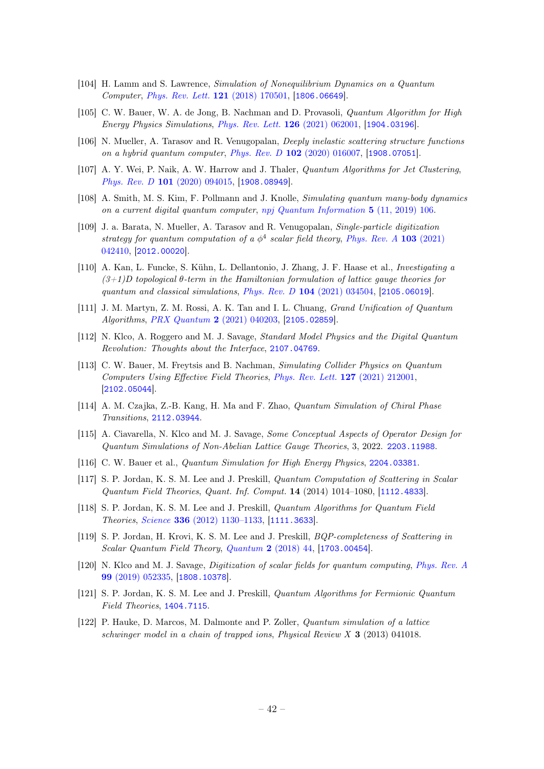- [104] H. Lamm and S. Lawrence, Simulation of Nonequilibrium Dynamics on a Quantum Computer, [Phys. Rev. Lett.](http://dx.doi.org/10.1103/PhysRevLett.121.170501) 121 (2018) 170501, [[1806.06649](http://arxiv.org/abs/1806.06649)].
- [105] C. W. Bauer, W. A. de Jong, B. Nachman and D. Provasoli, Quantum Algorithm for High Energy Physics Simulations, [Phys. Rev. Lett.](http://dx.doi.org/10.1103/PhysRevLett.126.062001) 126 (2021) 062001, [[1904.03196](http://arxiv.org/abs/1904.03196)].
- [106] N. Mueller, A. Tarasov and R. Venugopalan, Deeply inelastic scattering structure functions on a hybrid quantum computer, Phys. Rev. D 102 [\(2020\) 016007,](http://dx.doi.org/10.1103/PhysRevD.102.016007) [[1908.07051](http://arxiv.org/abs/1908.07051)].
- [107] A. Y. Wei, P. Naik, A. W. Harrow and J. Thaler, Quantum Algorithms for Jet Clustering, Phys. Rev. D 101 [\(2020\) 094015,](http://dx.doi.org/10.1103/PhysRevD.101.094015) [[1908.08949](http://arxiv.org/abs/1908.08949)].
- [108] A. Smith, M. S. Kim, F. Pollmann and J. Knolle, Simulating quantum many-body dynamics on a current digital quantum computer, [npj Quantum Information](http://dx.doi.org/10.1038/s41534-019-0217-0) 5 (11, 2019) 106.
- [109] J. a. Barata, N. Mueller, A. Tarasov and R. Venugopalan, Single-particle digitization strategy for quantum computation of a  $\phi^4$  scalar field theory, [Phys. Rev. A](http://dx.doi.org/10.1103/PhysRevA.103.042410) 103 (2021) [042410,](http://dx.doi.org/10.1103/PhysRevA.103.042410) [[2012.00020](http://arxiv.org/abs/2012.00020)].
- [110] A. Kan, L. Funcke, S. Kühn, L. Dellantonio, J. Zhang, J. F. Haase et al., Investigating a  $(3+1)D$  topological  $\theta$ -term in the Hamiltonian formulation of lattice gauge theories for quantum and classical simulations, Phys. Rev.  $D$  104 [\(2021\) 034504,](http://dx.doi.org/10.1103/PhysRevD.104.034504) [[2105.06019](http://arxiv.org/abs/2105.06019)].
- [111] J. M. Martyn, Z. M. Rossi, A. K. Tan and I. L. Chuang, Grand Unification of Quantum Algorithms, [PRX Quantum](http://dx.doi.org/10.1103/PRXQuantum.2.040203) 2 (2021) 040203, [[2105.02859](http://arxiv.org/abs/2105.02859)].
- [112] N. Klco, A. Roggero and M. J. Savage, Standard Model Physics and the Digital Quantum Revolution: Thoughts about the Interface, [2107.04769](http://arxiv.org/abs/2107.04769).
- [113] C. W. Bauer, M. Freytsis and B. Nachman, Simulating Collider Physics on Quantum Computers Using Effective Field Theories, [Phys. Rev. Lett.](http://dx.doi.org/10.1103/PhysRevLett.127.212001) 127 (2021) 212001, [[2102.05044](http://arxiv.org/abs/2102.05044)].
- [114] A. M. Czajka, Z.-B. Kang, H. Ma and F. Zhao, Quantum Simulation of Chiral Phase Transitions, [2112.03944](http://arxiv.org/abs/2112.03944).
- [115] A. Ciavarella, N. Klco and M. J. Savage, Some Conceptual Aspects of Operator Design for Quantum Simulations of Non-Abelian Lattice Gauge Theories, 3, 2022. [2203.11988](http://arxiv.org/abs/2203.11988).
- <span id="page-42-0"></span>[116] C. W. Bauer et al., *Quantum Simulation for High Energy Physics*, [2204.03381](http://arxiv.org/abs/2204.03381).
- <span id="page-42-1"></span>[117] S. P. Jordan, K. S. M. Lee and J. Preskill, Quantum Computation of Scattering in Scalar Quantum Field Theories, Quant. Inf. Comput. 14 (2014) 1014–1080, [[1112.4833](http://arxiv.org/abs/1112.4833)].
- <span id="page-42-5"></span>[118] S. P. Jordan, K. S. M. Lee and J. Preskill, Quantum Algorithms for Quantum Field Theories, Science 336 [\(2012\) 1130–1133,](http://dx.doi.org/10.1126/science.1217069) [[1111.3633](http://arxiv.org/abs/1111.3633)].
- [119] S. P. Jordan, H. Krovi, K. S. M. Lee and J. Preskill, BQP-completeness of Scattering in Scalar Quantum Field Theory, Quantum 2 [\(2018\) 44,](http://dx.doi.org/10.22331/q-2018-01-08-44) [[1703.00454](http://arxiv.org/abs/1703.00454)].
- <span id="page-42-2"></span>[120] N. Klco and M. J. Savage, Digitization of scalar fields for quantum computing, [Phys. Rev. A](http://dx.doi.org/10.1103/PhysRevA.99.052335) 99 [\(2019\) 052335,](http://dx.doi.org/10.1103/PhysRevA.99.052335) [[1808.10378](http://arxiv.org/abs/1808.10378)].
- <span id="page-42-3"></span>[121] S. P. Jordan, K. S. M. Lee and J. Preskill, Quantum Algorithms for Fermionic Quantum Field Theories, [1404.7115](http://arxiv.org/abs/1404.7115).
- <span id="page-42-4"></span>[122] P. Hauke, D. Marcos, M. Dalmonte and P. Zoller, Quantum simulation of a lattice schwinger model in a chain of trapped ions, Physical Review  $X \cdot 3$  (2013) 041018.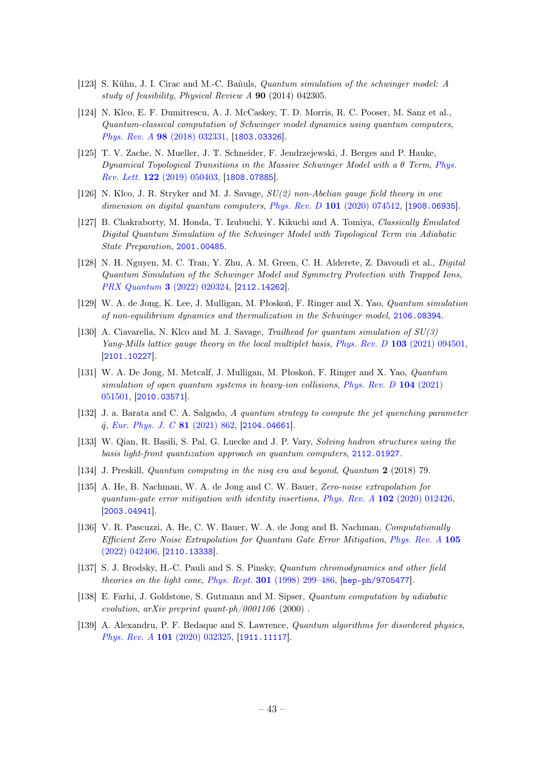- [123] S. Kühn, J. I. Cirac and M.-C. Bañuls, Quantum simulation of the schwinger model: A study of feasibility, Physical Review A 90 (2014) 042305.
- [124] N. Klco, E. F. Dumitrescu, A. J. McCaskey, T. D. Morris, R. C. Pooser, M. Sanz et al., Quantum-classical computation of Schwinger model dynamics using quantum computers, Phys. Rev. A 98 [\(2018\) 032331,](http://dx.doi.org/10.1103/PhysRevA.98.032331) [[1803.03326](http://arxiv.org/abs/1803.03326)].
- [125] T. V. Zache, N. Mueller, J. T. Schneider, F. Jendrzejewski, J. Berges and P. Hauke, Dynamical Topological Transitions in the Massive Schwinger Model with a  $\theta$  Term, [Phys.](http://dx.doi.org/10.1103/PhysRevLett.122.050403) Rev. Lett. 122 [\(2019\) 050403,](http://dx.doi.org/10.1103/PhysRevLett.122.050403) [[1808.07885](http://arxiv.org/abs/1808.07885)].
- [126] N. Klco, J. R. Stryker and M. J. Savage, SU(2) non-Abelian gauge field theory in one dimension on digital quantum computers, Phys. Rev. D 101 [\(2020\) 074512,](http://dx.doi.org/10.1103/PhysRevD.101.074512) [[1908.06935](http://arxiv.org/abs/1908.06935)].
- [127] B. Chakraborty, M. Honda, T. Izubuchi, Y. Kikuchi and A. Tomiya, Classically Emulated Digital Quantum Simulation of the Schwinger Model with Topological Term via Adiabatic State Preparation, [2001.00485](http://arxiv.org/abs/2001.00485).
- [128] N. H. Nguyen, M. C. Tran, Y. Zhu, A. M. Green, C. H. Alderete, Z. Davoudi et al., Digital Quantum Simulation of the Schwinger Model and Symmetry Protection with Trapped Ions, [PRX Quantum](http://dx.doi.org/10.1103/PRXQuantum.3.020324) 3 (2022) 020324, [[2112.14262](http://arxiv.org/abs/2112.14262)].
- [129] W. A. de Jong, K. Lee, J. Mulligan, M. Płoskoń, F. Ringer and X. Yao, Quantum simulation of non-equilibrium dynamics and thermalization in the Schwinger model, [2106.08394](http://arxiv.org/abs/2106.08394).
- <span id="page-43-0"></span>[130] A. Ciavarella, N. Klco and M. J. Savage, Trailhead for quantum simulation of SU(3) Yang-Mills lattice gauge theory in the local multiplet basis, Phys. Rev. D 103 [\(2021\) 094501,](http://dx.doi.org/10.1103/PhysRevD.103.094501) [[2101.10227](http://arxiv.org/abs/2101.10227)].
- <span id="page-43-1"></span>[131] W. A. De Jong, M. Metcalf, J. Mulligan, M. Płoskoń, F. Ringer and X. Yao, Quantum simulation of open quantum systems in heavy-ion collisions, [Phys. Rev. D](http://dx.doi.org/10.1103/PhysRevD.104.L051501) 104 (2021) [051501,](http://dx.doi.org/10.1103/PhysRevD.104.L051501) [[2010.03571](http://arxiv.org/abs/2010.03571)].
- <span id="page-43-2"></span>[132] J. a. Barata and C. A. Salgado, A quantum strategy to compute the jet quenching parameter  $\hat{q}$ , [Eur. Phys. J. C](http://dx.doi.org/10.1140/epjc/s10052-021-09674-9) 81 (2021) 862, [[2104.04661](http://arxiv.org/abs/2104.04661)].
- <span id="page-43-3"></span>[133] W. Qian, R. Basili, S. Pal, G. Luecke and J. P. Vary, Solving hadron structures using the basis light-front quantization approach on quantum computers, [2112.01927](http://arxiv.org/abs/2112.01927).
- <span id="page-43-4"></span>[134] J. Preskill, Quantum computing in the nisq era and beyond, Quantum 2 (2018) 79.
- <span id="page-43-5"></span>[135] A. He, B. Nachman, W. A. de Jong and C. W. Bauer, Zero-noise extrapolation for quantum-gate error mitigation with identity insertions,  $Phys. Rev. A 102 (2020) 012426$ , [[2003.04941](http://arxiv.org/abs/2003.04941)].
- <span id="page-43-6"></span>[136] V. R. Pascuzzi, A. He, C. W. Bauer, W. A. de Jong and B. Nachman, Computationally Efficient Zero Noise Extrapolation for Quantum Gate Error Mitigation, [Phys. Rev. A](http://dx.doi.org/10.1103/PhysRevA.105.042406) 105 [\(2022\) 042406,](http://dx.doi.org/10.1103/PhysRevA.105.042406) [[2110.13338](http://arxiv.org/abs/2110.13338)].
- <span id="page-43-7"></span>[137] S. J. Brodsky, H.-C. Pauli and S. S. Pinsky, Quantum chromodynamics and other field theories on the light cone, Phys. Rept. 301 [\(1998\) 299–486,](http://dx.doi.org/10.1016/S0370-1573(97)00089-6) [[hep-ph/9705477](http://arxiv.org/abs/hep-ph/9705477)].
- <span id="page-43-8"></span>[138] E. Farhi, J. Goldstone, S. Gutmann and M. Sipser, Quantum computation by adiabatic evolution, arXiv preprint quant-ph/0001106  $(2000)$ .
- <span id="page-43-9"></span>[139] A. Alexandru, P. F. Bedaque and S. Lawrence, *Quantum algorithms for disordered physics*, Phys. Rev. A 101 [\(2020\) 032325,](http://dx.doi.org/10.1103/PhysRevA.101.032325) [[1911.11117](http://arxiv.org/abs/1911.11117)].